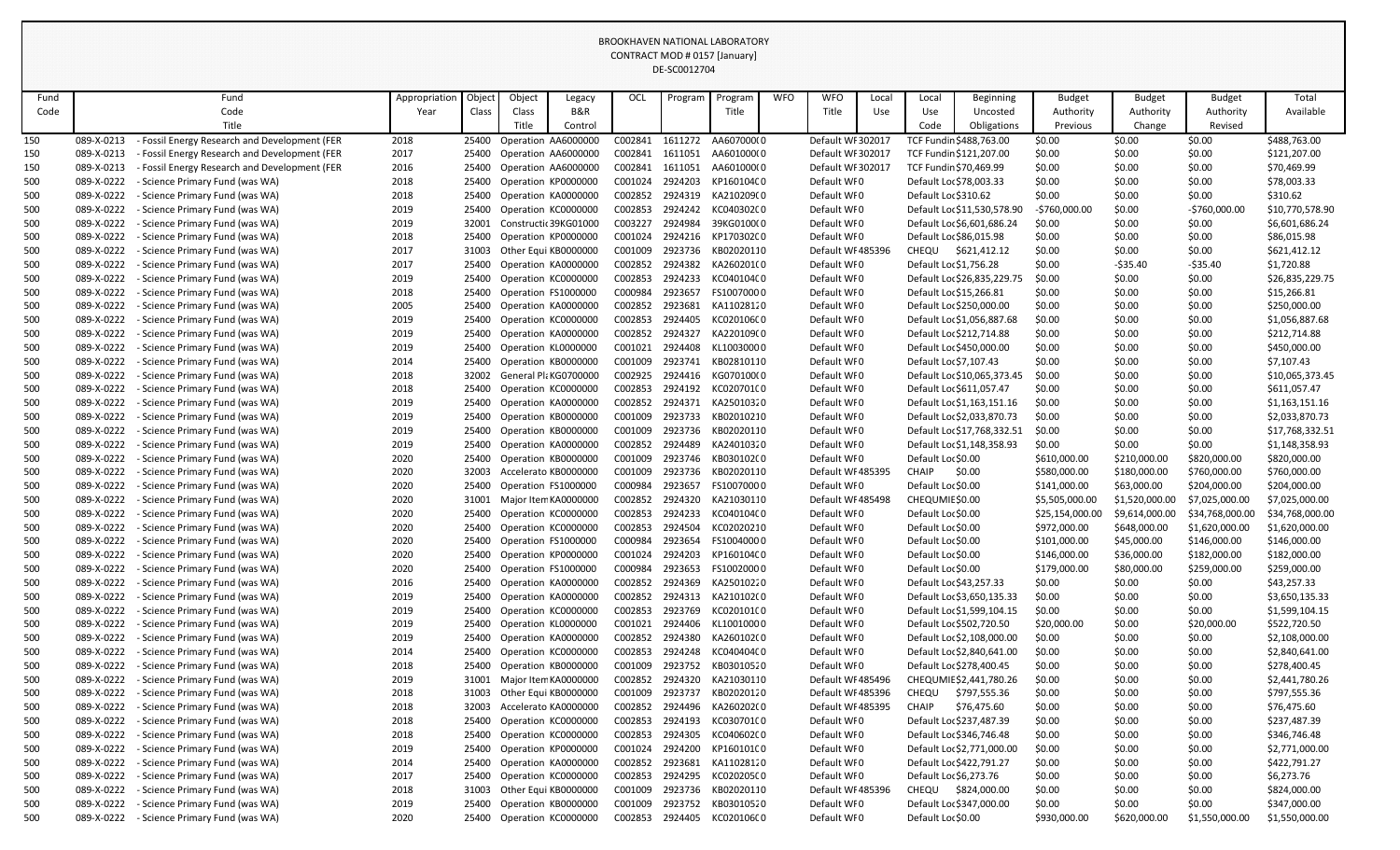| Objec<br>Object<br><b>OCL</b><br><b>WFO</b><br><b>WFO</b><br><b>Budget</b><br>Total<br>Fund<br>Local<br>Local<br><b>Budget</b><br><b>Budget</b><br>Fund<br>Appropriation<br>Legacy<br>Program<br><b>Beginning</b><br>Program<br><b>B&amp;R</b><br>Code<br>Title<br>Available<br>Authority<br>Authority<br>Authority<br>Code<br>Year<br>Class<br>Class<br>Title<br>Use<br>Use<br>Uncosted<br>Title<br>Title<br>Change<br>Control<br>Code<br>Obligations<br>Previous<br>Revised<br>AA607000(0<br>\$488,763.00<br>089-X-0213<br>- Fossil Energy Research and Development (FER<br>Operation AA6000000<br>C002841<br>1611272<br>Default WF 302017<br>\$0.00<br>\$0.00<br>2018<br>25400<br>TCF Fundin \$488,763.00<br>\$0.00<br>2017<br>C002841<br>Default WF302017<br>\$0.00<br>\$0.00<br>\$0.00<br>\$121,207.00<br>089-X-0213<br><b>Fossil Energy Research and Development (FER</b><br>Operation AA6000000<br>1611051<br>AA601000(0<br>TCF Fundin \$121,207.00<br>150<br>25400<br>Operation AA6000000<br>C002841<br>Default WF 302017<br>\$70,469.99<br>150<br>089-X-0213<br>- Fossil Energy Research and Development (FER<br>2016<br>1611051<br>AA601000(0<br>TCF Fundin \$70,469.99<br>\$0.00<br>\$0.00<br>\$0.00<br>25400<br>2018<br>Operation KP0000000<br>C001024<br>2924203<br>Default WF0<br>\$0.00<br>\$0.00<br>\$78,003.33<br>500<br>089-X-0222<br>25400<br>KP160104C0<br>Default Loc \$78,003.33<br>\$0.00<br><b>Science Primary Fund (was WA)</b><br>C002852<br>Default WF0<br>\$0.00<br>\$310.62<br>089-X-0222<br>Science Primary Fund (was WA)<br>2018<br>Operation KA0000000<br>2924319<br>KA210209(0<br>Default Loc \$310.62<br>\$0.00<br>\$0.00<br>500<br>25400<br>\$10,770,578.90<br>089-X-0222<br>2019<br>Operation KC0000000<br>C002853<br>2924242<br>KC040302C0<br>Default WF0<br>Science Primary Fund (was WA)<br>25400<br>Default Loc \$11,530,578.90<br>-\$760,000.00<br>\$0.00<br>$-5760,000.00$<br>500<br>C003227<br>2924984<br>089-X-0222<br>2019<br>Constructic 39KG01000<br>39KG0100(0<br>Default WFO<br>Default Loc \$6,601,686.24<br>\$0.00<br>\$0.00<br>\$0.00<br>\$6,601,686.24<br>500<br><b>Science Primary Fund (was WA)</b><br>32001<br>2924216<br>089-X-0222<br>Operation KP0000000<br>C001024<br>Default WI0<br>Default Loc \$86,015.98<br>\$0.00<br>\$86,015.98<br>500<br>Science Primary Fund (was WA)<br>2018<br>25400<br>KP170302C0<br>\$0.00<br>\$0.00<br>Other Equi KB0000000<br>\$621,412.12<br>089-X-0222<br>- Science Primary Fund (was WA)<br>2017<br>C001009<br>2923736<br>KB02020110<br>Default WF485396<br>CHEQU<br>\$0.00<br>\$0.00<br>\$0.00<br>\$621,412.12<br>500<br>31003<br>089-X-0222<br>2017<br>C002852<br>2924382<br>KA260201(0<br>Default Loc \$1,756.28<br>\$0.00<br>$-535.40$<br>\$1,720.88<br>500<br>Science Primary Fund (was WA)<br>25400<br>Operation KA0000000<br>Default WF0<br>$-535.40$<br>089-X-0222<br>C002853<br>Default WF0<br>\$26,835,229.75<br>- Science Primary Fund (was WA)<br>2019<br>Operation KC0000000<br>2924233<br>KC04010400<br>Default Loc \$26,835,229.75<br>\$0.00<br>\$0.00<br>500<br>25400<br>\$0.00<br>C000984<br>2923657<br>FS10070000<br>\$0.00<br>\$15,266.81<br>500<br>089-X-0222<br>2018<br>25400<br>Operation FS1000000<br>Default WFO<br>Default Loc \$15,266.81<br>\$0.00<br>\$0.00<br><b>Science Primary Fund (was WA)</b><br>C002852<br>Default WI0<br>\$0.00<br>\$250,000.00<br>089-X-0222<br>Science Primary Fund (was WA)<br>2005<br>Operation KA0000000<br>2923681<br>KA11028120<br>Default Lor \$250,000.00<br>\$0.00<br>\$0.00<br>500<br>25400<br>2019<br>Operation KC0000000<br>C002853<br>2924405<br>Default WF0<br>\$1,056,887.68<br>089-X-0222<br>- Science Primary Fund (was WA)<br>25400<br>KC020106C0<br>Default Loc \$1,056,887.68<br>\$0.00<br>\$0.00<br>\$0.00<br>500<br>C002852<br>2924327<br>\$212,714.88<br>089-X-0222<br>Science Primary Fund (was WA)<br>2019<br>Operation KA0000000<br>KA220109(0<br>Default WFO<br>Default Loc \$212,714.88<br>\$0.00<br>\$0.00<br>\$0.00<br>500<br>25400<br>089-X-0222<br>Operation KL0000000<br>C001021<br>2924408<br>KL10030000<br>Default WF0<br>Default Lor \$450,000.00<br>\$0.00<br>\$450,000.00<br>- Science Primary Fund (was WA)<br>2019<br>25400<br>\$0.00<br>\$0.00<br>500<br>Default WF0<br>\$7,107.43<br>089-X-0222<br>- Science Primary Fund (was WA)<br>2014<br>Operation KB0000000<br>C001009<br>2923741<br>KB02810110<br>Default Loc \$7,107.43<br>\$0.00<br>\$0.00<br>\$0.00<br>500<br>25400<br>089-X-0222<br>2018<br>General PlaKG0700000<br>C002925<br>2924416<br>Default WF0<br>\$0.00<br>\$0.00<br>\$0.00<br>\$10,065,373.45<br>Science Primary Fund (was WA)<br>32002<br>KG070100(0<br>Default Loc \$10,065,373.45<br>089-X-0222<br>C002853<br>2924192<br>Default WI0<br>\$611,057.47<br>Science Primary Fund (was WA)<br>2018<br>Operation KC0000000<br>KC020701C0<br>Default Loc \$611,057.47<br>\$0.00<br>\$0.00<br>\$0.00<br>25400<br>Operation KA0000000<br>C002852<br>2924371<br>Default Loc \$1,163,151.16<br>\$1,163,151.16<br>089-X-0222<br>Science Primary Fund (was WA)<br>2019<br>25400<br>KA25010320<br>Default WFO<br>\$0.00<br>\$0.00<br>\$0.00<br>Default WF0<br>Default Loc \$2,033,870.73<br>\$2,033,870.73<br>089-X-0222<br>- Science Primary Fund (was WA)<br>2019<br>Operation KB0000000<br>C001009<br>2923733<br>KB02010210<br>\$0.00<br>\$0.00<br>\$0.00<br>500<br>25400<br>\$17,768,332.51<br>089-X-0222<br>2019<br>Operation KB0000000<br>2923736<br>Default WI0<br>Default Loc \$17,768,332.51<br>\$0.00<br>- Science Primary Fund (was WA)<br>25400<br>C001009<br>KB02020110<br>\$0.00<br>\$0.00<br>500<br>C002852<br>2924489<br>089-X-0222<br>Science Primary Fund (was WA)<br>2019<br>Operation KA0000000<br>KA24010320<br>Default WFO<br>Default Loc \$1,148,358.93<br>\$0.00<br>\$0.00<br>\$0.00<br>\$1,148,358.93<br>25400<br>089-X-0222<br>Operation KB0000000<br>C001009<br>2923746<br>Default WI0<br>\$820,000.00<br>- Science Primary Fund (was WA)<br>2020<br>25400<br>KB030102(0<br>Default Loc \$0.00<br>\$610,000.00<br>\$210,000.00<br>\$820,000.00<br>2020<br>Accelerato KB0000000<br>\$0.00<br>\$760,000.00<br>089-X-0222<br>- Science Primary Fund (was WA)<br>32003<br>C001009<br>2923736<br>KB02020110<br>Default WF485395<br><b>CHAIP</b><br>\$580,000.00<br>\$180,000.00<br>\$760,000.00<br>C000984<br>2923657<br>089-X-0222<br>Science Primary Fund (was WA)<br>2020<br>25400<br>Operation FS1000000<br>FS10070000<br>Default WFO<br>Default Lor \$0.00<br>\$141,000.00<br>\$63,000.00<br>\$204,000.00<br>\$204,000.00<br>089-X-0222<br>C002852<br>2924320<br>Default WF485498<br>500<br>- Science Primary Fund (was WA)<br>2020<br>Major Item KA0000000<br>KA21030110<br>CHEQUMIE \$0.00<br>\$5,505,000.00<br>\$1,520,000.00<br>\$7,025,000.00<br>\$7,025,000.00<br>31001<br>500<br>2020<br>Default WF0<br>- Science Primary Fund (was WA)<br>Operation KC0000000<br>C002853<br>KC040104C0<br>Default Loc \$0.00<br>\$25,154,000.00<br>\$34,768,000.00<br>089-X-0222<br>25400<br>2924233<br>\$9,614,000.00<br>\$34,768,000.00<br>2020<br>C002853<br>2924504<br>Default WFO<br>Default Lor \$0.00<br>089-X-0222<br>Science Primary Fund (was WA)<br>Operation KC0000000<br>KC02020210<br>\$972,000.00<br>\$648,000.00<br>\$1,620,000.00<br>\$1,620,000.00<br>500<br>25400<br>089-X-0222<br>2923654<br>Default WFO<br>Default Lor \$0.00<br>- Science Primary Fund (was WA)<br>2020<br>25400<br>Operation FS1000000<br>C000984<br>FS10040000<br>\$101,000.00<br>\$45,000.00<br>\$146,000.00<br>\$146,000.00<br>500<br>089-X-0222<br>Science Primary Fund (was WA)<br>2020<br>Operation KP0000000<br>C001024<br>2924203<br>Default WF0<br>Default Loc \$0.00<br>\$146,000.00<br>\$182,000.00<br>\$182,000.00<br>500<br>25400<br>KP160104C0<br>\$36,000.00<br>089-X-0222<br>C000984<br>2923653<br>Default WFO<br>500<br>Science Primary Fund (was WA)<br>2020<br>25400<br>Operation FS1000000<br>FS10020000<br>Default Loc \$0.00<br>\$179,000.00<br>\$80,000.00<br>\$259,000.00<br>\$259,000.00<br>2924369<br>Default WFO<br>\$43,257.33<br>089-X-0222<br>Science Primary Fund (was WA)<br>2016<br>Operation KA0000000<br>C002852<br>KA25010220<br>Default Loc \$43,257.33<br>\$0.00<br>\$0.00<br>\$0.00<br>500<br>25400<br>089-X-0222<br>C002852<br>2924313<br>Default WFO<br>500<br>Science Primary Fund (was WA)<br>2019<br>25400<br>Operation KA0000000<br>KA210102(0<br>Default Loc \$3,650,135.33<br>\$0.00<br>\$0.00<br>\$0.00<br>\$3,650,135.33<br>089-X-0222<br>2923769<br>Default WFO<br>\$1,599,104.15<br>Science Primary Fund (was WA)<br>2019<br>Operation KC0000000<br>C002853<br>KC020101C0<br>Default Loc \$1,599,104.15<br>500<br>25400<br>\$0.00<br>\$0.00<br>\$0.00<br>089-X-0222<br>\$522,720.50<br>500<br>Science Primary Fund (was WA)<br>2019<br>25400<br>Operation KL0000000<br>C001021<br>2924406<br>KL10010000<br>Default WFO<br>Default Lor \$502,720.50<br>\$20,000.00<br>\$0.00<br>\$20,000.00<br>089-X-0222<br>C002852<br>2924380<br>Default WFO<br>\$2,108,000.00<br>Science Primary Fund (was WA)<br>2019<br>Operation KA0000000<br>KA260102(0<br>Default Lor \$2,108,000.00<br>\$0.00<br>\$0.00<br>\$0.00<br>500<br>25400<br>089-X-0222<br>Operation KC0000000<br>C002853<br>2924248<br>Default WFO<br>\$2,840,641.00<br>500<br>Science Primary Fund (was WA)<br>2014<br>25400<br>KC040404C0<br>Default Loc \$2,840,641.00<br>\$0.00<br>\$0.00<br>\$0.00<br>089-X-0222<br>2923752<br>Default Loc \$278,400.45<br>Science Primary Fund (was WA)<br>Operation KB0000000<br>C001009<br>KB03010520<br>Default WF0<br>\$0.00<br>\$0.00<br>\$278,400.45<br>500<br>2018<br>25400<br>\$0.00<br>089-X-0222<br>C002852<br>2924320<br>Default WI 485496<br>\$2,441,780.26<br>500<br>Science Primary Fund (was WA)<br>2019<br>Major Item KA0000000<br>KA21030110<br>CHEQUMIE \$2,441,780.26<br>\$0.00<br>\$0.00<br>\$0.00<br>31001<br>089-X-0222<br>\$797,555.36<br>- Science Primary Fund (was WA)<br>2018<br>31003<br>Other Equi KB0000000<br>C001009<br>2923737<br>KB02020120<br>Default WF485396<br>CHEQU<br>\$797,555.36<br>\$0.00<br>\$0.00<br>\$0.00<br>500<br>089-X-0222<br>C002852<br>2924496<br>\$76,475.60<br>\$0.00<br>\$76,475.60<br>500<br>Science Primary Fund (was WA)<br>2018<br>32003<br>Accelerato KA0000000<br>KA260202(0<br>Default WF485395<br><b>CHAIP</b><br>\$0.00<br>\$0.00<br>089-X-0222<br>C002853<br>2924193<br>KC030701C0<br>Default WFO<br>Default Loc \$237,487.39<br>\$237,487.39<br>Science Primary Fund (was WA)<br>2018<br>Operation KC0000000<br>\$0.00<br>\$0.00<br>\$0.00<br>500<br>25400<br>Operation KC0000000<br>C002853<br>2924305<br>Default WF0<br>Default Loc \$346,746.48<br>\$346,746.48<br>500<br>089-X-0222<br>Science Primary Fund (was WA)<br>2018<br>25400<br>KC040602C0<br>\$0.00<br>\$0.00<br>\$0.00<br>089-X-0222<br>C001024<br>2924200<br>Default WFO<br>Default Lor \$2,771,000.00<br>\$2,771,000.00<br>Science Primary Fund (was WA)<br>2019<br>Operation KP0000000<br>KP160101C0<br>\$0.00<br>\$0.00<br>\$0.00<br>500<br>25400<br>089-X-0222<br>2923681<br>Default WF0<br>\$422,791.27<br>Science Primary Fund (was WA)<br>2014<br>Operation KA0000000<br>C002852<br>KA11028120<br>Default Loc \$422,791.27<br>500<br>25400<br>\$0.00<br>\$0.00<br>\$0.00<br>089-X-0222<br>\$6,273.76<br>Science Primary Fund (was WA)<br>2017<br>25400<br>Operation KC0000000<br>C002853<br>2924295<br>KC020205C0<br>Default WF0<br>Default Loc \$6,273.76<br>\$0.00<br>\$0.00<br>\$0.00<br>089-X-0222<br>Default WI 485396<br>\$824,000.00<br>\$0.00<br>Science Primary Fund (was WA)<br>2018<br>31003<br>Other Equi KB0000000<br>C001009<br>2923736<br>KB02020110<br>CHEQU<br>\$0.00<br>\$0.00<br>\$824,000.00<br>500<br>- Science Primary Fund (was WA)<br>\$347,000.00<br>089-X-0222<br>2019<br>25400<br>Operation KB0000000<br>C001009<br>2923752<br>KB03010520<br>Default WF0<br>Default Loc \$347,000.00<br>\$0.00<br>\$0.00<br>\$0.00<br>Default WFO<br>089-X-0222<br>- Science Primary Fund (was WA)<br>2020<br>25400 Operation KC0000000<br>C002853<br>2924405<br>KC020106C0<br>Default Lor \$0.00<br>\$930,000.00<br>\$620,000.00<br>\$1,550,000.00<br>500<br>\$1,550,000.00 |     |  |  |  | UL-JLUUIZ7U4 |  |  |  |  |  |
|--------------------------------------------------------------------------------------------------------------------------------------------------------------------------------------------------------------------------------------------------------------------------------------------------------------------------------------------------------------------------------------------------------------------------------------------------------------------------------------------------------------------------------------------------------------------------------------------------------------------------------------------------------------------------------------------------------------------------------------------------------------------------------------------------------------------------------------------------------------------------------------------------------------------------------------------------------------------------------------------------------------------------------------------------------------------------------------------------------------------------------------------------------------------------------------------------------------------------------------------------------------------------------------------------------------------------------------------------------------------------------------------------------------------------------------------------------------------------------------------------------------------------------------------------------------------------------------------------------------------------------------------------------------------------------------------------------------------------------------------------------------------------------------------------------------------------------------------------------------------------------------------------------------------------------------------------------------------------------------------------------------------------------------------------------------------------------------------------------------------------------------------------------------------------------------------------------------------------------------------------------------------------------------------------------------------------------------------------------------------------------------------------------------------------------------------------------------------------------------------------------------------------------------------------------------------------------------------------------------------------------------------------------------------------------------------------------------------------------------------------------------------------------------------------------------------------------------------------------------------------------------------------------------------------------------------------------------------------------------------------------------------------------------------------------------------------------------------------------------------------------------------------------------------------------------------------------------------------------------------------------------------------------------------------------------------------------------------------------------------------------------------------------------------------------------------------------------------------------------------------------------------------------------------------------------------------------------------------------------------------------------------------------------------------------------------------------------------------------------------------------------------------------------------------------------------------------------------------------------------------------------------------------------------------------------------------------------------------------------------------------------------------------------------------------------------------------------------------------------------------------------------------------------------------------------------------------------------------------------------------------------------------------------------------------------------------------------------------------------------------------------------------------------------------------------------------------------------------------------------------------------------------------------------------------------------------------------------------------------------------------------------------------------------------------------------------------------------------------------------------------------------------------------------------------------------------------------------------------------------------------------------------------------------------------------------------------------------------------------------------------------------------------------------------------------------------------------------------------------------------------------------------------------------------------------------------------------------------------------------------------------------------------------------------------------------------------------------------------------------------------------------------------------------------------------------------------------------------------------------------------------------------------------------------------------------------------------------------------------------------------------------------------------------------------------------------------------------------------------------------------------------------------------------------------------------------------------------------------------------------------------------------------------------------------------------------------------------------------------------------------------------------------------------------------------------------------------------------------------------------------------------------------------------------------------------------------------------------------------------------------------------------------------------------------------------------------------------------------------------------------------------------------------------------------------------------------------------------------------------------------------------------------------------------------------------------------------------------------------------------------------------------------------------------------------------------------------------------------------------------------------------------------------------------------------------------------------------------------------------------------------------------------------------------------------------------------------------------------------------------------------------------------------------------------------------------------------------------------------------------------------------------------------------------------------------------------------------------------------------------------------------------------------------------------------------------------------------------------------------------------------------------------------------------------------------------------------------------------------------------------------------------------------------------------------------------------------------------------------------------------------------------------------------------------------------------------------------------------------------------------------------------------------------------------------------------------------------------------------------------------------------------------------------------------------------------------------------------------------------------------------------------------------------------------------------------------------------------------------------------------------------------------------------------------------------------------------------------------------------------------------------------------------------------------------------------------------------------------------------------------------------------------------------------------------------------------------------------------------------------------------------------------------------------------------------------------------------------------------------------------------------------------------------------------------------------------------------------------------------------------------------------------------------------------------------------------------------------------------------------------------------------------------------------------------------------------------------------------------------------------------------------------------------------------------------------------------------------------------------------------------------------------------------------------------------------------------------------------------------------------------------------------------------------------------------------------------------------------------------------------------------------------------------------------------------------------------------------------------------------------------------------------------------------------------------------------------------------------------------------------------------------------------------------------------------------------------------------------------------------------------------------------------------------------------------------------------------------------------------------------------------------------------------------------------------------------------------------------------------------------------------------------------------------------------------------------------------------------------------------------------------------------------------------------------------------------------------------------------------------------------------------------------------------------------------------------------------------------------------------------------------------------------------------------------------------------------------------------------------------------------------------------------------------------------------------------------------------------------------------------------------------------------------------------------------------------------------------------------------------------------------------------------------------------------------------------------------------------------------------------------------------------------------------------------------------------------------------------------------------------------------------------------------------------------------------------------------------------------------------------------------------------------------------------------------------------------------------------------------------------------------------------------------------------------------------------------------------------------------------------------------------------------------------------------------------------------------------------------------------------------------------------------------------------------------------------------------------------------------------------------------------------------------------------------------------------------------------------------------------------------------------------------------------------------------------------------------------------------------------------------------------------------------------------------------------------------------------------------------------------------------------------------------------------------------------------------------------------------------------------------------------------------------------------------------|-----|--|--|--|--------------|--|--|--|--|--|
|                                                                                                                                                                                                                                                                                                                                                                                                                                                                                                                                                                                                                                                                                                                                                                                                                                                                                                                                                                                                                                                                                                                                                                                                                                                                                                                                                                                                                                                                                                                                                                                                                                                                                                                                                                                                                                                                                                                                                                                                                                                                                                                                                                                                                                                                                                                                                                                                                                                                                                                                                                                                                                                                                                                                                                                                                                                                                                                                                                                                                                                                                                                                                                                                                                                                                                                                                                                                                                                                                                                                                                                                                                                                                                                                                                                                                                                                                                                                                                                                                                                                                                                                                                                                                                                                                                                                                                                                                                                                                                                                                                                                                                                                                                                                                                                                                                                                                                                                                                                                                                                                                                                                                                                                                                                                                                                                                                                                                                                                                                                                                                                                                                                                                                                                                                                                                                                                                                                                                                                                                                                                                                                                                                                                                                                                                                                                                                                                                                                                                                                                                                                                                                                                                                                                                                                                                                                                                                                                                                                                                                                                                                                                                                                                                                                                                                                                                                                                                                                                                                                                                                                                                                                                                                                                                                                                                                                                                                                                                                                                                                                                                                                                                                                                                                                                                                                                                                                                                                                                                                                                                                                                                                                                                                                                                                                                                                                                                                                                                                                                                                                                                                                                                                                                                                                                                                                                                                                                                                                                                                                                                                                                                                                                                                                                                                                                                                                                                                                                                                                                                                                                                                                                                                                                                                                                                                                                                                                                                                                                                                                                                                                                                                                                                                                                                                                                                                                                                                                                                                                                                                                                                                                                                                                                                                                                                                                                                                                                                                                                                                                                                                                                                                                                                                                                                                                                                                                                                                                                                                                                                                                                                                                                                                                            |     |  |  |  |              |  |  |  |  |  |
|                                                                                                                                                                                                                                                                                                                                                                                                                                                                                                                                                                                                                                                                                                                                                                                                                                                                                                                                                                                                                                                                                                                                                                                                                                                                                                                                                                                                                                                                                                                                                                                                                                                                                                                                                                                                                                                                                                                                                                                                                                                                                                                                                                                                                                                                                                                                                                                                                                                                                                                                                                                                                                                                                                                                                                                                                                                                                                                                                                                                                                                                                                                                                                                                                                                                                                                                                                                                                                                                                                                                                                                                                                                                                                                                                                                                                                                                                                                                                                                                                                                                                                                                                                                                                                                                                                                                                                                                                                                                                                                                                                                                                                                                                                                                                                                                                                                                                                                                                                                                                                                                                                                                                                                                                                                                                                                                                                                                                                                                                                                                                                                                                                                                                                                                                                                                                                                                                                                                                                                                                                                                                                                                                                                                                                                                                                                                                                                                                                                                                                                                                                                                                                                                                                                                                                                                                                                                                                                                                                                                                                                                                                                                                                                                                                                                                                                                                                                                                                                                                                                                                                                                                                                                                                                                                                                                                                                                                                                                                                                                                                                                                                                                                                                                                                                                                                                                                                                                                                                                                                                                                                                                                                                                                                                                                                                                                                                                                                                                                                                                                                                                                                                                                                                                                                                                                                                                                                                                                                                                                                                                                                                                                                                                                                                                                                                                                                                                                                                                                                                                                                                                                                                                                                                                                                                                                                                                                                                                                                                                                                                                                                                                                                                                                                                                                                                                                                                                                                                                                                                                                                                                                                                                                                                                                                                                                                                                                                                                                                                                                                                                                                                                                                                                                                                                                                                                                                                                                                                                                                                                                                                                                                                                                                                            |     |  |  |  |              |  |  |  |  |  |
|                                                                                                                                                                                                                                                                                                                                                                                                                                                                                                                                                                                                                                                                                                                                                                                                                                                                                                                                                                                                                                                                                                                                                                                                                                                                                                                                                                                                                                                                                                                                                                                                                                                                                                                                                                                                                                                                                                                                                                                                                                                                                                                                                                                                                                                                                                                                                                                                                                                                                                                                                                                                                                                                                                                                                                                                                                                                                                                                                                                                                                                                                                                                                                                                                                                                                                                                                                                                                                                                                                                                                                                                                                                                                                                                                                                                                                                                                                                                                                                                                                                                                                                                                                                                                                                                                                                                                                                                                                                                                                                                                                                                                                                                                                                                                                                                                                                                                                                                                                                                                                                                                                                                                                                                                                                                                                                                                                                                                                                                                                                                                                                                                                                                                                                                                                                                                                                                                                                                                                                                                                                                                                                                                                                                                                                                                                                                                                                                                                                                                                                                                                                                                                                                                                                                                                                                                                                                                                                                                                                                                                                                                                                                                                                                                                                                                                                                                                                                                                                                                                                                                                                                                                                                                                                                                                                                                                                                                                                                                                                                                                                                                                                                                                                                                                                                                                                                                                                                                                                                                                                                                                                                                                                                                                                                                                                                                                                                                                                                                                                                                                                                                                                                                                                                                                                                                                                                                                                                                                                                                                                                                                                                                                                                                                                                                                                                                                                                                                                                                                                                                                                                                                                                                                                                                                                                                                                                                                                                                                                                                                                                                                                                                                                                                                                                                                                                                                                                                                                                                                                                                                                                                                                                                                                                                                                                                                                                                                                                                                                                                                                                                                                                                                                                                                                                                                                                                                                                                                                                                                                                                                                                                                                                                                                            |     |  |  |  |              |  |  |  |  |  |
|                                                                                                                                                                                                                                                                                                                                                                                                                                                                                                                                                                                                                                                                                                                                                                                                                                                                                                                                                                                                                                                                                                                                                                                                                                                                                                                                                                                                                                                                                                                                                                                                                                                                                                                                                                                                                                                                                                                                                                                                                                                                                                                                                                                                                                                                                                                                                                                                                                                                                                                                                                                                                                                                                                                                                                                                                                                                                                                                                                                                                                                                                                                                                                                                                                                                                                                                                                                                                                                                                                                                                                                                                                                                                                                                                                                                                                                                                                                                                                                                                                                                                                                                                                                                                                                                                                                                                                                                                                                                                                                                                                                                                                                                                                                                                                                                                                                                                                                                                                                                                                                                                                                                                                                                                                                                                                                                                                                                                                                                                                                                                                                                                                                                                                                                                                                                                                                                                                                                                                                                                                                                                                                                                                                                                                                                                                                                                                                                                                                                                                                                                                                                                                                                                                                                                                                                                                                                                                                                                                                                                                                                                                                                                                                                                                                                                                                                                                                                                                                                                                                                                                                                                                                                                                                                                                                                                                                                                                                                                                                                                                                                                                                                                                                                                                                                                                                                                                                                                                                                                                                                                                                                                                                                                                                                                                                                                                                                                                                                                                                                                                                                                                                                                                                                                                                                                                                                                                                                                                                                                                                                                                                                                                                                                                                                                                                                                                                                                                                                                                                                                                                                                                                                                                                                                                                                                                                                                                                                                                                                                                                                                                                                                                                                                                                                                                                                                                                                                                                                                                                                                                                                                                                                                                                                                                                                                                                                                                                                                                                                                                                                                                                                                                                                                                                                                                                                                                                                                                                                                                                                                                                                                                                                                                                            | 150 |  |  |  |              |  |  |  |  |  |
|                                                                                                                                                                                                                                                                                                                                                                                                                                                                                                                                                                                                                                                                                                                                                                                                                                                                                                                                                                                                                                                                                                                                                                                                                                                                                                                                                                                                                                                                                                                                                                                                                                                                                                                                                                                                                                                                                                                                                                                                                                                                                                                                                                                                                                                                                                                                                                                                                                                                                                                                                                                                                                                                                                                                                                                                                                                                                                                                                                                                                                                                                                                                                                                                                                                                                                                                                                                                                                                                                                                                                                                                                                                                                                                                                                                                                                                                                                                                                                                                                                                                                                                                                                                                                                                                                                                                                                                                                                                                                                                                                                                                                                                                                                                                                                                                                                                                                                                                                                                                                                                                                                                                                                                                                                                                                                                                                                                                                                                                                                                                                                                                                                                                                                                                                                                                                                                                                                                                                                                                                                                                                                                                                                                                                                                                                                                                                                                                                                                                                                                                                                                                                                                                                                                                                                                                                                                                                                                                                                                                                                                                                                                                                                                                                                                                                                                                                                                                                                                                                                                                                                                                                                                                                                                                                                                                                                                                                                                                                                                                                                                                                                                                                                                                                                                                                                                                                                                                                                                                                                                                                                                                                                                                                                                                                                                                                                                                                                                                                                                                                                                                                                                                                                                                                                                                                                                                                                                                                                                                                                                                                                                                                                                                                                                                                                                                                                                                                                                                                                                                                                                                                                                                                                                                                                                                                                                                                                                                                                                                                                                                                                                                                                                                                                                                                                                                                                                                                                                                                                                                                                                                                                                                                                                                                                                                                                                                                                                                                                                                                                                                                                                                                                                                                                                                                                                                                                                                                                                                                                                                                                                                                                                                                                                            |     |  |  |  |              |  |  |  |  |  |
|                                                                                                                                                                                                                                                                                                                                                                                                                                                                                                                                                                                                                                                                                                                                                                                                                                                                                                                                                                                                                                                                                                                                                                                                                                                                                                                                                                                                                                                                                                                                                                                                                                                                                                                                                                                                                                                                                                                                                                                                                                                                                                                                                                                                                                                                                                                                                                                                                                                                                                                                                                                                                                                                                                                                                                                                                                                                                                                                                                                                                                                                                                                                                                                                                                                                                                                                                                                                                                                                                                                                                                                                                                                                                                                                                                                                                                                                                                                                                                                                                                                                                                                                                                                                                                                                                                                                                                                                                                                                                                                                                                                                                                                                                                                                                                                                                                                                                                                                                                                                                                                                                                                                                                                                                                                                                                                                                                                                                                                                                                                                                                                                                                                                                                                                                                                                                                                                                                                                                                                                                                                                                                                                                                                                                                                                                                                                                                                                                                                                                                                                                                                                                                                                                                                                                                                                                                                                                                                                                                                                                                                                                                                                                                                                                                                                                                                                                                                                                                                                                                                                                                                                                                                                                                                                                                                                                                                                                                                                                                                                                                                                                                                                                                                                                                                                                                                                                                                                                                                                                                                                                                                                                                                                                                                                                                                                                                                                                                                                                                                                                                                                                                                                                                                                                                                                                                                                                                                                                                                                                                                                                                                                                                                                                                                                                                                                                                                                                                                                                                                                                                                                                                                                                                                                                                                                                                                                                                                                                                                                                                                                                                                                                                                                                                                                                                                                                                                                                                                                                                                                                                                                                                                                                                                                                                                                                                                                                                                                                                                                                                                                                                                                                                                                                                                                                                                                                                                                                                                                                                                                                                                                                                                                                                                            |     |  |  |  |              |  |  |  |  |  |
|                                                                                                                                                                                                                                                                                                                                                                                                                                                                                                                                                                                                                                                                                                                                                                                                                                                                                                                                                                                                                                                                                                                                                                                                                                                                                                                                                                                                                                                                                                                                                                                                                                                                                                                                                                                                                                                                                                                                                                                                                                                                                                                                                                                                                                                                                                                                                                                                                                                                                                                                                                                                                                                                                                                                                                                                                                                                                                                                                                                                                                                                                                                                                                                                                                                                                                                                                                                                                                                                                                                                                                                                                                                                                                                                                                                                                                                                                                                                                                                                                                                                                                                                                                                                                                                                                                                                                                                                                                                                                                                                                                                                                                                                                                                                                                                                                                                                                                                                                                                                                                                                                                                                                                                                                                                                                                                                                                                                                                                                                                                                                                                                                                                                                                                                                                                                                                                                                                                                                                                                                                                                                                                                                                                                                                                                                                                                                                                                                                                                                                                                                                                                                                                                                                                                                                                                                                                                                                                                                                                                                                                                                                                                                                                                                                                                                                                                                                                                                                                                                                                                                                                                                                                                                                                                                                                                                                                                                                                                                                                                                                                                                                                                                                                                                                                                                                                                                                                                                                                                                                                                                                                                                                                                                                                                                                                                                                                                                                                                                                                                                                                                                                                                                                                                                                                                                                                                                                                                                                                                                                                                                                                                                                                                                                                                                                                                                                                                                                                                                                                                                                                                                                                                                                                                                                                                                                                                                                                                                                                                                                                                                                                                                                                                                                                                                                                                                                                                                                                                                                                                                                                                                                                                                                                                                                                                                                                                                                                                                                                                                                                                                                                                                                                                                                                                                                                                                                                                                                                                                                                                                                                                                                                                                                                            |     |  |  |  |              |  |  |  |  |  |
|                                                                                                                                                                                                                                                                                                                                                                                                                                                                                                                                                                                                                                                                                                                                                                                                                                                                                                                                                                                                                                                                                                                                                                                                                                                                                                                                                                                                                                                                                                                                                                                                                                                                                                                                                                                                                                                                                                                                                                                                                                                                                                                                                                                                                                                                                                                                                                                                                                                                                                                                                                                                                                                                                                                                                                                                                                                                                                                                                                                                                                                                                                                                                                                                                                                                                                                                                                                                                                                                                                                                                                                                                                                                                                                                                                                                                                                                                                                                                                                                                                                                                                                                                                                                                                                                                                                                                                                                                                                                                                                                                                                                                                                                                                                                                                                                                                                                                                                                                                                                                                                                                                                                                                                                                                                                                                                                                                                                                                                                                                                                                                                                                                                                                                                                                                                                                                                                                                                                                                                                                                                                                                                                                                                                                                                                                                                                                                                                                                                                                                                                                                                                                                                                                                                                                                                                                                                                                                                                                                                                                                                                                                                                                                                                                                                                                                                                                                                                                                                                                                                                                                                                                                                                                                                                                                                                                                                                                                                                                                                                                                                                                                                                                                                                                                                                                                                                                                                                                                                                                                                                                                                                                                                                                                                                                                                                                                                                                                                                                                                                                                                                                                                                                                                                                                                                                                                                                                                                                                                                                                                                                                                                                                                                                                                                                                                                                                                                                                                                                                                                                                                                                                                                                                                                                                                                                                                                                                                                                                                                                                                                                                                                                                                                                                                                                                                                                                                                                                                                                                                                                                                                                                                                                                                                                                                                                                                                                                                                                                                                                                                                                                                                                                                                                                                                                                                                                                                                                                                                                                                                                                                                                                                                                                                            |     |  |  |  |              |  |  |  |  |  |
|                                                                                                                                                                                                                                                                                                                                                                                                                                                                                                                                                                                                                                                                                                                                                                                                                                                                                                                                                                                                                                                                                                                                                                                                                                                                                                                                                                                                                                                                                                                                                                                                                                                                                                                                                                                                                                                                                                                                                                                                                                                                                                                                                                                                                                                                                                                                                                                                                                                                                                                                                                                                                                                                                                                                                                                                                                                                                                                                                                                                                                                                                                                                                                                                                                                                                                                                                                                                                                                                                                                                                                                                                                                                                                                                                                                                                                                                                                                                                                                                                                                                                                                                                                                                                                                                                                                                                                                                                                                                                                                                                                                                                                                                                                                                                                                                                                                                                                                                                                                                                                                                                                                                                                                                                                                                                                                                                                                                                                                                                                                                                                                                                                                                                                                                                                                                                                                                                                                                                                                                                                                                                                                                                                                                                                                                                                                                                                                                                                                                                                                                                                                                                                                                                                                                                                                                                                                                                                                                                                                                                                                                                                                                                                                                                                                                                                                                                                                                                                                                                                                                                                                                                                                                                                                                                                                                                                                                                                                                                                                                                                                                                                                                                                                                                                                                                                                                                                                                                                                                                                                                                                                                                                                                                                                                                                                                                                                                                                                                                                                                                                                                                                                                                                                                                                                                                                                                                                                                                                                                                                                                                                                                                                                                                                                                                                                                                                                                                                                                                                                                                                                                                                                                                                                                                                                                                                                                                                                                                                                                                                                                                                                                                                                                                                                                                                                                                                                                                                                                                                                                                                                                                                                                                                                                                                                                                                                                                                                                                                                                                                                                                                                                                                                                                                                                                                                                                                                                                                                                                                                                                                                                                                                                                                                            |     |  |  |  |              |  |  |  |  |  |
|                                                                                                                                                                                                                                                                                                                                                                                                                                                                                                                                                                                                                                                                                                                                                                                                                                                                                                                                                                                                                                                                                                                                                                                                                                                                                                                                                                                                                                                                                                                                                                                                                                                                                                                                                                                                                                                                                                                                                                                                                                                                                                                                                                                                                                                                                                                                                                                                                                                                                                                                                                                                                                                                                                                                                                                                                                                                                                                                                                                                                                                                                                                                                                                                                                                                                                                                                                                                                                                                                                                                                                                                                                                                                                                                                                                                                                                                                                                                                                                                                                                                                                                                                                                                                                                                                                                                                                                                                                                                                                                                                                                                                                                                                                                                                                                                                                                                                                                                                                                                                                                                                                                                                                                                                                                                                                                                                                                                                                                                                                                                                                                                                                                                                                                                                                                                                                                                                                                                                                                                                                                                                                                                                                                                                                                                                                                                                                                                                                                                                                                                                                                                                                                                                                                                                                                                                                                                                                                                                                                                                                                                                                                                                                                                                                                                                                                                                                                                                                                                                                                                                                                                                                                                                                                                                                                                                                                                                                                                                                                                                                                                                                                                                                                                                                                                                                                                                                                                                                                                                                                                                                                                                                                                                                                                                                                                                                                                                                                                                                                                                                                                                                                                                                                                                                                                                                                                                                                                                                                                                                                                                                                                                                                                                                                                                                                                                                                                                                                                                                                                                                                                                                                                                                                                                                                                                                                                                                                                                                                                                                                                                                                                                                                                                                                                                                                                                                                                                                                                                                                                                                                                                                                                                                                                                                                                                                                                                                                                                                                                                                                                                                                                                                                                                                                                                                                                                                                                                                                                                                                                                                                                                                                                                                                            |     |  |  |  |              |  |  |  |  |  |
|                                                                                                                                                                                                                                                                                                                                                                                                                                                                                                                                                                                                                                                                                                                                                                                                                                                                                                                                                                                                                                                                                                                                                                                                                                                                                                                                                                                                                                                                                                                                                                                                                                                                                                                                                                                                                                                                                                                                                                                                                                                                                                                                                                                                                                                                                                                                                                                                                                                                                                                                                                                                                                                                                                                                                                                                                                                                                                                                                                                                                                                                                                                                                                                                                                                                                                                                                                                                                                                                                                                                                                                                                                                                                                                                                                                                                                                                                                                                                                                                                                                                                                                                                                                                                                                                                                                                                                                                                                                                                                                                                                                                                                                                                                                                                                                                                                                                                                                                                                                                                                                                                                                                                                                                                                                                                                                                                                                                                                                                                                                                                                                                                                                                                                                                                                                                                                                                                                                                                                                                                                                                                                                                                                                                                                                                                                                                                                                                                                                                                                                                                                                                                                                                                                                                                                                                                                                                                                                                                                                                                                                                                                                                                                                                                                                                                                                                                                                                                                                                                                                                                                                                                                                                                                                                                                                                                                                                                                                                                                                                                                                                                                                                                                                                                                                                                                                                                                                                                                                                                                                                                                                                                                                                                                                                                                                                                                                                                                                                                                                                                                                                                                                                                                                                                                                                                                                                                                                                                                                                                                                                                                                                                                                                                                                                                                                                                                                                                                                                                                                                                                                                                                                                                                                                                                                                                                                                                                                                                                                                                                                                                                                                                                                                                                                                                                                                                                                                                                                                                                                                                                                                                                                                                                                                                                                                                                                                                                                                                                                                                                                                                                                                                                                                                                                                                                                                                                                                                                                                                                                                                                                                                                                                                                                            |     |  |  |  |              |  |  |  |  |  |
|                                                                                                                                                                                                                                                                                                                                                                                                                                                                                                                                                                                                                                                                                                                                                                                                                                                                                                                                                                                                                                                                                                                                                                                                                                                                                                                                                                                                                                                                                                                                                                                                                                                                                                                                                                                                                                                                                                                                                                                                                                                                                                                                                                                                                                                                                                                                                                                                                                                                                                                                                                                                                                                                                                                                                                                                                                                                                                                                                                                                                                                                                                                                                                                                                                                                                                                                                                                                                                                                                                                                                                                                                                                                                                                                                                                                                                                                                                                                                                                                                                                                                                                                                                                                                                                                                                                                                                                                                                                                                                                                                                                                                                                                                                                                                                                                                                                                                                                                                                                                                                                                                                                                                                                                                                                                                                                                                                                                                                                                                                                                                                                                                                                                                                                                                                                                                                                                                                                                                                                                                                                                                                                                                                                                                                                                                                                                                                                                                                                                                                                                                                                                                                                                                                                                                                                                                                                                                                                                                                                                                                                                                                                                                                                                                                                                                                                                                                                                                                                                                                                                                                                                                                                                                                                                                                                                                                                                                                                                                                                                                                                                                                                                                                                                                                                                                                                                                                                                                                                                                                                                                                                                                                                                                                                                                                                                                                                                                                                                                                                                                                                                                                                                                                                                                                                                                                                                                                                                                                                                                                                                                                                                                                                                                                                                                                                                                                                                                                                                                                                                                                                                                                                                                                                                                                                                                                                                                                                                                                                                                                                                                                                                                                                                                                                                                                                                                                                                                                                                                                                                                                                                                                                                                                                                                                                                                                                                                                                                                                                                                                                                                                                                                                                                                                                                                                                                                                                                                                                                                                                                                                                                                                                                                                                            |     |  |  |  |              |  |  |  |  |  |
|                                                                                                                                                                                                                                                                                                                                                                                                                                                                                                                                                                                                                                                                                                                                                                                                                                                                                                                                                                                                                                                                                                                                                                                                                                                                                                                                                                                                                                                                                                                                                                                                                                                                                                                                                                                                                                                                                                                                                                                                                                                                                                                                                                                                                                                                                                                                                                                                                                                                                                                                                                                                                                                                                                                                                                                                                                                                                                                                                                                                                                                                                                                                                                                                                                                                                                                                                                                                                                                                                                                                                                                                                                                                                                                                                                                                                                                                                                                                                                                                                                                                                                                                                                                                                                                                                                                                                                                                                                                                                                                                                                                                                                                                                                                                                                                                                                                                                                                                                                                                                                                                                                                                                                                                                                                                                                                                                                                                                                                                                                                                                                                                                                                                                                                                                                                                                                                                                                                                                                                                                                                                                                                                                                                                                                                                                                                                                                                                                                                                                                                                                                                                                                                                                                                                                                                                                                                                                                                                                                                                                                                                                                                                                                                                                                                                                                                                                                                                                                                                                                                                                                                                                                                                                                                                                                                                                                                                                                                                                                                                                                                                                                                                                                                                                                                                                                                                                                                                                                                                                                                                                                                                                                                                                                                                                                                                                                                                                                                                                                                                                                                                                                                                                                                                                                                                                                                                                                                                                                                                                                                                                                                                                                                                                                                                                                                                                                                                                                                                                                                                                                                                                                                                                                                                                                                                                                                                                                                                                                                                                                                                                                                                                                                                                                                                                                                                                                                                                                                                                                                                                                                                                                                                                                                                                                                                                                                                                                                                                                                                                                                                                                                                                                                                                                                                                                                                                                                                                                                                                                                                                                                                                                                                                                                            |     |  |  |  |              |  |  |  |  |  |
|                                                                                                                                                                                                                                                                                                                                                                                                                                                                                                                                                                                                                                                                                                                                                                                                                                                                                                                                                                                                                                                                                                                                                                                                                                                                                                                                                                                                                                                                                                                                                                                                                                                                                                                                                                                                                                                                                                                                                                                                                                                                                                                                                                                                                                                                                                                                                                                                                                                                                                                                                                                                                                                                                                                                                                                                                                                                                                                                                                                                                                                                                                                                                                                                                                                                                                                                                                                                                                                                                                                                                                                                                                                                                                                                                                                                                                                                                                                                                                                                                                                                                                                                                                                                                                                                                                                                                                                                                                                                                                                                                                                                                                                                                                                                                                                                                                                                                                                                                                                                                                                                                                                                                                                                                                                                                                                                                                                                                                                                                                                                                                                                                                                                                                                                                                                                                                                                                                                                                                                                                                                                                                                                                                                                                                                                                                                                                                                                                                                                                                                                                                                                                                                                                                                                                                                                                                                                                                                                                                                                                                                                                                                                                                                                                                                                                                                                                                                                                                                                                                                                                                                                                                                                                                                                                                                                                                                                                                                                                                                                                                                                                                                                                                                                                                                                                                                                                                                                                                                                                                                                                                                                                                                                                                                                                                                                                                                                                                                                                                                                                                                                                                                                                                                                                                                                                                                                                                                                                                                                                                                                                                                                                                                                                                                                                                                                                                                                                                                                                                                                                                                                                                                                                                                                                                                                                                                                                                                                                                                                                                                                                                                                                                                                                                                                                                                                                                                                                                                                                                                                                                                                                                                                                                                                                                                                                                                                                                                                                                                                                                                                                                                                                                                                                                                                                                                                                                                                                                                                                                                                                                                                                                                                                                                            |     |  |  |  |              |  |  |  |  |  |
|                                                                                                                                                                                                                                                                                                                                                                                                                                                                                                                                                                                                                                                                                                                                                                                                                                                                                                                                                                                                                                                                                                                                                                                                                                                                                                                                                                                                                                                                                                                                                                                                                                                                                                                                                                                                                                                                                                                                                                                                                                                                                                                                                                                                                                                                                                                                                                                                                                                                                                                                                                                                                                                                                                                                                                                                                                                                                                                                                                                                                                                                                                                                                                                                                                                                                                                                                                                                                                                                                                                                                                                                                                                                                                                                                                                                                                                                                                                                                                                                                                                                                                                                                                                                                                                                                                                                                                                                                                                                                                                                                                                                                                                                                                                                                                                                                                                                                                                                                                                                                                                                                                                                                                                                                                                                                                                                                                                                                                                                                                                                                                                                                                                                                                                                                                                                                                                                                                                                                                                                                                                                                                                                                                                                                                                                                                                                                                                                                                                                                                                                                                                                                                                                                                                                                                                                                                                                                                                                                                                                                                                                                                                                                                                                                                                                                                                                                                                                                                                                                                                                                                                                                                                                                                                                                                                                                                                                                                                                                                                                                                                                                                                                                                                                                                                                                                                                                                                                                                                                                                                                                                                                                                                                                                                                                                                                                                                                                                                                                                                                                                                                                                                                                                                                                                                                                                                                                                                                                                                                                                                                                                                                                                                                                                                                                                                                                                                                                                                                                                                                                                                                                                                                                                                                                                                                                                                                                                                                                                                                                                                                                                                                                                                                                                                                                                                                                                                                                                                                                                                                                                                                                                                                                                                                                                                                                                                                                                                                                                                                                                                                                                                                                                                                                                                                                                                                                                                                                                                                                                                                                                                                                                                                                                                            |     |  |  |  |              |  |  |  |  |  |
|                                                                                                                                                                                                                                                                                                                                                                                                                                                                                                                                                                                                                                                                                                                                                                                                                                                                                                                                                                                                                                                                                                                                                                                                                                                                                                                                                                                                                                                                                                                                                                                                                                                                                                                                                                                                                                                                                                                                                                                                                                                                                                                                                                                                                                                                                                                                                                                                                                                                                                                                                                                                                                                                                                                                                                                                                                                                                                                                                                                                                                                                                                                                                                                                                                                                                                                                                                                                                                                                                                                                                                                                                                                                                                                                                                                                                                                                                                                                                                                                                                                                                                                                                                                                                                                                                                                                                                                                                                                                                                                                                                                                                                                                                                                                                                                                                                                                                                                                                                                                                                                                                                                                                                                                                                                                                                                                                                                                                                                                                                                                                                                                                                                                                                                                                                                                                                                                                                                                                                                                                                                                                                                                                                                                                                                                                                                                                                                                                                                                                                                                                                                                                                                                                                                                                                                                                                                                                                                                                                                                                                                                                                                                                                                                                                                                                                                                                                                                                                                                                                                                                                                                                                                                                                                                                                                                                                                                                                                                                                                                                                                                                                                                                                                                                                                                                                                                                                                                                                                                                                                                                                                                                                                                                                                                                                                                                                                                                                                                                                                                                                                                                                                                                                                                                                                                                                                                                                                                                                                                                                                                                                                                                                                                                                                                                                                                                                                                                                                                                                                                                                                                                                                                                                                                                                                                                                                                                                                                                                                                                                                                                                                                                                                                                                                                                                                                                                                                                                                                                                                                                                                                                                                                                                                                                                                                                                                                                                                                                                                                                                                                                                                                                                                                                                                                                                                                                                                                                                                                                                                                                                                                                                                                                                                            |     |  |  |  |              |  |  |  |  |  |
|                                                                                                                                                                                                                                                                                                                                                                                                                                                                                                                                                                                                                                                                                                                                                                                                                                                                                                                                                                                                                                                                                                                                                                                                                                                                                                                                                                                                                                                                                                                                                                                                                                                                                                                                                                                                                                                                                                                                                                                                                                                                                                                                                                                                                                                                                                                                                                                                                                                                                                                                                                                                                                                                                                                                                                                                                                                                                                                                                                                                                                                                                                                                                                                                                                                                                                                                                                                                                                                                                                                                                                                                                                                                                                                                                                                                                                                                                                                                                                                                                                                                                                                                                                                                                                                                                                                                                                                                                                                                                                                                                                                                                                                                                                                                                                                                                                                                                                                                                                                                                                                                                                                                                                                                                                                                                                                                                                                                                                                                                                                                                                                                                                                                                                                                                                                                                                                                                                                                                                                                                                                                                                                                                                                                                                                                                                                                                                                                                                                                                                                                                                                                                                                                                                                                                                                                                                                                                                                                                                                                                                                                                                                                                                                                                                                                                                                                                                                                                                                                                                                                                                                                                                                                                                                                                                                                                                                                                                                                                                                                                                                                                                                                                                                                                                                                                                                                                                                                                                                                                                                                                                                                                                                                                                                                                                                                                                                                                                                                                                                                                                                                                                                                                                                                                                                                                                                                                                                                                                                                                                                                                                                                                                                                                                                                                                                                                                                                                                                                                                                                                                                                                                                                                                                                                                                                                                                                                                                                                                                                                                                                                                                                                                                                                                                                                                                                                                                                                                                                                                                                                                                                                                                                                                                                                                                                                                                                                                                                                                                                                                                                                                                                                                                                                                                                                                                                                                                                                                                                                                                                                                                                                                                                                                                            |     |  |  |  |              |  |  |  |  |  |
|                                                                                                                                                                                                                                                                                                                                                                                                                                                                                                                                                                                                                                                                                                                                                                                                                                                                                                                                                                                                                                                                                                                                                                                                                                                                                                                                                                                                                                                                                                                                                                                                                                                                                                                                                                                                                                                                                                                                                                                                                                                                                                                                                                                                                                                                                                                                                                                                                                                                                                                                                                                                                                                                                                                                                                                                                                                                                                                                                                                                                                                                                                                                                                                                                                                                                                                                                                                                                                                                                                                                                                                                                                                                                                                                                                                                                                                                                                                                                                                                                                                                                                                                                                                                                                                                                                                                                                                                                                                                                                                                                                                                                                                                                                                                                                                                                                                                                                                                                                                                                                                                                                                                                                                                                                                                                                                                                                                                                                                                                                                                                                                                                                                                                                                                                                                                                                                                                                                                                                                                                                                                                                                                                                                                                                                                                                                                                                                                                                                                                                                                                                                                                                                                                                                                                                                                                                                                                                                                                                                                                                                                                                                                                                                                                                                                                                                                                                                                                                                                                                                                                                                                                                                                                                                                                                                                                                                                                                                                                                                                                                                                                                                                                                                                                                                                                                                                                                                                                                                                                                                                                                                                                                                                                                                                                                                                                                                                                                                                                                                                                                                                                                                                                                                                                                                                                                                                                                                                                                                                                                                                                                                                                                                                                                                                                                                                                                                                                                                                                                                                                                                                                                                                                                                                                                                                                                                                                                                                                                                                                                                                                                                                                                                                                                                                                                                                                                                                                                                                                                                                                                                                                                                                                                                                                                                                                                                                                                                                                                                                                                                                                                                                                                                                                                                                                                                                                                                                                                                                                                                                                                                                                                                                                                                            |     |  |  |  |              |  |  |  |  |  |
|                                                                                                                                                                                                                                                                                                                                                                                                                                                                                                                                                                                                                                                                                                                                                                                                                                                                                                                                                                                                                                                                                                                                                                                                                                                                                                                                                                                                                                                                                                                                                                                                                                                                                                                                                                                                                                                                                                                                                                                                                                                                                                                                                                                                                                                                                                                                                                                                                                                                                                                                                                                                                                                                                                                                                                                                                                                                                                                                                                                                                                                                                                                                                                                                                                                                                                                                                                                                                                                                                                                                                                                                                                                                                                                                                                                                                                                                                                                                                                                                                                                                                                                                                                                                                                                                                                                                                                                                                                                                                                                                                                                                                                                                                                                                                                                                                                                                                                                                                                                                                                                                                                                                                                                                                                                                                                                                                                                                                                                                                                                                                                                                                                                                                                                                                                                                                                                                                                                                                                                                                                                                                                                                                                                                                                                                                                                                                                                                                                                                                                                                                                                                                                                                                                                                                                                                                                                                                                                                                                                                                                                                                                                                                                                                                                                                                                                                                                                                                                                                                                                                                                                                                                                                                                                                                                                                                                                                                                                                                                                                                                                                                                                                                                                                                                                                                                                                                                                                                                                                                                                                                                                                                                                                                                                                                                                                                                                                                                                                                                                                                                                                                                                                                                                                                                                                                                                                                                                                                                                                                                                                                                                                                                                                                                                                                                                                                                                                                                                                                                                                                                                                                                                                                                                                                                                                                                                                                                                                                                                                                                                                                                                                                                                                                                                                                                                                                                                                                                                                                                                                                                                                                                                                                                                                                                                                                                                                                                                                                                                                                                                                                                                                                                                                                                                                                                                                                                                                                                                                                                                                                                                                                                                                                                                            |     |  |  |  |              |  |  |  |  |  |
|                                                                                                                                                                                                                                                                                                                                                                                                                                                                                                                                                                                                                                                                                                                                                                                                                                                                                                                                                                                                                                                                                                                                                                                                                                                                                                                                                                                                                                                                                                                                                                                                                                                                                                                                                                                                                                                                                                                                                                                                                                                                                                                                                                                                                                                                                                                                                                                                                                                                                                                                                                                                                                                                                                                                                                                                                                                                                                                                                                                                                                                                                                                                                                                                                                                                                                                                                                                                                                                                                                                                                                                                                                                                                                                                                                                                                                                                                                                                                                                                                                                                                                                                                                                                                                                                                                                                                                                                                                                                                                                                                                                                                                                                                                                                                                                                                                                                                                                                                                                                                                                                                                                                                                                                                                                                                                                                                                                                                                                                                                                                                                                                                                                                                                                                                                                                                                                                                                                                                                                                                                                                                                                                                                                                                                                                                                                                                                                                                                                                                                                                                                                                                                                                                                                                                                                                                                                                                                                                                                                                                                                                                                                                                                                                                                                                                                                                                                                                                                                                                                                                                                                                                                                                                                                                                                                                                                                                                                                                                                                                                                                                                                                                                                                                                                                                                                                                                                                                                                                                                                                                                                                                                                                                                                                                                                                                                                                                                                                                                                                                                                                                                                                                                                                                                                                                                                                                                                                                                                                                                                                                                                                                                                                                                                                                                                                                                                                                                                                                                                                                                                                                                                                                                                                                                                                                                                                                                                                                                                                                                                                                                                                                                                                                                                                                                                                                                                                                                                                                                                                                                                                                                                                                                                                                                                                                                                                                                                                                                                                                                                                                                                                                                                                                                                                                                                                                                                                                                                                                                                                                                                                                                                                                                                                            | 500 |  |  |  |              |  |  |  |  |  |
|                                                                                                                                                                                                                                                                                                                                                                                                                                                                                                                                                                                                                                                                                                                                                                                                                                                                                                                                                                                                                                                                                                                                                                                                                                                                                                                                                                                                                                                                                                                                                                                                                                                                                                                                                                                                                                                                                                                                                                                                                                                                                                                                                                                                                                                                                                                                                                                                                                                                                                                                                                                                                                                                                                                                                                                                                                                                                                                                                                                                                                                                                                                                                                                                                                                                                                                                                                                                                                                                                                                                                                                                                                                                                                                                                                                                                                                                                                                                                                                                                                                                                                                                                                                                                                                                                                                                                                                                                                                                                                                                                                                                                                                                                                                                                                                                                                                                                                                                                                                                                                                                                                                                                                                                                                                                                                                                                                                                                                                                                                                                                                                                                                                                                                                                                                                                                                                                                                                                                                                                                                                                                                                                                                                                                                                                                                                                                                                                                                                                                                                                                                                                                                                                                                                                                                                                                                                                                                                                                                                                                                                                                                                                                                                                                                                                                                                                                                                                                                                                                                                                                                                                                                                                                                                                                                                                                                                                                                                                                                                                                                                                                                                                                                                                                                                                                                                                                                                                                                                                                                                                                                                                                                                                                                                                                                                                                                                                                                                                                                                                                                                                                                                                                                                                                                                                                                                                                                                                                                                                                                                                                                                                                                                                                                                                                                                                                                                                                                                                                                                                                                                                                                                                                                                                                                                                                                                                                                                                                                                                                                                                                                                                                                                                                                                                                                                                                                                                                                                                                                                                                                                                                                                                                                                                                                                                                                                                                                                                                                                                                                                                                                                                                                                                                                                                                                                                                                                                                                                                                                                                                                                                                                                                                                                            | 500 |  |  |  |              |  |  |  |  |  |
|                                                                                                                                                                                                                                                                                                                                                                                                                                                                                                                                                                                                                                                                                                                                                                                                                                                                                                                                                                                                                                                                                                                                                                                                                                                                                                                                                                                                                                                                                                                                                                                                                                                                                                                                                                                                                                                                                                                                                                                                                                                                                                                                                                                                                                                                                                                                                                                                                                                                                                                                                                                                                                                                                                                                                                                                                                                                                                                                                                                                                                                                                                                                                                                                                                                                                                                                                                                                                                                                                                                                                                                                                                                                                                                                                                                                                                                                                                                                                                                                                                                                                                                                                                                                                                                                                                                                                                                                                                                                                                                                                                                                                                                                                                                                                                                                                                                                                                                                                                                                                                                                                                                                                                                                                                                                                                                                                                                                                                                                                                                                                                                                                                                                                                                                                                                                                                                                                                                                                                                                                                                                                                                                                                                                                                                                                                                                                                                                                                                                                                                                                                                                                                                                                                                                                                                                                                                                                                                                                                                                                                                                                                                                                                                                                                                                                                                                                                                                                                                                                                                                                                                                                                                                                                                                                                                                                                                                                                                                                                                                                                                                                                                                                                                                                                                                                                                                                                                                                                                                                                                                                                                                                                                                                                                                                                                                                                                                                                                                                                                                                                                                                                                                                                                                                                                                                                                                                                                                                                                                                                                                                                                                                                                                                                                                                                                                                                                                                                                                                                                                                                                                                                                                                                                                                                                                                                                                                                                                                                                                                                                                                                                                                                                                                                                                                                                                                                                                                                                                                                                                                                                                                                                                                                                                                                                                                                                                                                                                                                                                                                                                                                                                                                                                                                                                                                                                                                                                                                                                                                                                                                                                                                                                                                                            | 500 |  |  |  |              |  |  |  |  |  |
|                                                                                                                                                                                                                                                                                                                                                                                                                                                                                                                                                                                                                                                                                                                                                                                                                                                                                                                                                                                                                                                                                                                                                                                                                                                                                                                                                                                                                                                                                                                                                                                                                                                                                                                                                                                                                                                                                                                                                                                                                                                                                                                                                                                                                                                                                                                                                                                                                                                                                                                                                                                                                                                                                                                                                                                                                                                                                                                                                                                                                                                                                                                                                                                                                                                                                                                                                                                                                                                                                                                                                                                                                                                                                                                                                                                                                                                                                                                                                                                                                                                                                                                                                                                                                                                                                                                                                                                                                                                                                                                                                                                                                                                                                                                                                                                                                                                                                                                                                                                                                                                                                                                                                                                                                                                                                                                                                                                                                                                                                                                                                                                                                                                                                                                                                                                                                                                                                                                                                                                                                                                                                                                                                                                                                                                                                                                                                                                                                                                                                                                                                                                                                                                                                                                                                                                                                                                                                                                                                                                                                                                                                                                                                                                                                                                                                                                                                                                                                                                                                                                                                                                                                                                                                                                                                                                                                                                                                                                                                                                                                                                                                                                                                                                                                                                                                                                                                                                                                                                                                                                                                                                                                                                                                                                                                                                                                                                                                                                                                                                                                                                                                                                                                                                                                                                                                                                                                                                                                                                                                                                                                                                                                                                                                                                                                                                                                                                                                                                                                                                                                                                                                                                                                                                                                                                                                                                                                                                                                                                                                                                                                                                                                                                                                                                                                                                                                                                                                                                                                                                                                                                                                                                                                                                                                                                                                                                                                                                                                                                                                                                                                                                                                                                                                                                                                                                                                                                                                                                                                                                                                                                                                                                                                                                            |     |  |  |  |              |  |  |  |  |  |
|                                                                                                                                                                                                                                                                                                                                                                                                                                                                                                                                                                                                                                                                                                                                                                                                                                                                                                                                                                                                                                                                                                                                                                                                                                                                                                                                                                                                                                                                                                                                                                                                                                                                                                                                                                                                                                                                                                                                                                                                                                                                                                                                                                                                                                                                                                                                                                                                                                                                                                                                                                                                                                                                                                                                                                                                                                                                                                                                                                                                                                                                                                                                                                                                                                                                                                                                                                                                                                                                                                                                                                                                                                                                                                                                                                                                                                                                                                                                                                                                                                                                                                                                                                                                                                                                                                                                                                                                                                                                                                                                                                                                                                                                                                                                                                                                                                                                                                                                                                                                                                                                                                                                                                                                                                                                                                                                                                                                                                                                                                                                                                                                                                                                                                                                                                                                                                                                                                                                                                                                                                                                                                                                                                                                                                                                                                                                                                                                                                                                                                                                                                                                                                                                                                                                                                                                                                                                                                                                                                                                                                                                                                                                                                                                                                                                                                                                                                                                                                                                                                                                                                                                                                                                                                                                                                                                                                                                                                                                                                                                                                                                                                                                                                                                                                                                                                                                                                                                                                                                                                                                                                                                                                                                                                                                                                                                                                                                                                                                                                                                                                                                                                                                                                                                                                                                                                                                                                                                                                                                                                                                                                                                                                                                                                                                                                                                                                                                                                                                                                                                                                                                                                                                                                                                                                                                                                                                                                                                                                                                                                                                                                                                                                                                                                                                                                                                                                                                                                                                                                                                                                                                                                                                                                                                                                                                                                                                                                                                                                                                                                                                                                                                                                                                                                                                                                                                                                                                                                                                                                                                                                                                                                                                                                                            |     |  |  |  |              |  |  |  |  |  |
|                                                                                                                                                                                                                                                                                                                                                                                                                                                                                                                                                                                                                                                                                                                                                                                                                                                                                                                                                                                                                                                                                                                                                                                                                                                                                                                                                                                                                                                                                                                                                                                                                                                                                                                                                                                                                                                                                                                                                                                                                                                                                                                                                                                                                                                                                                                                                                                                                                                                                                                                                                                                                                                                                                                                                                                                                                                                                                                                                                                                                                                                                                                                                                                                                                                                                                                                                                                                                                                                                                                                                                                                                                                                                                                                                                                                                                                                                                                                                                                                                                                                                                                                                                                                                                                                                                                                                                                                                                                                                                                                                                                                                                                                                                                                                                                                                                                                                                                                                                                                                                                                                                                                                                                                                                                                                                                                                                                                                                                                                                                                                                                                                                                                                                                                                                                                                                                                                                                                                                                                                                                                                                                                                                                                                                                                                                                                                                                                                                                                                                                                                                                                                                                                                                                                                                                                                                                                                                                                                                                                                                                                                                                                                                                                                                                                                                                                                                                                                                                                                                                                                                                                                                                                                                                                                                                                                                                                                                                                                                                                                                                                                                                                                                                                                                                                                                                                                                                                                                                                                                                                                                                                                                                                                                                                                                                                                                                                                                                                                                                                                                                                                                                                                                                                                                                                                                                                                                                                                                                                                                                                                                                                                                                                                                                                                                                                                                                                                                                                                                                                                                                                                                                                                                                                                                                                                                                                                                                                                                                                                                                                                                                                                                                                                                                                                                                                                                                                                                                                                                                                                                                                                                                                                                                                                                                                                                                                                                                                                                                                                                                                                                                                                                                                                                                                                                                                                                                                                                                                                                                                                                                                                                                                                                                            | 500 |  |  |  |              |  |  |  |  |  |
|                                                                                                                                                                                                                                                                                                                                                                                                                                                                                                                                                                                                                                                                                                                                                                                                                                                                                                                                                                                                                                                                                                                                                                                                                                                                                                                                                                                                                                                                                                                                                                                                                                                                                                                                                                                                                                                                                                                                                                                                                                                                                                                                                                                                                                                                                                                                                                                                                                                                                                                                                                                                                                                                                                                                                                                                                                                                                                                                                                                                                                                                                                                                                                                                                                                                                                                                                                                                                                                                                                                                                                                                                                                                                                                                                                                                                                                                                                                                                                                                                                                                                                                                                                                                                                                                                                                                                                                                                                                                                                                                                                                                                                                                                                                                                                                                                                                                                                                                                                                                                                                                                                                                                                                                                                                                                                                                                                                                                                                                                                                                                                                                                                                                                                                                                                                                                                                                                                                                                                                                                                                                                                                                                                                                                                                                                                                                                                                                                                                                                                                                                                                                                                                                                                                                                                                                                                                                                                                                                                                                                                                                                                                                                                                                                                                                                                                                                                                                                                                                                                                                                                                                                                                                                                                                                                                                                                                                                                                                                                                                                                                                                                                                                                                                                                                                                                                                                                                                                                                                                                                                                                                                                                                                                                                                                                                                                                                                                                                                                                                                                                                                                                                                                                                                                                                                                                                                                                                                                                                                                                                                                                                                                                                                                                                                                                                                                                                                                                                                                                                                                                                                                                                                                                                                                                                                                                                                                                                                                                                                                                                                                                                                                                                                                                                                                                                                                                                                                                                                                                                                                                                                                                                                                                                                                                                                                                                                                                                                                                                                                                                                                                                                                                                                                                                                                                                                                                                                                                                                                                                                                                                                                                                                                                                            | 500 |  |  |  |              |  |  |  |  |  |
|                                                                                                                                                                                                                                                                                                                                                                                                                                                                                                                                                                                                                                                                                                                                                                                                                                                                                                                                                                                                                                                                                                                                                                                                                                                                                                                                                                                                                                                                                                                                                                                                                                                                                                                                                                                                                                                                                                                                                                                                                                                                                                                                                                                                                                                                                                                                                                                                                                                                                                                                                                                                                                                                                                                                                                                                                                                                                                                                                                                                                                                                                                                                                                                                                                                                                                                                                                                                                                                                                                                                                                                                                                                                                                                                                                                                                                                                                                                                                                                                                                                                                                                                                                                                                                                                                                                                                                                                                                                                                                                                                                                                                                                                                                                                                                                                                                                                                                                                                                                                                                                                                                                                                                                                                                                                                                                                                                                                                                                                                                                                                                                                                                                                                                                                                                                                                                                                                                                                                                                                                                                                                                                                                                                                                                                                                                                                                                                                                                                                                                                                                                                                                                                                                                                                                                                                                                                                                                                                                                                                                                                                                                                                                                                                                                                                                                                                                                                                                                                                                                                                                                                                                                                                                                                                                                                                                                                                                                                                                                                                                                                                                                                                                                                                                                                                                                                                                                                                                                                                                                                                                                                                                                                                                                                                                                                                                                                                                                                                                                                                                                                                                                                                                                                                                                                                                                                                                                                                                                                                                                                                                                                                                                                                                                                                                                                                                                                                                                                                                                                                                                                                                                                                                                                                                                                                                                                                                                                                                                                                                                                                                                                                                                                                                                                                                                                                                                                                                                                                                                                                                                                                                                                                                                                                                                                                                                                                                                                                                                                                                                                                                                                                                                                                                                                                                                                                                                                                                                                                                                                                                                                                                                                                                                                            | 500 |  |  |  |              |  |  |  |  |  |
|                                                                                                                                                                                                                                                                                                                                                                                                                                                                                                                                                                                                                                                                                                                                                                                                                                                                                                                                                                                                                                                                                                                                                                                                                                                                                                                                                                                                                                                                                                                                                                                                                                                                                                                                                                                                                                                                                                                                                                                                                                                                                                                                                                                                                                                                                                                                                                                                                                                                                                                                                                                                                                                                                                                                                                                                                                                                                                                                                                                                                                                                                                                                                                                                                                                                                                                                                                                                                                                                                                                                                                                                                                                                                                                                                                                                                                                                                                                                                                                                                                                                                                                                                                                                                                                                                                                                                                                                                                                                                                                                                                                                                                                                                                                                                                                                                                                                                                                                                                                                                                                                                                                                                                                                                                                                                                                                                                                                                                                                                                                                                                                                                                                                                                                                                                                                                                                                                                                                                                                                                                                                                                                                                                                                                                                                                                                                                                                                                                                                                                                                                                                                                                                                                                                                                                                                                                                                                                                                                                                                                                                                                                                                                                                                                                                                                                                                                                                                                                                                                                                                                                                                                                                                                                                                                                                                                                                                                                                                                                                                                                                                                                                                                                                                                                                                                                                                                                                                                                                                                                                                                                                                                                                                                                                                                                                                                                                                                                                                                                                                                                                                                                                                                                                                                                                                                                                                                                                                                                                                                                                                                                                                                                                                                                                                                                                                                                                                                                                                                                                                                                                                                                                                                                                                                                                                                                                                                                                                                                                                                                                                                                                                                                                                                                                                                                                                                                                                                                                                                                                                                                                                                                                                                                                                                                                                                                                                                                                                                                                                                                                                                                                                                                                                                                                                                                                                                                                                                                                                                                                                                                                                                                                                                                                            | 500 |  |  |  |              |  |  |  |  |  |
|                                                                                                                                                                                                                                                                                                                                                                                                                                                                                                                                                                                                                                                                                                                                                                                                                                                                                                                                                                                                                                                                                                                                                                                                                                                                                                                                                                                                                                                                                                                                                                                                                                                                                                                                                                                                                                                                                                                                                                                                                                                                                                                                                                                                                                                                                                                                                                                                                                                                                                                                                                                                                                                                                                                                                                                                                                                                                                                                                                                                                                                                                                                                                                                                                                                                                                                                                                                                                                                                                                                                                                                                                                                                                                                                                                                                                                                                                                                                                                                                                                                                                                                                                                                                                                                                                                                                                                                                                                                                                                                                                                                                                                                                                                                                                                                                                                                                                                                                                                                                                                                                                                                                                                                                                                                                                                                                                                                                                                                                                                                                                                                                                                                                                                                                                                                                                                                                                                                                                                                                                                                                                                                                                                                                                                                                                                                                                                                                                                                                                                                                                                                                                                                                                                                                                                                                                                                                                                                                                                                                                                                                                                                                                                                                                                                                                                                                                                                                                                                                                                                                                                                                                                                                                                                                                                                                                                                                                                                                                                                                                                                                                                                                                                                                                                                                                                                                                                                                                                                                                                                                                                                                                                                                                                                                                                                                                                                                                                                                                                                                                                                                                                                                                                                                                                                                                                                                                                                                                                                                                                                                                                                                                                                                                                                                                                                                                                                                                                                                                                                                                                                                                                                                                                                                                                                                                                                                                                                                                                                                                                                                                                                                                                                                                                                                                                                                                                                                                                                                                                                                                                                                                                                                                                                                                                                                                                                                                                                                                                                                                                                                                                                                                                                                                                                                                                                                                                                                                                                                                                                                                                                                                                                                                                                            |     |  |  |  |              |  |  |  |  |  |
|                                                                                                                                                                                                                                                                                                                                                                                                                                                                                                                                                                                                                                                                                                                                                                                                                                                                                                                                                                                                                                                                                                                                                                                                                                                                                                                                                                                                                                                                                                                                                                                                                                                                                                                                                                                                                                                                                                                                                                                                                                                                                                                                                                                                                                                                                                                                                                                                                                                                                                                                                                                                                                                                                                                                                                                                                                                                                                                                                                                                                                                                                                                                                                                                                                                                                                                                                                                                                                                                                                                                                                                                                                                                                                                                                                                                                                                                                                                                                                                                                                                                                                                                                                                                                                                                                                                                                                                                                                                                                                                                                                                                                                                                                                                                                                                                                                                                                                                                                                                                                                                                                                                                                                                                                                                                                                                                                                                                                                                                                                                                                                                                                                                                                                                                                                                                                                                                                                                                                                                                                                                                                                                                                                                                                                                                                                                                                                                                                                                                                                                                                                                                                                                                                                                                                                                                                                                                                                                                                                                                                                                                                                                                                                                                                                                                                                                                                                                                                                                                                                                                                                                                                                                                                                                                                                                                                                                                                                                                                                                                                                                                                                                                                                                                                                                                                                                                                                                                                                                                                                                                                                                                                                                                                                                                                                                                                                                                                                                                                                                                                                                                                                                                                                                                                                                                                                                                                                                                                                                                                                                                                                                                                                                                                                                                                                                                                                                                                                                                                                                                                                                                                                                                                                                                                                                                                                                                                                                                                                                                                                                                                                                                                                                                                                                                                                                                                                                                                                                                                                                                                                                                                                                                                                                                                                                                                                                                                                                                                                                                                                                                                                                                                                                                                                                                                                                                                                                                                                                                                                                                                                                                                                                                                                                            |     |  |  |  |              |  |  |  |  |  |
|                                                                                                                                                                                                                                                                                                                                                                                                                                                                                                                                                                                                                                                                                                                                                                                                                                                                                                                                                                                                                                                                                                                                                                                                                                                                                                                                                                                                                                                                                                                                                                                                                                                                                                                                                                                                                                                                                                                                                                                                                                                                                                                                                                                                                                                                                                                                                                                                                                                                                                                                                                                                                                                                                                                                                                                                                                                                                                                                                                                                                                                                                                                                                                                                                                                                                                                                                                                                                                                                                                                                                                                                                                                                                                                                                                                                                                                                                                                                                                                                                                                                                                                                                                                                                                                                                                                                                                                                                                                                                                                                                                                                                                                                                                                                                                                                                                                                                                                                                                                                                                                                                                                                                                                                                                                                                                                                                                                                                                                                                                                                                                                                                                                                                                                                                                                                                                                                                                                                                                                                                                                                                                                                                                                                                                                                                                                                                                                                                                                                                                                                                                                                                                                                                                                                                                                                                                                                                                                                                                                                                                                                                                                                                                                                                                                                                                                                                                                                                                                                                                                                                                                                                                                                                                                                                                                                                                                                                                                                                                                                                                                                                                                                                                                                                                                                                                                                                                                                                                                                                                                                                                                                                                                                                                                                                                                                                                                                                                                                                                                                                                                                                                                                                                                                                                                                                                                                                                                                                                                                                                                                                                                                                                                                                                                                                                                                                                                                                                                                                                                                                                                                                                                                                                                                                                                                                                                                                                                                                                                                                                                                                                                                                                                                                                                                                                                                                                                                                                                                                                                                                                                                                                                                                                                                                                                                                                                                                                                                                                                                                                                                                                                                                                                                                                                                                                                                                                                                                                                                                                                                                                                                                                                                                                                            |     |  |  |  |              |  |  |  |  |  |
|                                                                                                                                                                                                                                                                                                                                                                                                                                                                                                                                                                                                                                                                                                                                                                                                                                                                                                                                                                                                                                                                                                                                                                                                                                                                                                                                                                                                                                                                                                                                                                                                                                                                                                                                                                                                                                                                                                                                                                                                                                                                                                                                                                                                                                                                                                                                                                                                                                                                                                                                                                                                                                                                                                                                                                                                                                                                                                                                                                                                                                                                                                                                                                                                                                                                                                                                                                                                                                                                                                                                                                                                                                                                                                                                                                                                                                                                                                                                                                                                                                                                                                                                                                                                                                                                                                                                                                                                                                                                                                                                                                                                                                                                                                                                                                                                                                                                                                                                                                                                                                                                                                                                                                                                                                                                                                                                                                                                                                                                                                                                                                                                                                                                                                                                                                                                                                                                                                                                                                                                                                                                                                                                                                                                                                                                                                                                                                                                                                                                                                                                                                                                                                                                                                                                                                                                                                                                                                                                                                                                                                                                                                                                                                                                                                                                                                                                                                                                                                                                                                                                                                                                                                                                                                                                                                                                                                                                                                                                                                                                                                                                                                                                                                                                                                                                                                                                                                                                                                                                                                                                                                                                                                                                                                                                                                                                                                                                                                                                                                                                                                                                                                                                                                                                                                                                                                                                                                                                                                                                                                                                                                                                                                                                                                                                                                                                                                                                                                                                                                                                                                                                                                                                                                                                                                                                                                                                                                                                                                                                                                                                                                                                                                                                                                                                                                                                                                                                                                                                                                                                                                                                                                                                                                                                                                                                                                                                                                                                                                                                                                                                                                                                                                                                                                                                                                                                                                                                                                                                                                                                                                                                                                                                                                                            |     |  |  |  |              |  |  |  |  |  |
|                                                                                                                                                                                                                                                                                                                                                                                                                                                                                                                                                                                                                                                                                                                                                                                                                                                                                                                                                                                                                                                                                                                                                                                                                                                                                                                                                                                                                                                                                                                                                                                                                                                                                                                                                                                                                                                                                                                                                                                                                                                                                                                                                                                                                                                                                                                                                                                                                                                                                                                                                                                                                                                                                                                                                                                                                                                                                                                                                                                                                                                                                                                                                                                                                                                                                                                                                                                                                                                                                                                                                                                                                                                                                                                                                                                                                                                                                                                                                                                                                                                                                                                                                                                                                                                                                                                                                                                                                                                                                                                                                                                                                                                                                                                                                                                                                                                                                                                                                                                                                                                                                                                                                                                                                                                                                                                                                                                                                                                                                                                                                                                                                                                                                                                                                                                                                                                                                                                                                                                                                                                                                                                                                                                                                                                                                                                                                                                                                                                                                                                                                                                                                                                                                                                                                                                                                                                                                                                                                                                                                                                                                                                                                                                                                                                                                                                                                                                                                                                                                                                                                                                                                                                                                                                                                                                                                                                                                                                                                                                                                                                                                                                                                                                                                                                                                                                                                                                                                                                                                                                                                                                                                                                                                                                                                                                                                                                                                                                                                                                                                                                                                                                                                                                                                                                                                                                                                                                                                                                                                                                                                                                                                                                                                                                                                                                                                                                                                                                                                                                                                                                                                                                                                                                                                                                                                                                                                                                                                                                                                                                                                                                                                                                                                                                                                                                                                                                                                                                                                                                                                                                                                                                                                                                                                                                                                                                                                                                                                                                                                                                                                                                                                                                                                                                                                                                                                                                                                                                                                                                                                                                                                                                                                                                            |     |  |  |  |              |  |  |  |  |  |
|                                                                                                                                                                                                                                                                                                                                                                                                                                                                                                                                                                                                                                                                                                                                                                                                                                                                                                                                                                                                                                                                                                                                                                                                                                                                                                                                                                                                                                                                                                                                                                                                                                                                                                                                                                                                                                                                                                                                                                                                                                                                                                                                                                                                                                                                                                                                                                                                                                                                                                                                                                                                                                                                                                                                                                                                                                                                                                                                                                                                                                                                                                                                                                                                                                                                                                                                                                                                                                                                                                                                                                                                                                                                                                                                                                                                                                                                                                                                                                                                                                                                                                                                                                                                                                                                                                                                                                                                                                                                                                                                                                                                                                                                                                                                                                                                                                                                                                                                                                                                                                                                                                                                                                                                                                                                                                                                                                                                                                                                                                                                                                                                                                                                                                                                                                                                                                                                                                                                                                                                                                                                                                                                                                                                                                                                                                                                                                                                                                                                                                                                                                                                                                                                                                                                                                                                                                                                                                                                                                                                                                                                                                                                                                                                                                                                                                                                                                                                                                                                                                                                                                                                                                                                                                                                                                                                                                                                                                                                                                                                                                                                                                                                                                                                                                                                                                                                                                                                                                                                                                                                                                                                                                                                                                                                                                                                                                                                                                                                                                                                                                                                                                                                                                                                                                                                                                                                                                                                                                                                                                                                                                                                                                                                                                                                                                                                                                                                                                                                                                                                                                                                                                                                                                                                                                                                                                                                                                                                                                                                                                                                                                                                                                                                                                                                                                                                                                                                                                                                                                                                                                                                                                                                                                                                                                                                                                                                                                                                                                                                                                                                                                                                                                                                                                                                                                                                                                                                                                                                                                                                                                                                                                                                                                                            |     |  |  |  |              |  |  |  |  |  |
|                                                                                                                                                                                                                                                                                                                                                                                                                                                                                                                                                                                                                                                                                                                                                                                                                                                                                                                                                                                                                                                                                                                                                                                                                                                                                                                                                                                                                                                                                                                                                                                                                                                                                                                                                                                                                                                                                                                                                                                                                                                                                                                                                                                                                                                                                                                                                                                                                                                                                                                                                                                                                                                                                                                                                                                                                                                                                                                                                                                                                                                                                                                                                                                                                                                                                                                                                                                                                                                                                                                                                                                                                                                                                                                                                                                                                                                                                                                                                                                                                                                                                                                                                                                                                                                                                                                                                                                                                                                                                                                                                                                                                                                                                                                                                                                                                                                                                                                                                                                                                                                                                                                                                                                                                                                                                                                                                                                                                                                                                                                                                                                                                                                                                                                                                                                                                                                                                                                                                                                                                                                                                                                                                                                                                                                                                                                                                                                                                                                                                                                                                                                                                                                                                                                                                                                                                                                                                                                                                                                                                                                                                                                                                                                                                                                                                                                                                                                                                                                                                                                                                                                                                                                                                                                                                                                                                                                                                                                                                                                                                                                                                                                                                                                                                                                                                                                                                                                                                                                                                                                                                                                                                                                                                                                                                                                                                                                                                                                                                                                                                                                                                                                                                                                                                                                                                                                                                                                                                                                                                                                                                                                                                                                                                                                                                                                                                                                                                                                                                                                                                                                                                                                                                                                                                                                                                                                                                                                                                                                                                                                                                                                                                                                                                                                                                                                                                                                                                                                                                                                                                                                                                                                                                                                                                                                                                                                                                                                                                                                                                                                                                                                                                                                                                                                                                                                                                                                                                                                                                                                                                                                                                                                                                                                            |     |  |  |  |              |  |  |  |  |  |
|                                                                                                                                                                                                                                                                                                                                                                                                                                                                                                                                                                                                                                                                                                                                                                                                                                                                                                                                                                                                                                                                                                                                                                                                                                                                                                                                                                                                                                                                                                                                                                                                                                                                                                                                                                                                                                                                                                                                                                                                                                                                                                                                                                                                                                                                                                                                                                                                                                                                                                                                                                                                                                                                                                                                                                                                                                                                                                                                                                                                                                                                                                                                                                                                                                                                                                                                                                                                                                                                                                                                                                                                                                                                                                                                                                                                                                                                                                                                                                                                                                                                                                                                                                                                                                                                                                                                                                                                                                                                                                                                                                                                                                                                                                                                                                                                                                                                                                                                                                                                                                                                                                                                                                                                                                                                                                                                                                                                                                                                                                                                                                                                                                                                                                                                                                                                                                                                                                                                                                                                                                                                                                                                                                                                                                                                                                                                                                                                                                                                                                                                                                                                                                                                                                                                                                                                                                                                                                                                                                                                                                                                                                                                                                                                                                                                                                                                                                                                                                                                                                                                                                                                                                                                                                                                                                                                                                                                                                                                                                                                                                                                                                                                                                                                                                                                                                                                                                                                                                                                                                                                                                                                                                                                                                                                                                                                                                                                                                                                                                                                                                                                                                                                                                                                                                                                                                                                                                                                                                                                                                                                                                                                                                                                                                                                                                                                                                                                                                                                                                                                                                                                                                                                                                                                                                                                                                                                                                                                                                                                                                                                                                                                                                                                                                                                                                                                                                                                                                                                                                                                                                                                                                                                                                                                                                                                                                                                                                                                                                                                                                                                                                                                                                                                                                                                                                                                                                                                                                                                                                                                                                                                                                                                                                                            |     |  |  |  |              |  |  |  |  |  |
|                                                                                                                                                                                                                                                                                                                                                                                                                                                                                                                                                                                                                                                                                                                                                                                                                                                                                                                                                                                                                                                                                                                                                                                                                                                                                                                                                                                                                                                                                                                                                                                                                                                                                                                                                                                                                                                                                                                                                                                                                                                                                                                                                                                                                                                                                                                                                                                                                                                                                                                                                                                                                                                                                                                                                                                                                                                                                                                                                                                                                                                                                                                                                                                                                                                                                                                                                                                                                                                                                                                                                                                                                                                                                                                                                                                                                                                                                                                                                                                                                                                                                                                                                                                                                                                                                                                                                                                                                                                                                                                                                                                                                                                                                                                                                                                                                                                                                                                                                                                                                                                                                                                                                                                                                                                                                                                                                                                                                                                                                                                                                                                                                                                                                                                                                                                                                                                                                                                                                                                                                                                                                                                                                                                                                                                                                                                                                                                                                                                                                                                                                                                                                                                                                                                                                                                                                                                                                                                                                                                                                                                                                                                                                                                                                                                                                                                                                                                                                                                                                                                                                                                                                                                                                                                                                                                                                                                                                                                                                                                                                                                                                                                                                                                                                                                                                                                                                                                                                                                                                                                                                                                                                                                                                                                                                                                                                                                                                                                                                                                                                                                                                                                                                                                                                                                                                                                                                                                                                                                                                                                                                                                                                                                                                                                                                                                                                                                                                                                                                                                                                                                                                                                                                                                                                                                                                                                                                                                                                                                                                                                                                                                                                                                                                                                                                                                                                                                                                                                                                                                                                                                                                                                                                                                                                                                                                                                                                                                                                                                                                                                                                                                                                                                                                                                                                                                                                                                                                                                                                                                                                                                                                                                                                                                            |     |  |  |  |              |  |  |  |  |  |
|                                                                                                                                                                                                                                                                                                                                                                                                                                                                                                                                                                                                                                                                                                                                                                                                                                                                                                                                                                                                                                                                                                                                                                                                                                                                                                                                                                                                                                                                                                                                                                                                                                                                                                                                                                                                                                                                                                                                                                                                                                                                                                                                                                                                                                                                                                                                                                                                                                                                                                                                                                                                                                                                                                                                                                                                                                                                                                                                                                                                                                                                                                                                                                                                                                                                                                                                                                                                                                                                                                                                                                                                                                                                                                                                                                                                                                                                                                                                                                                                                                                                                                                                                                                                                                                                                                                                                                                                                                                                                                                                                                                                                                                                                                                                                                                                                                                                                                                                                                                                                                                                                                                                                                                                                                                                                                                                                                                                                                                                                                                                                                                                                                                                                                                                                                                                                                                                                                                                                                                                                                                                                                                                                                                                                                                                                                                                                                                                                                                                                                                                                                                                                                                                                                                                                                                                                                                                                                                                                                                                                                                                                                                                                                                                                                                                                                                                                                                                                                                                                                                                                                                                                                                                                                                                                                                                                                                                                                                                                                                                                                                                                                                                                                                                                                                                                                                                                                                                                                                                                                                                                                                                                                                                                                                                                                                                                                                                                                                                                                                                                                                                                                                                                                                                                                                                                                                                                                                                                                                                                                                                                                                                                                                                                                                                                                                                                                                                                                                                                                                                                                                                                                                                                                                                                                                                                                                                                                                                                                                                                                                                                                                                                                                                                                                                                                                                                                                                                                                                                                                                                                                                                                                                                                                                                                                                                                                                                                                                                                                                                                                                                                                                                                                                                                                                                                                                                                                                                                                                                                                                                                                                                                                                                                                            |     |  |  |  |              |  |  |  |  |  |
|                                                                                                                                                                                                                                                                                                                                                                                                                                                                                                                                                                                                                                                                                                                                                                                                                                                                                                                                                                                                                                                                                                                                                                                                                                                                                                                                                                                                                                                                                                                                                                                                                                                                                                                                                                                                                                                                                                                                                                                                                                                                                                                                                                                                                                                                                                                                                                                                                                                                                                                                                                                                                                                                                                                                                                                                                                                                                                                                                                                                                                                                                                                                                                                                                                                                                                                                                                                                                                                                                                                                                                                                                                                                                                                                                                                                                                                                                                                                                                                                                                                                                                                                                                                                                                                                                                                                                                                                                                                                                                                                                                                                                                                                                                                                                                                                                                                                                                                                                                                                                                                                                                                                                                                                                                                                                                                                                                                                                                                                                                                                                                                                                                                                                                                                                                                                                                                                                                                                                                                                                                                                                                                                                                                                                                                                                                                                                                                                                                                                                                                                                                                                                                                                                                                                                                                                                                                                                                                                                                                                                                                                                                                                                                                                                                                                                                                                                                                                                                                                                                                                                                                                                                                                                                                                                                                                                                                                                                                                                                                                                                                                                                                                                                                                                                                                                                                                                                                                                                                                                                                                                                                                                                                                                                                                                                                                                                                                                                                                                                                                                                                                                                                                                                                                                                                                                                                                                                                                                                                                                                                                                                                                                                                                                                                                                                                                                                                                                                                                                                                                                                                                                                                                                                                                                                                                                                                                                                                                                                                                                                                                                                                                                                                                                                                                                                                                                                                                                                                                                                                                                                                                                                                                                                                                                                                                                                                                                                                                                                                                                                                                                                                                                                                                                                                                                                                                                                                                                                                                                                                                                                                                                                                                                                                            |     |  |  |  |              |  |  |  |  |  |
|                                                                                                                                                                                                                                                                                                                                                                                                                                                                                                                                                                                                                                                                                                                                                                                                                                                                                                                                                                                                                                                                                                                                                                                                                                                                                                                                                                                                                                                                                                                                                                                                                                                                                                                                                                                                                                                                                                                                                                                                                                                                                                                                                                                                                                                                                                                                                                                                                                                                                                                                                                                                                                                                                                                                                                                                                                                                                                                                                                                                                                                                                                                                                                                                                                                                                                                                                                                                                                                                                                                                                                                                                                                                                                                                                                                                                                                                                                                                                                                                                                                                                                                                                                                                                                                                                                                                                                                                                                                                                                                                                                                                                                                                                                                                                                                                                                                                                                                                                                                                                                                                                                                                                                                                                                                                                                                                                                                                                                                                                                                                                                                                                                                                                                                                                                                                                                                                                                                                                                                                                                                                                                                                                                                                                                                                                                                                                                                                                                                                                                                                                                                                                                                                                                                                                                                                                                                                                                                                                                                                                                                                                                                                                                                                                                                                                                                                                                                                                                                                                                                                                                                                                                                                                                                                                                                                                                                                                                                                                                                                                                                                                                                                                                                                                                                                                                                                                                                                                                                                                                                                                                                                                                                                                                                                                                                                                                                                                                                                                                                                                                                                                                                                                                                                                                                                                                                                                                                                                                                                                                                                                                                                                                                                                                                                                                                                                                                                                                                                                                                                                                                                                                                                                                                                                                                                                                                                                                                                                                                                                                                                                                                                                                                                                                                                                                                                                                                                                                                                                                                                                                                                                                                                                                                                                                                                                                                                                                                                                                                                                                                                                                                                                                                                                                                                                                                                                                                                                                                                                                                                                                                                                                                                                                                            |     |  |  |  |              |  |  |  |  |  |
|                                                                                                                                                                                                                                                                                                                                                                                                                                                                                                                                                                                                                                                                                                                                                                                                                                                                                                                                                                                                                                                                                                                                                                                                                                                                                                                                                                                                                                                                                                                                                                                                                                                                                                                                                                                                                                                                                                                                                                                                                                                                                                                                                                                                                                                                                                                                                                                                                                                                                                                                                                                                                                                                                                                                                                                                                                                                                                                                                                                                                                                                                                                                                                                                                                                                                                                                                                                                                                                                                                                                                                                                                                                                                                                                                                                                                                                                                                                                                                                                                                                                                                                                                                                                                                                                                                                                                                                                                                                                                                                                                                                                                                                                                                                                                                                                                                                                                                                                                                                                                                                                                                                                                                                                                                                                                                                                                                                                                                                                                                                                                                                                                                                                                                                                                                                                                                                                                                                                                                                                                                                                                                                                                                                                                                                                                                                                                                                                                                                                                                                                                                                                                                                                                                                                                                                                                                                                                                                                                                                                                                                                                                                                                                                                                                                                                                                                                                                                                                                                                                                                                                                                                                                                                                                                                                                                                                                                                                                                                                                                                                                                                                                                                                                                                                                                                                                                                                                                                                                                                                                                                                                                                                                                                                                                                                                                                                                                                                                                                                                                                                                                                                                                                                                                                                                                                                                                                                                                                                                                                                                                                                                                                                                                                                                                                                                                                                                                                                                                                                                                                                                                                                                                                                                                                                                                                                                                                                                                                                                                                                                                                                                                                                                                                                                                                                                                                                                                                                                                                                                                                                                                                                                                                                                                                                                                                                                                                                                                                                                                                                                                                                                                                                                                                                                                                                                                                                                                                                                                                                                                                                                                                                                                                                                            |     |  |  |  |              |  |  |  |  |  |
|                                                                                                                                                                                                                                                                                                                                                                                                                                                                                                                                                                                                                                                                                                                                                                                                                                                                                                                                                                                                                                                                                                                                                                                                                                                                                                                                                                                                                                                                                                                                                                                                                                                                                                                                                                                                                                                                                                                                                                                                                                                                                                                                                                                                                                                                                                                                                                                                                                                                                                                                                                                                                                                                                                                                                                                                                                                                                                                                                                                                                                                                                                                                                                                                                                                                                                                                                                                                                                                                                                                                                                                                                                                                                                                                                                                                                                                                                                                                                                                                                                                                                                                                                                                                                                                                                                                                                                                                                                                                                                                                                                                                                                                                                                                                                                                                                                                                                                                                                                                                                                                                                                                                                                                                                                                                                                                                                                                                                                                                                                                                                                                                                                                                                                                                                                                                                                                                                                                                                                                                                                                                                                                                                                                                                                                                                                                                                                                                                                                                                                                                                                                                                                                                                                                                                                                                                                                                                                                                                                                                                                                                                                                                                                                                                                                                                                                                                                                                                                                                                                                                                                                                                                                                                                                                                                                                                                                                                                                                                                                                                                                                                                                                                                                                                                                                                                                                                                                                                                                                                                                                                                                                                                                                                                                                                                                                                                                                                                                                                                                                                                                                                                                                                                                                                                                                                                                                                                                                                                                                                                                                                                                                                                                                                                                                                                                                                                                                                                                                                                                                                                                                                                                                                                                                                                                                                                                                                                                                                                                                                                                                                                                                                                                                                                                                                                                                                                                                                                                                                                                                                                                                                                                                                                                                                                                                                                                                                                                                                                                                                                                                                                                                                                                                                                                                                                                                                                                                                                                                                                                                                                                                                                                                                                                            |     |  |  |  |              |  |  |  |  |  |
|                                                                                                                                                                                                                                                                                                                                                                                                                                                                                                                                                                                                                                                                                                                                                                                                                                                                                                                                                                                                                                                                                                                                                                                                                                                                                                                                                                                                                                                                                                                                                                                                                                                                                                                                                                                                                                                                                                                                                                                                                                                                                                                                                                                                                                                                                                                                                                                                                                                                                                                                                                                                                                                                                                                                                                                                                                                                                                                                                                                                                                                                                                                                                                                                                                                                                                                                                                                                                                                                                                                                                                                                                                                                                                                                                                                                                                                                                                                                                                                                                                                                                                                                                                                                                                                                                                                                                                                                                                                                                                                                                                                                                                                                                                                                                                                                                                                                                                                                                                                                                                                                                                                                                                                                                                                                                                                                                                                                                                                                                                                                                                                                                                                                                                                                                                                                                                                                                                                                                                                                                                                                                                                                                                                                                                                                                                                                                                                                                                                                                                                                                                                                                                                                                                                                                                                                                                                                                                                                                                                                                                                                                                                                                                                                                                                                                                                                                                                                                                                                                                                                                                                                                                                                                                                                                                                                                                                                                                                                                                                                                                                                                                                                                                                                                                                                                                                                                                                                                                                                                                                                                                                                                                                                                                                                                                                                                                                                                                                                                                                                                                                                                                                                                                                                                                                                                                                                                                                                                                                                                                                                                                                                                                                                                                                                                                                                                                                                                                                                                                                                                                                                                                                                                                                                                                                                                                                                                                                                                                                                                                                                                                                                                                                                                                                                                                                                                                                                                                                                                                                                                                                                                                                                                                                                                                                                                                                                                                                                                                                                                                                                                                                                                                                                                                                                                                                                                                                                                                                                                                                                                                                                                                                                                                                            |     |  |  |  |              |  |  |  |  |  |
|                                                                                                                                                                                                                                                                                                                                                                                                                                                                                                                                                                                                                                                                                                                                                                                                                                                                                                                                                                                                                                                                                                                                                                                                                                                                                                                                                                                                                                                                                                                                                                                                                                                                                                                                                                                                                                                                                                                                                                                                                                                                                                                                                                                                                                                                                                                                                                                                                                                                                                                                                                                                                                                                                                                                                                                                                                                                                                                                                                                                                                                                                                                                                                                                                                                                                                                                                                                                                                                                                                                                                                                                                                                                                                                                                                                                                                                                                                                                                                                                                                                                                                                                                                                                                                                                                                                                                                                                                                                                                                                                                                                                                                                                                                                                                                                                                                                                                                                                                                                                                                                                                                                                                                                                                                                                                                                                                                                                                                                                                                                                                                                                                                                                                                                                                                                                                                                                                                                                                                                                                                                                                                                                                                                                                                                                                                                                                                                                                                                                                                                                                                                                                                                                                                                                                                                                                                                                                                                                                                                                                                                                                                                                                                                                                                                                                                                                                                                                                                                                                                                                                                                                                                                                                                                                                                                                                                                                                                                                                                                                                                                                                                                                                                                                                                                                                                                                                                                                                                                                                                                                                                                                                                                                                                                                                                                                                                                                                                                                                                                                                                                                                                                                                                                                                                                                                                                                                                                                                                                                                                                                                                                                                                                                                                                                                                                                                                                                                                                                                                                                                                                                                                                                                                                                                                                                                                                                                                                                                                                                                                                                                                                                                                                                                                                                                                                                                                                                                                                                                                                                                                                                                                                                                                                                                                                                                                                                                                                                                                                                                                                                                                                                                                                                                                                                                                                                                                                                                                                                                                                                                                                                                                                                                                                            |     |  |  |  |              |  |  |  |  |  |
|                                                                                                                                                                                                                                                                                                                                                                                                                                                                                                                                                                                                                                                                                                                                                                                                                                                                                                                                                                                                                                                                                                                                                                                                                                                                                                                                                                                                                                                                                                                                                                                                                                                                                                                                                                                                                                                                                                                                                                                                                                                                                                                                                                                                                                                                                                                                                                                                                                                                                                                                                                                                                                                                                                                                                                                                                                                                                                                                                                                                                                                                                                                                                                                                                                                                                                                                                                                                                                                                                                                                                                                                                                                                                                                                                                                                                                                                                                                                                                                                                                                                                                                                                                                                                                                                                                                                                                                                                                                                                                                                                                                                                                                                                                                                                                                                                                                                                                                                                                                                                                                                                                                                                                                                                                                                                                                                                                                                                                                                                                                                                                                                                                                                                                                                                                                                                                                                                                                                                                                                                                                                                                                                                                                                                                                                                                                                                                                                                                                                                                                                                                                                                                                                                                                                                                                                                                                                                                                                                                                                                                                                                                                                                                                                                                                                                                                                                                                                                                                                                                                                                                                                                                                                                                                                                                                                                                                                                                                                                                                                                                                                                                                                                                                                                                                                                                                                                                                                                                                                                                                                                                                                                                                                                                                                                                                                                                                                                                                                                                                                                                                                                                                                                                                                                                                                                                                                                                                                                                                                                                                                                                                                                                                                                                                                                                                                                                                                                                                                                                                                                                                                                                                                                                                                                                                                                                                                                                                                                                                                                                                                                                                                                                                                                                                                                                                                                                                                                                                                                                                                                                                                                                                                                                                                                                                                                                                                                                                                                                                                                                                                                                                                                                                                                                                                                                                                                                                                                                                                                                                                                                                                                                                                                                                            |     |  |  |  |              |  |  |  |  |  |
|                                                                                                                                                                                                                                                                                                                                                                                                                                                                                                                                                                                                                                                                                                                                                                                                                                                                                                                                                                                                                                                                                                                                                                                                                                                                                                                                                                                                                                                                                                                                                                                                                                                                                                                                                                                                                                                                                                                                                                                                                                                                                                                                                                                                                                                                                                                                                                                                                                                                                                                                                                                                                                                                                                                                                                                                                                                                                                                                                                                                                                                                                                                                                                                                                                                                                                                                                                                                                                                                                                                                                                                                                                                                                                                                                                                                                                                                                                                                                                                                                                                                                                                                                                                                                                                                                                                                                                                                                                                                                                                                                                                                                                                                                                                                                                                                                                                                                                                                                                                                                                                                                                                                                                                                                                                                                                                                                                                                                                                                                                                                                                                                                                                                                                                                                                                                                                                                                                                                                                                                                                                                                                                                                                                                                                                                                                                                                                                                                                                                                                                                                                                                                                                                                                                                                                                                                                                                                                                                                                                                                                                                                                                                                                                                                                                                                                                                                                                                                                                                                                                                                                                                                                                                                                                                                                                                                                                                                                                                                                                                                                                                                                                                                                                                                                                                                                                                                                                                                                                                                                                                                                                                                                                                                                                                                                                                                                                                                                                                                                                                                                                                                                                                                                                                                                                                                                                                                                                                                                                                                                                                                                                                                                                                                                                                                                                                                                                                                                                                                                                                                                                                                                                                                                                                                                                                                                                                                                                                                                                                                                                                                                                                                                                                                                                                                                                                                                                                                                                                                                                                                                                                                                                                                                                                                                                                                                                                                                                                                                                                                                                                                                                                                                                                                                                                                                                                                                                                                                                                                                                                                                                                                                                                                                                            |     |  |  |  |              |  |  |  |  |  |
|                                                                                                                                                                                                                                                                                                                                                                                                                                                                                                                                                                                                                                                                                                                                                                                                                                                                                                                                                                                                                                                                                                                                                                                                                                                                                                                                                                                                                                                                                                                                                                                                                                                                                                                                                                                                                                                                                                                                                                                                                                                                                                                                                                                                                                                                                                                                                                                                                                                                                                                                                                                                                                                                                                                                                                                                                                                                                                                                                                                                                                                                                                                                                                                                                                                                                                                                                                                                                                                                                                                                                                                                                                                                                                                                                                                                                                                                                                                                                                                                                                                                                                                                                                                                                                                                                                                                                                                                                                                                                                                                                                                                                                                                                                                                                                                                                                                                                                                                                                                                                                                                                                                                                                                                                                                                                                                                                                                                                                                                                                                                                                                                                                                                                                                                                                                                                                                                                                                                                                                                                                                                                                                                                                                                                                                                                                                                                                                                                                                                                                                                                                                                                                                                                                                                                                                                                                                                                                                                                                                                                                                                                                                                                                                                                                                                                                                                                                                                                                                                                                                                                                                                                                                                                                                                                                                                                                                                                                                                                                                                                                                                                                                                                                                                                                                                                                                                                                                                                                                                                                                                                                                                                                                                                                                                                                                                                                                                                                                                                                                                                                                                                                                                                                                                                                                                                                                                                                                                                                                                                                                                                                                                                                                                                                                                                                                                                                                                                                                                                                                                                                                                                                                                                                                                                                                                                                                                                                                                                                                                                                                                                                                                                                                                                                                                                                                                                                                                                                                                                                                                                                                                                                                                                                                                                                                                                                                                                                                                                                                                                                                                                                                                                                                                                                                                                                                                                                                                                                                                                                                                                                                                                                                                                                                            |     |  |  |  |              |  |  |  |  |  |
|                                                                                                                                                                                                                                                                                                                                                                                                                                                                                                                                                                                                                                                                                                                                                                                                                                                                                                                                                                                                                                                                                                                                                                                                                                                                                                                                                                                                                                                                                                                                                                                                                                                                                                                                                                                                                                                                                                                                                                                                                                                                                                                                                                                                                                                                                                                                                                                                                                                                                                                                                                                                                                                                                                                                                                                                                                                                                                                                                                                                                                                                                                                                                                                                                                                                                                                                                                                                                                                                                                                                                                                                                                                                                                                                                                                                                                                                                                                                                                                                                                                                                                                                                                                                                                                                                                                                                                                                                                                                                                                                                                                                                                                                                                                                                                                                                                                                                                                                                                                                                                                                                                                                                                                                                                                                                                                                                                                                                                                                                                                                                                                                                                                                                                                                                                                                                                                                                                                                                                                                                                                                                                                                                                                                                                                                                                                                                                                                                                                                                                                                                                                                                                                                                                                                                                                                                                                                                                                                                                                                                                                                                                                                                                                                                                                                                                                                                                                                                                                                                                                                                                                                                                                                                                                                                                                                                                                                                                                                                                                                                                                                                                                                                                                                                                                                                                                                                                                                                                                                                                                                                                                                                                                                                                                                                                                                                                                                                                                                                                                                                                                                                                                                                                                                                                                                                                                                                                                                                                                                                                                                                                                                                                                                                                                                                                                                                                                                                                                                                                                                                                                                                                                                                                                                                                                                                                                                                                                                                                                                                                                                                                                                                                                                                                                                                                                                                                                                                                                                                                                                                                                                                                                                                                                                                                                                                                                                                                                                                                                                                                                                                                                                                                                                                                                                                                                                                                                                                                                                                                                                                                                                                                                                                                                            | 500 |  |  |  |              |  |  |  |  |  |
|                                                                                                                                                                                                                                                                                                                                                                                                                                                                                                                                                                                                                                                                                                                                                                                                                                                                                                                                                                                                                                                                                                                                                                                                                                                                                                                                                                                                                                                                                                                                                                                                                                                                                                                                                                                                                                                                                                                                                                                                                                                                                                                                                                                                                                                                                                                                                                                                                                                                                                                                                                                                                                                                                                                                                                                                                                                                                                                                                                                                                                                                                                                                                                                                                                                                                                                                                                                                                                                                                                                                                                                                                                                                                                                                                                                                                                                                                                                                                                                                                                                                                                                                                                                                                                                                                                                                                                                                                                                                                                                                                                                                                                                                                                                                                                                                                                                                                                                                                                                                                                                                                                                                                                                                                                                                                                                                                                                                                                                                                                                                                                                                                                                                                                                                                                                                                                                                                                                                                                                                                                                                                                                                                                                                                                                                                                                                                                                                                                                                                                                                                                                                                                                                                                                                                                                                                                                                                                                                                                                                                                                                                                                                                                                                                                                                                                                                                                                                                                                                                                                                                                                                                                                                                                                                                                                                                                                                                                                                                                                                                                                                                                                                                                                                                                                                                                                                                                                                                                                                                                                                                                                                                                                                                                                                                                                                                                                                                                                                                                                                                                                                                                                                                                                                                                                                                                                                                                                                                                                                                                                                                                                                                                                                                                                                                                                                                                                                                                                                                                                                                                                                                                                                                                                                                                                                                                                                                                                                                                                                                                                                                                                                                                                                                                                                                                                                                                                                                                                                                                                                                                                                                                                                                                                                                                                                                                                                                                                                                                                                                                                                                                                                                                                                                                                                                                                                                                                                                                                                                                                                                                                                                                                                                                                            |     |  |  |  |              |  |  |  |  |  |
|                                                                                                                                                                                                                                                                                                                                                                                                                                                                                                                                                                                                                                                                                                                                                                                                                                                                                                                                                                                                                                                                                                                                                                                                                                                                                                                                                                                                                                                                                                                                                                                                                                                                                                                                                                                                                                                                                                                                                                                                                                                                                                                                                                                                                                                                                                                                                                                                                                                                                                                                                                                                                                                                                                                                                                                                                                                                                                                                                                                                                                                                                                                                                                                                                                                                                                                                                                                                                                                                                                                                                                                                                                                                                                                                                                                                                                                                                                                                                                                                                                                                                                                                                                                                                                                                                                                                                                                                                                                                                                                                                                                                                                                                                                                                                                                                                                                                                                                                                                                                                                                                                                                                                                                                                                                                                                                                                                                                                                                                                                                                                                                                                                                                                                                                                                                                                                                                                                                                                                                                                                                                                                                                                                                                                                                                                                                                                                                                                                                                                                                                                                                                                                                                                                                                                                                                                                                                                                                                                                                                                                                                                                                                                                                                                                                                                                                                                                                                                                                                                                                                                                                                                                                                                                                                                                                                                                                                                                                                                                                                                                                                                                                                                                                                                                                                                                                                                                                                                                                                                                                                                                                                                                                                                                                                                                                                                                                                                                                                                                                                                                                                                                                                                                                                                                                                                                                                                                                                                                                                                                                                                                                                                                                                                                                                                                                                                                                                                                                                                                                                                                                                                                                                                                                                                                                                                                                                                                                                                                                                                                                                                                                                                                                                                                                                                                                                                                                                                                                                                                                                                                                                                                                                                                                                                                                                                                                                                                                                                                                                                                                                                                                                                                                                                                                                                                                                                                                                                                                                                                                                                                                                                                                                                                                            | 500 |  |  |  |              |  |  |  |  |  |
|                                                                                                                                                                                                                                                                                                                                                                                                                                                                                                                                                                                                                                                                                                                                                                                                                                                                                                                                                                                                                                                                                                                                                                                                                                                                                                                                                                                                                                                                                                                                                                                                                                                                                                                                                                                                                                                                                                                                                                                                                                                                                                                                                                                                                                                                                                                                                                                                                                                                                                                                                                                                                                                                                                                                                                                                                                                                                                                                                                                                                                                                                                                                                                                                                                                                                                                                                                                                                                                                                                                                                                                                                                                                                                                                                                                                                                                                                                                                                                                                                                                                                                                                                                                                                                                                                                                                                                                                                                                                                                                                                                                                                                                                                                                                                                                                                                                                                                                                                                                                                                                                                                                                                                                                                                                                                                                                                                                                                                                                                                                                                                                                                                                                                                                                                                                                                                                                                                                                                                                                                                                                                                                                                                                                                                                                                                                                                                                                                                                                                                                                                                                                                                                                                                                                                                                                                                                                                                                                                                                                                                                                                                                                                                                                                                                                                                                                                                                                                                                                                                                                                                                                                                                                                                                                                                                                                                                                                                                                                                                                                                                                                                                                                                                                                                                                                                                                                                                                                                                                                                                                                                                                                                                                                                                                                                                                                                                                                                                                                                                                                                                                                                                                                                                                                                                                                                                                                                                                                                                                                                                                                                                                                                                                                                                                                                                                                                                                                                                                                                                                                                                                                                                                                                                                                                                                                                                                                                                                                                                                                                                                                                                                                                                                                                                                                                                                                                                                                                                                                                                                                                                                                                                                                                                                                                                                                                                                                                                                                                                                                                                                                                                                                                                                                                                                                                                                                                                                                                                                                                                                                                                                                                                                                                                            |     |  |  |  |              |  |  |  |  |  |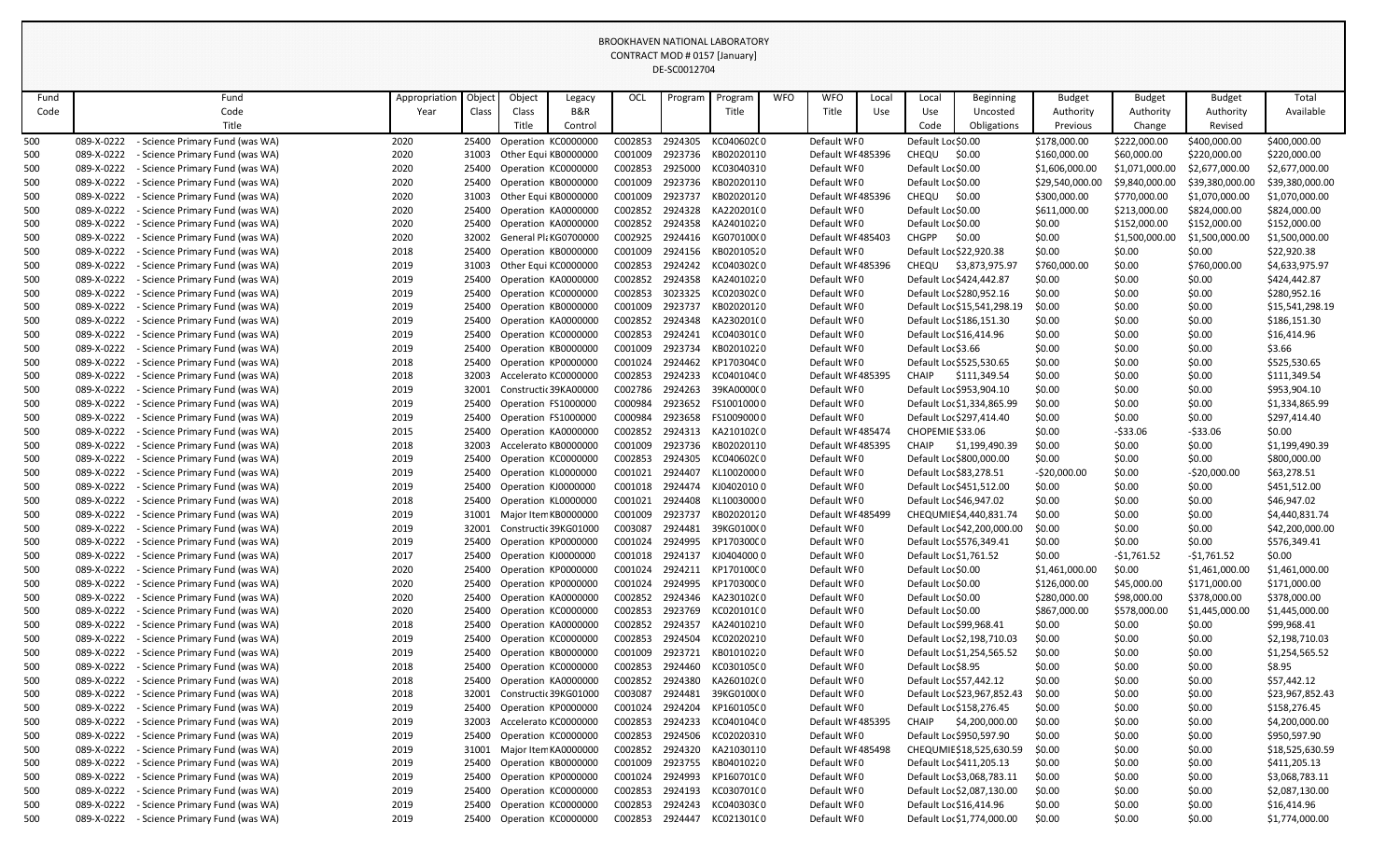|            |                          |                                                                       |               |                |                     |                                            |                    | DE-SC0012704       |                          |            |                            |       |                                          |                                                     |                              |                             |                                |                                |
|------------|--------------------------|-----------------------------------------------------------------------|---------------|----------------|---------------------|--------------------------------------------|--------------------|--------------------|--------------------------|------------|----------------------------|-------|------------------------------------------|-----------------------------------------------------|------------------------------|-----------------------------|--------------------------------|--------------------------------|
| Fund       |                          | Fund                                                                  | Appropriation | Objec          | Object              | Legacy                                     | OCL                | Program            | Program                  | <b>WFO</b> | <b>WFO</b>                 | Local | Local                                    | Beginning                                           | <b>Budget</b>                | <b>Budget</b>               | <b>Budget</b>                  | Total                          |
| Code       |                          | Code                                                                  | Year          | Class          | Class               | B&R                                        |                    |                    | Title                    |            | Title                      | Use   | Use                                      | Uncosted                                            | Authority                    | Authority                   | Authority                      | Available                      |
|            |                          | Title                                                                 |               |                | Title               | Control                                    |                    |                    |                          |            |                            |       | Code                                     | Obligations                                         | Previous                     | Change                      | Revised                        |                                |
| 500        | 089-X-0222               | <b>Science Primary Fund (was WA)</b>                                  | 2020          | 25400          |                     | Operation KC0000000                        | C002853            | 2924305            | KC04060200               |            | Default WF0                |       | Default Lor \$0.00                       |                                                     | \$178,000.00                 | \$222,000.00                | \$400,000.00                   | \$400,000.00                   |
| 500        | 089-X-0222               | - Science Primary Fund (was WA)                                       | 2020          | 31003          |                     | Other Equi KB0000000                       | C001009            | 2923736            | KB02020110               |            | Default WF485396           |       | CHEQU                                    | \$0.00                                              | \$160,000.00                 | \$60,000.00                 | \$220,000.00                   | \$220,000.00                   |
| 500        | 089-X-0222               | - Science Primary Fund (was WA)                                       | 2020          | 25400          |                     | Operation KC0000000                        | C002853            | 2925000            | KC03040310               |            | Default WF0                |       | Default Lor \$0.00                       |                                                     | \$1,606,000.00               | \$1,071,000.00              | \$2,677,000.00                 | \$2,677,000.00                 |
| 500        | 089-X-0222               | <b>Science Primary Fund (was WA)</b>                                  | 2020          | 25400          |                     | Operation KB0000000                        | C001009            | 2923736            | KB02020110               |            | Default WF0                |       | Default Lor \$0.00                       |                                                     | \$29,540,000.00              | \$9,840,000.00              | \$39,380,000.00                | \$39,380,000.00                |
| 500        | 089-X-0222               | Science Primary Fund (was WA)                                         | 2020          | 31003          |                     | Other Equi KB0000000                       | C001009            | 2923737            | KB02020120               |            | Default WF485396           |       | CHEQU                                    | \$0.00                                              | \$300,000.00                 | \$770,000.00                | \$1,070,000.00                 | \$1,070,000.00                 |
| 500        | 089-X-0222               | Science Primary Fund (was WA)                                         | 2020          | 25400          |                     | Operation KA0000000                        | C002852            | 2924328            | KA220201(0               |            | Default WF0                |       | Default Lor \$0.00                       |                                                     | \$611,000.00                 | \$213,000.00                | \$824,000.00                   | \$824,000.00                   |
| 500        | 089-X-0222               | <b>Science Primary Fund (was WA)</b>                                  | 2020          | 25400          |                     | Operation KA0000000                        | C002852            | 2924358            | KA24010220               |            | Default WF0                |       | Default Lor \$0.00                       |                                                     | \$0.00                       | \$152,000.00                | \$152,000.00                   | \$152,000.00                   |
| 500        | 089-X-0222               | Science Primary Fund (was WA)                                         | 2020          | 32002          |                     | General PlaKG0700000                       | C002925            | 2924416            | KG070100(0               |            | Default WF485403           |       | <b>CHGPP</b>                             | \$0.00                                              | \$0.00                       | \$1,500,000.00              | \$1,500,000.00                 | \$1,500,000.00                 |
| 500        | 089-X-0222               | - Science Primary Fund (was WA)                                       | 2018          | 25400          |                     | Operation KB0000000                        | C001009            | 2924156            | KB02010520               |            | Default WF0                |       |                                          | Default Loc \$22,920.38                             | \$0.00                       | \$0.00                      | \$0.00                         | \$22,920.38                    |
| 500        | 089-X-0222               | <b>Science Primary Fund (was WA)</b>                                  | 2019          | 31003          |                     | Other Equi KC0000000                       | C002853            | 2924242            | KC040302C0               |            | Default WF485396           |       | CHEQU                                    | \$3,873,975.97                                      | \$760,000.00                 | \$0.00                      | \$760,000.00                   | \$4,633,975.97                 |
| 500        | 089-X-0222               | <b>Science Primary Fund (was WA)</b>                                  | 2019          | 25400          |                     | Operation KA0000000                        | C002852            | 2924358            | KA24010220               |            | Default WF0                |       |                                          | Default Loc \$424,442.87                            | \$0.00                       | \$0.00                      | \$0.00                         | \$424,442.87                   |
| 500        | 089-X-0222               | <b>Science Primary Fund (was WA)</b>                                  | 2019          | 25400          |                     | Operation KC0000000                        | C002853            | 3023325            | KC020302C0               |            | Default WF0                |       |                                          | Default Loc \$280,952.16                            | \$0.00                       | \$0.00                      | \$0.00                         | \$280,952.16                   |
| 500        | 089-X-0222               | <b>Science Primary Fund (was WA)</b><br>Science Primary Fund (was WA) | 2019          | 25400          |                     | Operation KB0000000                        | C001009            | 2923737<br>2924348 | KB02020120<br>KA230201(0 |            | Default WF0<br>Default WF0 |       |                                          | Default Loc \$15,541,298.19                         | \$0.00                       | \$0.00                      | \$0.00                         | \$15,541,298.19                |
| 500<br>500 | 089-X-0222<br>089-X-0222 | Science Primary Fund (was WA)                                         | 2019<br>2019  | 25400<br>25400 |                     | Operation KA0000000<br>Operation KC0000000 | C002852<br>C002853 | 2924241            | KC040301C0               |            | Default WFO                |       |                                          | Default Loc \$186,151.30<br>Default Loc \$16,414.96 | \$0.00<br>\$0.00             | \$0.00<br>\$0.00            | \$0.00<br>\$0.00               | \$186,151.30<br>\$16,414.96    |
| 500        | 089-X-0222               | <b>Science Primary Fund (was WA)</b>                                  | 2019          | 25400          |                     | Operation KB0000000                        | C001009            | 2923734            | KB02010220               |            | Default WF0                |       | Default Loc \$3.66                       |                                                     | \$0.00                       | \$0.00                      | \$0.00                         | \$3.66                         |
| 500        | 089-X-0222               | <b>Science Primary Fund (was WA)</b>                                  | 2018          | 25400          |                     | Operation KP0000000                        | C001024            | 2924462            | KP170304C0               |            | Default WF0                |       |                                          | Default Loc \$525,530.65                            | \$0.00                       | \$0.00                      | \$0.00                         | \$525,530.65                   |
| 500        | 089-X-0222               | Science Primary Fund (was WA)                                         | 2018          | 32003          |                     | Accelerato KC0000000                       | C002853            | 2924233            | KC040104C0               |            | Default WF485395           |       | <b>CHAIP</b>                             | \$111,349.54                                        | \$0.00                       | \$0.00                      | \$0.00                         | \$111,349.54                   |
| 500        | 089-X-0222               | - Science Primary Fund (was WA)                                       | 2019          | 32001          |                     | Constructic 39KA00000                      | C002786            | 2924263            | 39KA0000(0               |            | Default WF0                |       |                                          | Default Loc \$953,904.10                            | \$0.00                       | \$0.00                      | \$0.00                         | \$953,904.10                   |
| 500        | 089-X-0222               | Science Primary Fund (was WA)                                         | 2019          | 25400          |                     | Operation FS1000000                        | C000984            | 2923652            | FS10010000               |            | Default WF0                |       |                                          | Default Loc \$1,334,865.99                          | \$0.00                       | \$0.00                      | \$0.00                         | \$1,334,865.99                 |
| 500        | 089-X-0222               | Science Primary Fund (was WA)                                         | 2019          | 25400          |                     | Operation FS1000000                        | C000984            | 2923658            | FS10090000               |            | Default WF0                |       |                                          | Default Loc \$297,414.40                            | \$0.00                       | \$0.00                      | \$0.00                         | \$297,414.40                   |
| 500        | 089-X-0222               | Science Primary Fund (was WA)                                         | 2015          | 25400          |                     | Operation KA0000000                        | C002852            | 2924313            | KA210102(0               |            | Default WI 485474          |       | CHOPEMIE \$33.06                         |                                                     | \$0.00                       | $-533.06$                   | $-533.06$                      | \$0.00                         |
| 500        | 089-X-0222               | Science Primary Fund (was WA)                                         | 2018          | 32003          |                     | Accelerato KB0000000                       | C001009            | 2923736            | KB02020110               |            | Default WF485395           |       | <b>CHAIP</b>                             | \$1,199,490.39                                      | \$0.00                       | \$0.00                      | \$0.00                         | \$1,199,490.39                 |
| 500        | 089-X-0222               | - Science Primary Fund (was WA)                                       | 2019          | 25400          |                     | Operation KC0000000                        | C002853            | 2924305            | KC040602C0               |            | Default WF0                |       |                                          | Default Lor \$800,000.00                            | \$0.00                       | \$0.00                      | \$0.00                         | \$800,000.00                   |
| 500        | 089-X-0222               | - Science Primary Fund (was WA)                                       | 2019          | 25400          |                     | Operation KL0000000                        | C001021            | 2924407            | KL10020000               |            | Default WF0                |       |                                          | Default Loc \$83,278.51                             | $-520,000.00$                | \$0.00                      | $-520,000.00$                  | \$63,278.51                    |
| 500        | 089-X-0222               | <b>Science Primary Fund (was WA)</b>                                  | 2019          | 25400          | Operation KJ0000000 |                                            | C001018            | 2924474            | KJ04020100               |            | Default WF0                |       |                                          | Default Loc \$451,512.00                            | \$0.00                       | \$0.00                      | \$0.00                         | \$451,512.00                   |
| 500        | 089-X-0222               | - Science Primary Fund (was WA)                                       | 2018          | 25400          |                     | Operation KL0000000                        | C001021            | 2924408            | KL10030000               |            | Default WF0                |       |                                          | Default Loc \$46,947.02                             | \$0.00                       | \$0.00                      | \$0.00                         | \$46,947.02                    |
| 500        | 089-X-0222               | - Science Primary Fund (was WA)                                       | 2019          |                |                     | Major Item KB0000000                       | C001009            | 2923737            | KB02020120               |            | Default WF485499           |       |                                          | CHEQUMIE \$4,440,831.74                             | \$0.00                       | \$0.00                      | \$0.00                         | \$4,440,831.74                 |
| 500        | 089-X-0222               | - Science Primary Fund (was WA)                                       | 2019          | 32001          |                     | Constructic 39KG01000                      | C003087            | 2924481            | 39KG0100(0               |            | Default WFO                |       |                                          | Default Loc \$42,200,000.00                         | \$0.00                       | \$0.00                      | \$0.00                         | \$42,200,000.00                |
| 500        | 089-X-0222               | <b>Science Primary Fund (was WA)</b>                                  | 2019          | 25400          |                     | Operation KP0000000                        | C001024            | 2924995            | KP170300C0               |            | Default WF0                |       |                                          | Default Loc \$576,349.41                            | \$0.00                       | \$0.00                      | \$0.00                         | \$576,349.41                   |
| 500        | 089-X-0222               | Science Primary Fund (was WA)                                         | 2017          | 25400          |                     | Operation KJ0000000                        | C001018            | 2924137            | KJ04040000               |            | Default WF0                |       |                                          | Default Loc \$1,761.52                              | \$0.00                       | -\$1,761.52                 | $-$1,761.52$                   | \$0.00                         |
| 500        | 089-X-0222               | <b>Science Primary Fund (was WA)</b>                                  | 2020          | 25400          |                     | Operation KP0000000                        | C001024 2924211    |                    | KP170100C0               |            | Default WF0                |       | Default Loc \$0.00                       |                                                     | \$1,461,000.00               | \$0.00                      | \$1,461,000.00                 | \$1,461,000.00                 |
| 500        | 089-X-0222<br>089-X-0222 | - Science Primary Fund (was WA)                                       | 2020          | 25400          |                     | Operation KP0000000                        | C001024            | 2924995<br>2924346 | KP170300C0<br>KA230102(0 |            | Default WF0<br>Default WFO |       | Default Loc \$0.00<br>Default Loc \$0.00 |                                                     | \$126,000.00                 | \$45,000.00                 | \$171,000.00                   | \$171,000.00                   |
| 500<br>500 | 089-X-0222               | Science Primary Fund (was WA)<br>Science Primary Fund (was WA)        | 2020<br>2020  | 25400<br>25400 |                     | Operation KA0000000<br>Operation KC0000000 | C002852<br>C002853 | 2923769            | KC020101C0               |            | Default WF0                |       | Default Loc \$0.00                       |                                                     | \$280,000.00<br>\$867,000.00 | \$98,000.00<br>\$578,000.00 | \$378,000.00<br>\$1,445,000.00 | \$378,000.00<br>\$1,445,000.00 |
| 500        | 089-X-0222               | Science Primary Fund (was WA)                                         | 2018          | 25400          |                     | Operation KA0000000                        | C002852            | 2924357            | KA24010210               |            | Default WF0                |       |                                          | Default Loc \$99,968.41                             | \$0.00                       | \$0.00                      | \$0.00                         | \$99,968.41                    |
| 500        | 089-X-0222               | Science Primary Fund (was WA)                                         | 2019          | 25400          |                     | Operation KC0000000                        | C002853            | 2924504            | KC02020210               |            | Default WF0                |       |                                          | Default Loc \$2,198,710.03                          | \$0.00                       | \$0.00                      | \$0.00                         | \$2,198,710.03                 |
| 500        | 089-X-0222               | - Science Primary Fund (was WA)                                       | 2019          | 25400          |                     | Operation KB0000000                        | C001009            | 2923721            | KB01010220               |            | Default WF0                |       |                                          | Default Loc \$1,254,565.52                          | \$0.00                       | \$0.00                      | \$0.00                         | \$1,254,565.52                 |
| 500        | 089-X-0222               | Science Primary Fund (was WA)                                         | 2018          | 25400          |                     | Operation KC0000000                        | C002853            | 2924460            | KC030105C0               |            | Default WF0                |       | Default Loc \$8.95                       |                                                     | \$0.00                       | \$0.00                      | \$0.00                         | \$8.95                         |
| 500        | 089-X-0222               | <b>Science Primary Fund (was WA)</b>                                  | 2018          | 25400          |                     | Operation KA0000000                        | C002852            | 2924380            | KA260102(0               |            | Default WF0                |       |                                          | Default Loc \$57,442.12                             | \$0.00                       | \$0.00                      | \$0.00                         | \$57,442.12                    |
| 500        | 089-X-0222               | Science Primary Fund (was WA)                                         | 2018          | 32001          |                     | Constructic 39KG01000                      | C003087            | 2924481            | 39KG0100(0               |            | Default WF0                |       |                                          | Default Loc \$23,967,852.43                         | \$0.00                       | \$0.00                      | \$0.00                         | \$23,967,852.43                |
| 500        | 089-X-0222               | Science Primary Fund (was WA)                                         | 2019          | 25400          |                     | Operation KP0000000                        | C001024            | 2924204            | KP160105C0               |            | Default WFO                |       |                                          | Default Loc \$158,276.45                            | \$0.00                       | \$0.00                      | \$0.00                         | \$158,276.45                   |
| 500        | 089-X-0222               | Science Primary Fund (was WA)                                         | 2019          | 32003          |                     | Accelerato KC0000000                       | C002853            | 2924233            | KC040104C0               |            | Default WF485395           |       | <b>CHAIP</b>                             | \$4,200,000.00                                      | \$0.00                       | \$0.00                      | \$0.00                         | \$4,200,000.00                 |
| 500        | 089-X-0222               | - Science Primary Fund (was WA)                                       | 2019          | 25400          |                     | Operation KC0000000                        | C002853            | 2924506            | KC02020310               |            | Default WF0                |       |                                          | Default Loc \$950,597.90                            | \$0.00                       | \$0.00                      | \$0.00                         | \$950,597.90                   |
| 500        | 089-X-0222               | Science Primary Fund (was WA)                                         | 2019          | 31001          |                     | Major Item KA0000000                       | C002852            | 2924320            | KA21030110               |            | Default WF485498           |       |                                          | CHEQUMIE \$18,525,630.59                            | \$0.00                       | \$0.00                      | \$0.00                         | \$18,525,630.59                |
| 500        | 089-X-0222               | <b>Science Primary Fund (was WA)</b>                                  | 2019          | 25400          |                     | Operation KB0000000                        | C001009            | 2923755            | KB04010220               |            | Default WF0                |       |                                          | Default Loc \$411,205.13                            | \$0.00                       | \$0.00                      | \$0.00                         | \$411,205.13                   |
| 500        | 089-X-0222               | Science Primary Fund (was WA)                                         | 2019          | 25400          |                     | Operation KP0000000                        | C001024            | 2924993            | KP160701C0               |            | Default WF0                |       |                                          | Default Loc \$3,068,783.11                          | \$0.00                       | \$0.00                      | \$0.00                         | \$3,068,783.11                 |
| 500        | 089-X-0222               | <b>Science Primary Fund (was WA)</b>                                  | 2019          | 25400          |                     | Operation KC0000000                        | C002853            | 2924193            | KC030701C0               |            | Default WF0                |       |                                          | Default Loc \$2,087,130.00                          | \$0.00                       | \$0.00                      | \$0.00                         | \$2,087,130.00                 |
| 500        | 089-X-0222               | - Science Primary Fund (was WA)                                       | 2019          | 25400          |                     | Operation KC0000000                        | C002853            | 2924243            | KC040303C0               |            | Default WF0                |       |                                          | Default Loc \$16,414.96                             | \$0.00                       | \$0.00                      | \$0.00                         | \$16,414.96                    |
| 500        | 089-X-0222               | - Science Primary Fund (was WA)                                       | 2019          |                |                     | 25400 Operation KC0000000                  | C002853            | 2924447            | KC021301C0               |            | Default WFO                |       |                                          | Default Loc \$1,774,000.00                          | \$0.00                       | \$0.00                      | \$0.00                         | \$1,774,000.00                 |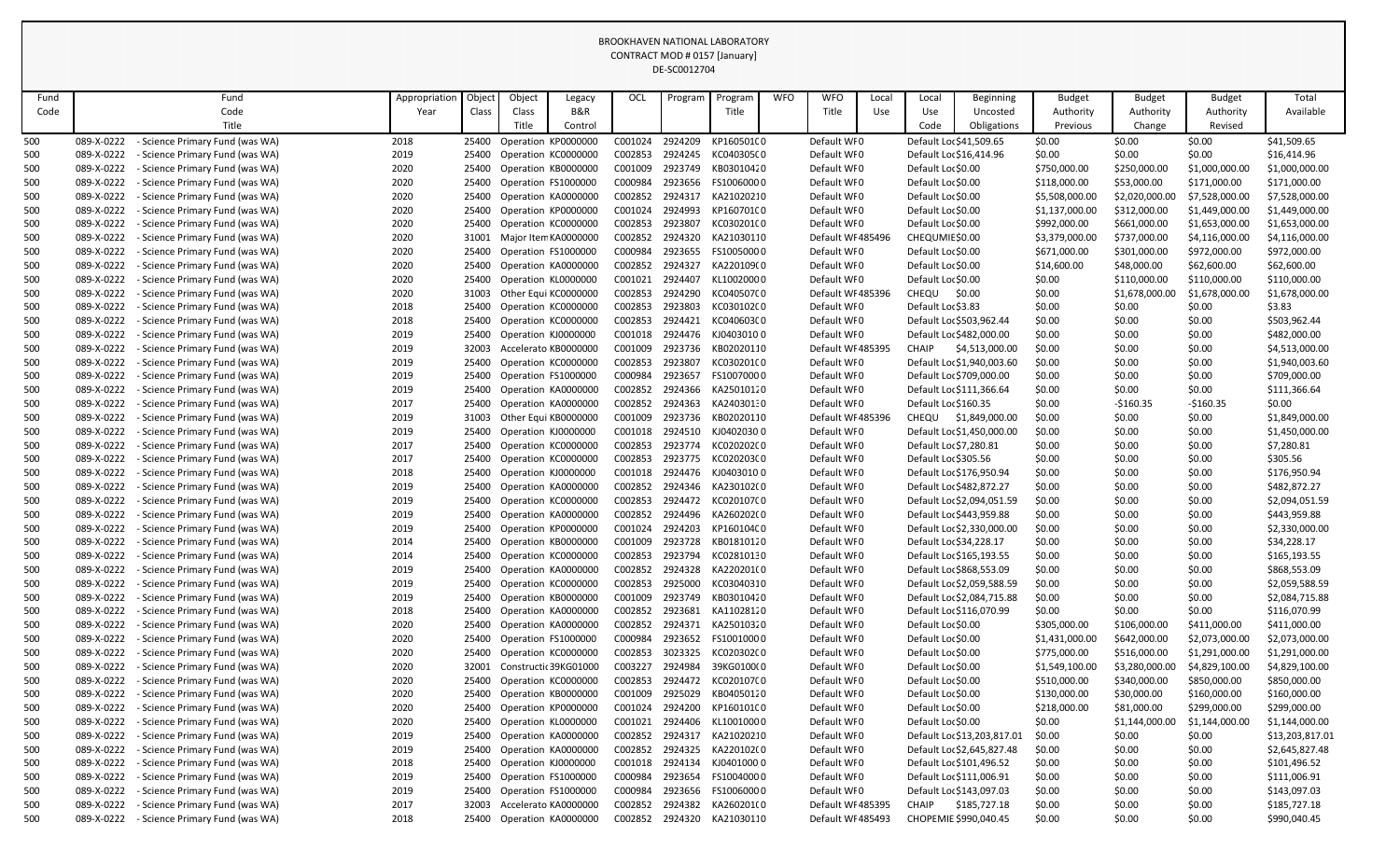|            |                          |                                                                       |               |                |                     |                                            |                    | DE-SC0012704       |                          |            |                            |       |                                          |                                                        |                                |                              |                                  |                                  |
|------------|--------------------------|-----------------------------------------------------------------------|---------------|----------------|---------------------|--------------------------------------------|--------------------|--------------------|--------------------------|------------|----------------------------|-------|------------------------------------------|--------------------------------------------------------|--------------------------------|------------------------------|----------------------------------|----------------------------------|
| Fund       |                          | Fund                                                                  | Appropriation | Objed          | Object              | Legacy                                     | OCL                | Program            | Program                  | <b>WFO</b> | <b>WFO</b>                 | Local | Local                                    | <b>Beginning</b>                                       | <b>Budget</b>                  | <b>Budget</b>                | <b>Budget</b>                    | Total                            |
| Code       |                          | Code                                                                  | Year          | Class          | Class               | <b>B&amp;R</b>                             |                    |                    | Title                    |            | Title                      | Use   | Use                                      | Uncosted                                               | Authority                      | Authority                    | Authority                        | Available                        |
|            |                          | Title                                                                 |               |                | Title               | Control                                    |                    |                    |                          |            |                            |       | Code                                     | Obligations                                            | Previous                       | Change                       | Revised                          |                                  |
| 500        | 089-X-0222               | Science Primary Fund (was WA)                                         | 2018          | 25400          |                     | Operation KP0000000                        | C001024            | 2924209            | KP160501C0               |            | Default WF0                |       |                                          | Default Loc \$41,509.65                                | \$0.00                         | \$0.00                       | \$0.00                           | \$41,509.65                      |
| 500        | 089-X-0222               | - Science Primary Fund (was WA)                                       | 2019          | 25400          |                     | Operation KC0000000                        | C002853            | 2924245            | KC040305C0               |            | Default WF0                |       |                                          | Default Loc \$16,414.96                                | \$0.00                         | \$0.00                       | \$0.00                           | \$16,414.96                      |
| 500        | 089-X-0222               | - Science Primary Fund (was WA)                                       | 2020          | 25400          |                     | Operation KB0000000                        | C001009            | 2923749            | KB03010420               |            | Default WF0                |       | Default Loc \$0.00                       |                                                        | \$750,000.00                   | \$250,000.00                 | \$1,000,000.00                   | \$1,000,000.00                   |
| 500        | 089-X-0222               | Science Primary Fund (was WA)                                         | 2020          | 25400          |                     | Operation FS1000000                        | C000984            | 2923656            | FS10060000               |            | Default WFO                |       | Default Loc \$0.00                       |                                                        | \$118,000.00                   | \$53,000.00                  | \$171,000.00                     | \$171,000.00                     |
| 500        | 089-X-0222<br>089-X-0222 | <b>Science Primary Fund (was WA)</b><br>Science Primary Fund (was WA) | 2020<br>2020  | 25400<br>25400 |                     | Operation KA0000000<br>Operation KP0000000 | C002852            | 2924317<br>2924993 | KA21020210<br>KP160701C0 |            | Default WF0<br>Default WF0 |       | Default Loc \$0.00<br>Default Loc \$0.00 |                                                        | \$5,508,000.00                 | \$2,020,000.00               | \$7,528,000.00                   | \$7,528,000.00<br>\$1,449,000.00 |
| 500<br>500 | 089-X-0222               | Science Primary Fund (was WA)                                         | 2020          | 25400          |                     | Operation KC0000000                        | C001024<br>C002853 | 2923807            | KC03020100               |            | Default WF0                |       | Default Loc \$0.00                       |                                                        | \$1,137,000.00<br>\$992,000.00 | \$312,000.00<br>\$661,000.00 | \$1,449,000.00<br>\$1,653,000.00 | \$1,653,000.00                   |
| 500        | 089-X-0222               | Science Primary Fund (was WA)                                         | 2020          | 31001          |                     | Major Item KA0000000                       | C002852            | 2924320            | KA21030110               |            | Default WF485496           |       | CHEQUMIE \$0.00                          |                                                        | \$3,379,000.00                 | \$737,000.00                 | \$4,116,000.00                   | \$4,116,000.00                   |
| 500        | 089-X-0222               | <b>Science Primary Fund (was WA)</b>                                  | 2020          | 25400          |                     | Operation FS1000000                        | C000984            | 2923655            | FS10050000               |            | Default WFO                |       | Default Loc \$0.00                       |                                                        | \$671,000.00                   | \$301,000.00                 | \$972,000.00                     | \$972,000.00                     |
| 500        | 089-X-0222               | Science Primary Fund (was WA)                                         | 2020          | 25400          |                     | Operation KA0000000                        | C002852            | 2924327            | KA220109(0               |            | Default WF0                |       | Default Loc \$0.00                       |                                                        | \$14,600.00                    | \$48,000.00                  | \$62,600.00                      | \$62,600.00                      |
| 500        | 089-X-0222               | Science Primary Fund (was WA)                                         | 2020          | 25400          |                     | Operation KL0000000                        | C001021            | 2924407            | KL10020000               |            | Default WF0                |       | Default Loc \$0.00                       |                                                        | \$0.00                         | \$110,000.00                 | \$110,000.00                     | \$110,000.00                     |
| 500        | 089-X-0222               | Science Primary Fund (was WA)                                         | 2020          | 31003          |                     | Other Equi KC0000000                       | C002853            | 2924290            | KC040507C0               |            | Default WF485396           |       | CHEQU                                    | \$0.00                                                 | \$0.00                         | \$1,678,000.00               | \$1,678,000.00                   | \$1,678,000.00                   |
| 500        | 089-X-0222               | Science Primary Fund (was WA)                                         | 2018          | 25400          |                     | Operation KC0000000                        | C002853            | 2923803            | KC030102C0               |            | Default WF0                |       | Default Loc \$3.83                       |                                                        | \$0.00                         | \$0.00                       | \$0.00                           | \$3.83                           |
| 500        | 089-X-0222               | - Science Primary Fund (was WA)                                       | 2018          | 25400          |                     | Operation KC0000000                        | C002853            | 2924421            | KC040603C0               |            | Default WF0                |       |                                          | Default Loc \$503,962.44                               | \$0.00                         | \$0.00                       | \$0.00                           | \$503,962.44                     |
| 500        | 089-X-0222               | Science Primary Fund (was WA)                                         | 2019          | 25400          | Operation KJ0000000 |                                            | C001018            | 2924476            | KJ040301000              |            | Default WF0                |       |                                          | Default Loc \$482,000.00                               | \$0.00                         | \$0.00                       | \$0.00                           | \$482,000.00                     |
| 500        | 089-X-0222               | Science Primary Fund (was WA)                                         | 2019          | 32003          |                     | Accelerato KB0000000                       | C001009            | 2923736            | KB02020110               |            | Default WI 485395          |       | <b>CHAIP</b>                             | \$4,513,000.00                                         | \$0.00                         | \$0.00                       | \$0.00                           | \$4,513,000.00                   |
| 500        | 089-X-0222<br>089-X-0222 | Science Primary Fund (was WA)<br>Science Primary Fund (was WA)        | 2019<br>2019  | 25400<br>25400 |                     | Operation KC0000000<br>Operation FS1000000 | C002853<br>C000984 | 2923807<br>2923657 | KC03020100<br>FS10070000 |            | Default WF0<br>Default WF0 |       |                                          | Default Loc \$1,940,003.60<br>Default Lor \$709,000.00 | \$0.00<br>\$0.00               | \$0.00<br>\$0.00             | \$0.00<br>\$0.00                 | \$1,940,003.60<br>\$709,000.00   |
| 500<br>500 | 089-X-0222               | Science Primary Fund (was WA)                                         | 2019          | 25400          |                     | Operation KA0000000                        | C002852            | 2924366            | KA25010120               |            | Default WF0                |       |                                          | Default Loc \$111,366.64                               | \$0.00                         | \$0.00                       | \$0.00                           | \$111,366.64                     |
| 500        | 089-X-0222               | <b>Science Primary Fund (was WA)</b>                                  | 2017          | 25400          |                     | Operation KA0000000                        | C002852            | 2924363            | KA24030130               |            | Default WFO                |       | Default Loc \$160.35                     |                                                        | \$0.00                         | $-5160.35$                   | $-$160.35$                       | \$0.00                           |
| 500        | 089-X-0222               | Science Primary Fund (was WA)                                         | 2019          | 31003          |                     | Other Equi KB0000000                       | C001009            | 2923736            | KB02020110               |            | Default WF485396           |       | <b>CHEQU</b>                             | \$1,849,000.00                                         | \$0.00                         | \$0.00                       | \$0.00                           | \$1,849,000.00                   |
| 500        | 089-X-0222               | Science Primary Fund (was WA)                                         | 2019          | 25400          | Operation KJ0000000 |                                            | C001018            | 2924510            | KJ04020300               |            | Default WFO                |       |                                          | Default Loc \$1,450,000.00                             | \$0.00                         | \$0.00                       | \$0.00                           | \$1,450,000.00                   |
| 500        | 089-X-0222               | Science Primary Fund (was WA)                                         | 2017          | 25400          |                     | Operation KC0000000                        | C002853            | 2923774            | KC020202C0               |            | Default WFO                |       |                                          | Default Loc \$7,280.81                                 | \$0.00                         | \$0.00                       | \$0.00                           | \$7,280.81                       |
| 500        | 089-X-0222               | Science Primary Fund (was WA)                                         | 2017          | 25400          |                     | Operation KC0000000                        | C002853            | 2923775            | KC020203C0               |            | Default WFO                |       | Default Loc \$305.56                     |                                                        | \$0.00                         | \$0.00                       | \$0.00                           | \$305.56                         |
| 500        | 089-X-0222               | - Science Primary Fund (was WA)                                       | 2018          | 25400          | Operation KJ0000000 |                                            | C001018            | 2924476            | KJ040301000              |            | Default WFO                |       |                                          | Default Loc \$176,950.94                               | \$0.00                         | \$0.00                       | \$0.00                           | \$176,950.94                     |
| 500        | 089-X-0222               | - Science Primary Fund (was WA)                                       | 2019          | 25400          |                     | Operation KA0000000                        | C002852            | 2924346            | KA230102(0               |            | Default WF0                |       |                                          | Default Loc \$482,872.27                               | \$0.00                         | \$0.00                       | \$0.00                           | \$482,872.27                     |
| 500        | 089-X-0222               | - Science Primary Fund (was WA)                                       | 2019          | 25400          |                     | Operation KC0000000                        | C002853 2924472    |                    | KC020107C0               |            | Default WF0                |       |                                          | Default Loc \$2,094,051.59                             | \$0.00                         | \$0.00                       | \$0.00                           | \$2,094,051.59                   |
| 500        | 089-X-0222               | - Science Primary Fund (was WA)                                       | 2019          | 25400          |                     | Operation KA0000000                        | C002852            | 2924496            | KA260202(0               |            | Default WF0                |       |                                          | Default Loc \$443,959.88                               | \$0.00                         | \$0.00                       | \$0.00                           | \$443,959.88                     |
| 500<br>500 | 089-X-0222<br>089-X-0222 | Science Primary Fund (was WA)<br>- Science Primary Fund (was WA)      | 2019<br>2014  | 25400<br>25400 |                     | Operation KP0000000<br>Operation KB0000000 | C001024<br>C001009 | 2924203<br>2923728 | KP160104C0<br>KB01810120 |            | Default WF0<br>Default WF0 |       |                                          | Default Loc \$2,330,000.00<br>Default Loc \$34,228.17  | \$0.00<br>\$0.00               | \$0.00<br>\$0.00             | \$0.00<br>\$0.00                 | \$2,330,000.00<br>\$34,228.17    |
| 500        | 089-X-0222               | Science Primary Fund (was WA)                                         | 2014          | 25400          |                     | Operation KC0000000                        | C002853            | 2923794            | KC02810130               |            | Default WFO                |       |                                          | Default Loc \$165,193.55                               | \$0.00                         | \$0.00                       | \$0.00                           | \$165,193.55                     |
| 500        | 089-X-0222               | Science Primary Fund (was WA)                                         | 2019          | 25400          |                     | Operation KA0000000                        | C002852            | 2924328            | KA220201(0               |            | Default WF0                |       |                                          | Default Loc \$868,553.09                               | \$0.00                         | \$0.00                       | \$0.00                           | \$868,553.09                     |
| 500        | 089-X-0222               | Science Primary Fund (was WA)                                         | 2019          | 25400          |                     | Operation KC0000000                        | C002853            | 2925000            | KC03040310               |            | Default WFO                |       |                                          | Default Loc \$2,059,588.59                             | \$0.00                         | \$0.00                       | \$0.00                           | \$2,059,588.59                   |
| 500        | 089-X-0222               | Science Primary Fund (was WA)                                         | 2019          | 25400          |                     | Operation KB0000000                        | C001009            | 2923749            | KB03010420               |            | Default WF0                |       |                                          | Default Loc \$2,084,715.88                             | \$0.00                         | \$0.00                       | \$0.00                           | \$2,084,715.88                   |
| 500        | 089-X-0222               | Science Primary Fund (was WA)                                         | 2018          | 25400          |                     | Operation KA0000000                        | C002852            | 2923681            | KA11028120               |            | Default WF0                |       |                                          | Default Loc \$116,070.99                               | \$0.00                         | \$0.00                       | \$0.00                           | \$116,070.99                     |
| 500        | 089-X-0222               | Science Primary Fund (was WA)                                         | 2020          | 25400          |                     | Operation KA0000000                        | C002852            | 2924371            | KA25010320               |            | Default WFO                |       | Default Lor \$0.00                       |                                                        | \$305,000.00                   | \$106,000.00                 | \$411,000.00                     | \$411,000.00                     |
| 500        | 089-X-0222               | Science Primary Fund (was WA)                                         | 2020          | 25400          |                     | Operation FS1000000                        | C000984            | 2923652            | FS10010000               |            | Default WF0                |       | Default Loc \$0.00                       |                                                        | \$1,431,000.00                 | \$642,000.00                 | \$2,073,000.00                   | \$2,073,000.00                   |
| 500        | 089-X-0222               | - Science Primary Fund (was WA)                                       | 2020          | 25400          |                     | Operation KC0000000                        | C002853            | 3023325            | KC020302C0               |            | Default WF0                |       | Default Loc \$0.00                       |                                                        | \$775,000.00                   | \$516,000.00                 | \$1,291,000.00                   | \$1,291,000.00                   |
| 500        | 089-X-0222<br>089-X-0222 | Science Primary Fund (was WA)                                         | 2020          | 32001          |                     | Constructic 39KG01000                      | C003227            | 2924984<br>2924472 | 39KG0100(0               |            | Default WFO<br>Default WF0 |       | Default Loc \$0.00<br>Default Loc \$0.00 |                                                        | \$1,549,100.00                 | \$3,280,000.00               | \$4,829,100.00                   | \$4,829,100.00                   |
| 500<br>500 | 089-X-0222               | Science Primary Fund (was WA)<br>Science Primary Fund (was WA)        | 2020<br>2020  | 25400<br>25400 |                     | Operation KC0000000<br>Operation KB0000000 | C002853<br>C001009 | 2925029            | KC020107C0<br>KB04050120 |            | Default WFO                |       | Default Loc \$0.00                       |                                                        | \$510,000.00<br>\$130,000.00   | \$340,000.00<br>\$30,000.00  | \$850,000.00<br>\$160,000.00     | \$850,000.00<br>\$160,000.00     |
| 500        | 089-X-0222               | Science Primary Fund (was WA)                                         | 2020          | 25400          |                     | Operation KP0000000                        | C001024            | 2924200            | KP160101C0               |            | Default WF0                |       | Default Loc \$0.00                       |                                                        | \$218,000.00                   | \$81,000.00                  | \$299,000.00                     | \$299,000.00                     |
| 500        | 089-X-0222               | - Science Primary Fund (was WA)                                       | 2020          | 25400          |                     | Operation KL0000000                        | C001021            | 2924406            | KL10010000               |            | Default WF0                |       | Default Loc \$0.00                       |                                                        | \$0.00                         | \$1,144,000.00               | \$1,144,000.00                   | \$1,144,000.00                   |
| 500        | 089-X-0222               | Science Primary Fund (was WA)                                         | 2019          | 25400          |                     | Operation KA0000000                        | C002852            | 2924317            | KA21020210               |            | Default WFO                |       |                                          | Default Loc \$13,203,817.01                            | \$0.00                         | \$0.00                       | \$0.00                           | \$13,203,817.01                  |
| 500        | 089-X-0222               | Science Primary Fund (was WA)                                         | 2019          | 25400          |                     | Operation KA0000000                        | C002852            | 2924325            | KA220102(0               |            | Default WF0                |       |                                          | Default Loc \$2,645,827.48                             | \$0.00                         | \$0.00                       | \$0.00                           | \$2,645,827.48                   |
| 500        | 089-X-0222               | Science Primary Fund (was WA)                                         | 2018          | 25400          | Operation KJ0000000 |                                            | C001018            | 2924134            | KJ04010000               |            | Default WFO                |       |                                          | Default Loc \$101,496.52                               | \$0.00                         | \$0.00                       | \$0.00                           | \$101,496.52                     |
| 500        | 089-X-0222               | Science Primary Fund (was WA)                                         | 2019          | 25400          |                     | Operation FS1000000                        | C000984            | 2923654            | FS10040000               |            | Default WFO                |       |                                          | Default Loc \$111,006.91                               | \$0.00                         | \$0.00                       | \$0.00                           | \$111,006.91                     |
| 500        | 089-X-0222               | - Science Primary Fund (was WA)                                       | 2019          | 25400          |                     | Operation FS1000000                        | C000984            | 2923656            | FS10060000               |            | Default WF0                |       |                                          | Default Loc \$143,097.03                               | \$0.00                         | \$0.00                       | \$0.00                           | \$143,097.03                     |
| 500        | 089-X-0222               | Science Primary Fund (was WA)                                         | 2017          | 32003          |                     | Accelerato KA0000000                       | C002852            | 2924382            | KA260201(0               |            | Default WI 485395          |       | <b>CHAIP</b>                             | \$185,727.18                                           | \$0.00                         | \$0.00                       | \$0.00                           | \$185,727.18                     |
| 500        | 089-X-0222               | - Science Primary Fund (was WA)                                       | 2018          | 25400          |                     | Operation KA0000000                        | C002852            | 2924320            | KA21030110               |            | Default WI 485493          |       |                                          | CHOPEMIE \$990,040.45                                  | \$0.00                         | \$0.00                       | \$0.00                           | \$990,040.45                     |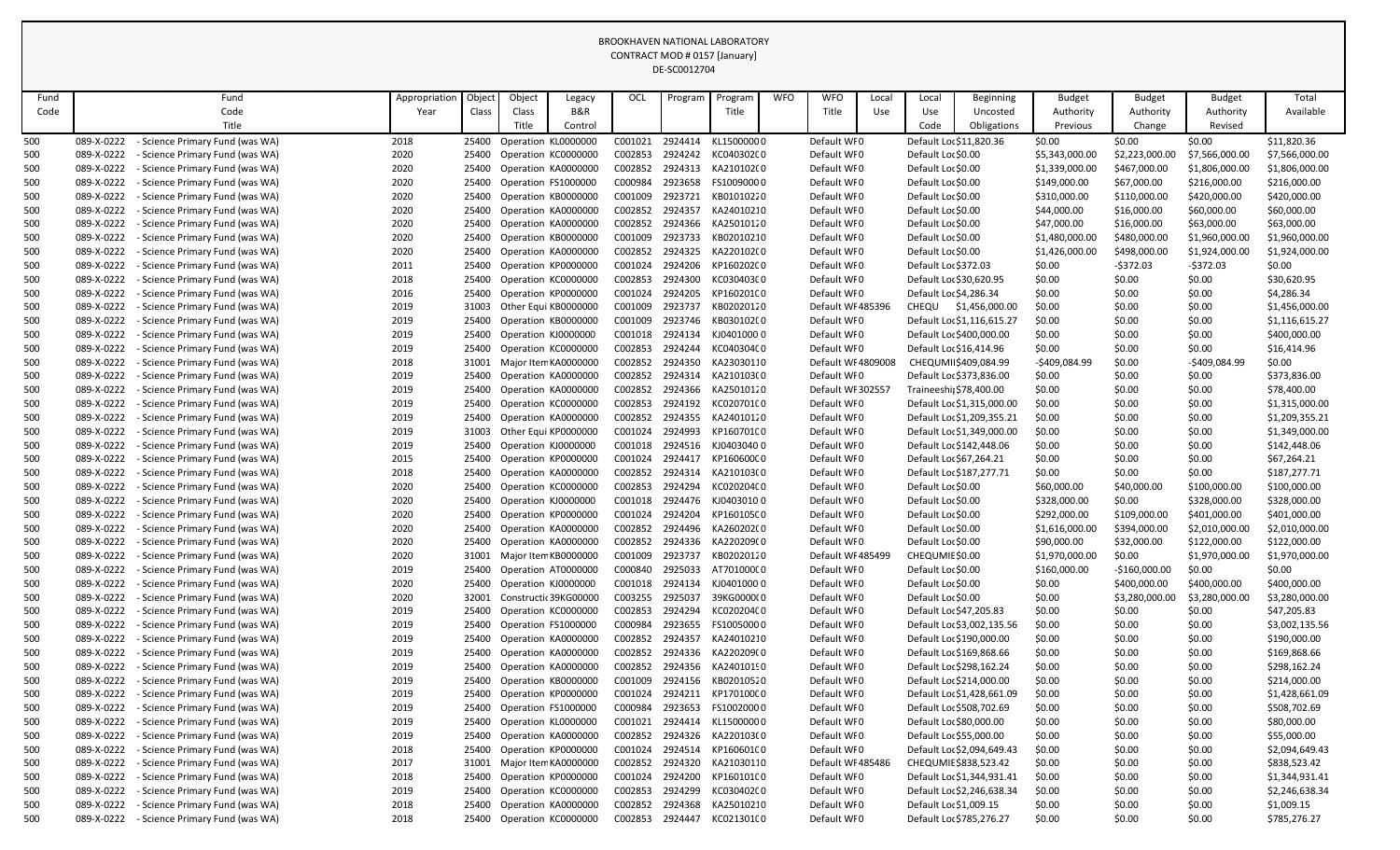|            |                          |                                                                |               |                |                                            |                     |                    | DE-SCOUTZ/04       |                          |            |                                 |       |                          |                            |                  |                  |                  |                                  |
|------------|--------------------------|----------------------------------------------------------------|---------------|----------------|--------------------------------------------|---------------------|--------------------|--------------------|--------------------------|------------|---------------------------------|-------|--------------------------|----------------------------|------------------|------------------|------------------|----------------------------------|
| Fund       |                          | Fund                                                           | Appropriation | Objec-         | Object                                     | Legacy              | OCL                | Program            | Program                  | <b>WFO</b> | <b>WFO</b>                      | Local | Local                    | <b>Beginning</b>           | <b>Budget</b>    | <b>Budget</b>    | <b>Budget</b>    | Total                            |
| Code       |                          | Code                                                           | Year          | Class          | Class                                      | <b>B&amp;R</b>      |                    |                    | Title                    |            | Title                           | Use   | Use                      | Uncosted                   | Authority        | Authority        | Authority        | Available                        |
|            |                          | Title                                                          |               |                | Title                                      | Control             |                    |                    |                          |            |                                 |       | Code                     | Obligations                | Previous         | Change           | Revised          |                                  |
| 500        | 089-X-0222               | Science Primary Fund (was WA)                                  | 2018          | 25400          | Operation KL0000000                        |                     | C001021            | 2924414            | KL15000000               |            | Default WF0                     |       | Default Loc \$11,820.36  |                            | \$0.00           | \$0.00           | \$0.00           | \$11,820.36                      |
| 500        | 089-X-0222               | - Science Primary Fund (was WA)                                | 2020          | 25400          | Operation KC0000000                        |                     | C002853            | 2924242            | KC040302C0               |            | Default WF0                     |       | Default Loc \$0.00       |                            | \$5,343,000.00   | \$2,223,000.00   | \$7,566,000.00   | \$7,566,000.00                   |
| 500        | 089-X-0222               | Science Primary Fund (was WA)                                  | 2020          | 25400          | Operation KA0000000                        |                     | C002852            | 2924313            | KA210102(0               |            | Default WF0                     |       | Default Loc \$0.00       |                            | \$1,339,000.00   | \$467,000.00     | \$1,806,000.00   | \$1,806,000.00                   |
| 500        | 089-X-0222               | Science Primary Fund (was WA)                                  | 2020          | 25400          | Operation FS1000000                        |                     | C000984            | 2923658            | FS10090000               |            | Default WF0                     |       | Default Lor \$0.00       |                            | \$149,000.00     | \$67,000.00      | \$216,000.00     | \$216,000.00                     |
| 500        | 089-X-0222               | <b>Science Primary Fund (was WA)</b>                           | 2020          | 25400          | Operation KB0000000                        |                     | C001009            | 2923721            | KB01010220               |            | Default WFO                     |       | Default Loc \$0.00       |                            | \$310,000.00     | \$110,000.00     | \$420,000.00     | \$420,000.00                     |
| 500        | 089-X-0222               | Science Primary Fund (was WA)                                  | 2020          | 25400          | Operation KA0000000                        |                     | C002852            | 2924357            | KA24010210               |            | Default WF0                     |       | Default Loc \$0.00       |                            | \$44,000.00      | \$16,000.00      | \$60,000.00      | \$60,000.00                      |
| 500        | 089-X-0222               | Science Primary Fund (was WA)                                  | 2020          | 25400          | Operation KA0000000                        |                     | C002852            | 2924366            | KA25010120               |            | Default WF0                     |       | Default Loc \$0.00       |                            | \$47,000.00      | \$16,000.00      | \$63,000.00      | \$63,000.00                      |
| 500        | 089-X-0222               | Science Primary Fund (was WA)                                  | 2020          | 25400          | Operation KB0000000                        |                     | C001009            | 2923733            | KB02010210               |            | Default WFO                     |       | Default Loc \$0.00       |                            | \$1,480,000.00   | \$480,000.00     | \$1,960,000.00   | \$1,960,000.00                   |
| 500        | 089-X-0222               | - Science Primary Fund (was WA)                                | 2020          | 25400          | Operation KA0000000                        |                     | C002852            | 2924325            | KA220102(0               |            | Default WI0                     |       | Default Loc \$0.00       |                            | \$1,426,000.00   | \$498,000.00     | \$1,924,000.00   | \$1,924,000.00                   |
| 500        | 089-X-0222               | Science Primary Fund (was WA)                                  | 2011          | 25400          | Operation KP0000000                        |                     | C001024            | 2924206            | KP160202C0               |            | Default WF0                     |       | Default Loc \$372.03     |                            | \$0.00           | $-5372.03$       | $-5372.03$       | \$0.00                           |
| 500        | 089-X-0222               | <b>Science Primary Fund (was WA)</b>                           | 2018          | 25400          | Operation KC0000000                        |                     | C002853            | 2924300            | KC030403C0               |            | Default WFO                     |       | Default Loc \$30,620.95  |                            | \$0.00           | \$0.00           | \$0.00           | \$30,620.95                      |
| 500        | 089-X-0222               | Science Primary Fund (was WA)                                  | 2016          | 25400          | Operation KP0000000                        |                     | C001024            | 2924205            | KP160201C0               |            | Default WI0                     |       | Default Loc \$4,286.34   |                            | \$0.00           | \$0.00           | \$0.00           | \$4,286.34                       |
| 500        | 089-X-0222<br>089-X-0222 | Science Primary Fund (was WA)<br>Science Primary Fund (was WA) | 2019<br>2019  | 31003<br>25400 | Other Equi KB0000000                       |                     | C001009<br>C001009 | 2923737<br>2923746 | KB02020120<br>KB030102(0 |            | Default WF485396<br>Default WF0 |       | <b>CHEQU</b>             | \$1,456,000.00             | \$0.00<br>\$0.00 | \$0.00           | \$0.00           | \$1,456,000.00<br>\$1,116,615.27 |
| 500        | 089-X-0222               | Science Primary Fund (was WA)                                  | 2019          | 25400          | Operation KB0000000<br>Operation KJ0000000 |                     | C001018            | 2924134            | KJ04010000               |            | Default WF0                     |       | Default Lor \$400,000.00 | Default Loc \$1,116,615.27 | \$0.00           | \$0.00<br>\$0.00 | \$0.00<br>\$0.00 | \$400,000.00                     |
| 500<br>500 | 089-X-0222               | Science Primary Fund (was WA)                                  | 2019          | 25400          | Operation KC0000000                        |                     | C002853            | 2924244            | KC040304C0               |            | Default WFO                     |       | Default Loc \$16,414.96  |                            | \$0.00           | \$0.00           | \$0.00           | \$16,414.96                      |
| 500        | 089-X-0222               | Science Primary Fund (was WA)                                  | 2018          | 31001          | Major Item KA0000000                       |                     | C002852            | 2924350            | KA23030110               |            | Default WF4809008               |       | CHEQUMI \$409,084.99     |                            | -\$409,084.99    | \$0.00           | -\$409,084.99    | \$0.00                           |
| 500        | 089-X-0222               | Science Primary Fund (was WA)                                  | 2019          | 25400          | Operation KA0000000                        |                     | C002852            | 2924314            | KA210103(0               |            | Default WF0                     |       | Default Loc \$373,836.00 |                            | \$0.00           | \$0.00           | \$0.00           | \$373,836.00                     |
| 500        | 089-X-0222               | Science Primary Fund (was WA)                                  | 2019          | 25400          | Operation KA0000000                        |                     | C002852            | 2924366            | KA25010120               |            | Default WI 302557               |       | Traineeshij \$78,400.00  |                            | \$0.00           | \$0.00           | \$0.00           | \$78,400.00                      |
| 500        | 089-X-0222               | - Science Primary Fund (was WA)                                | 2019          | 25400          | Operation KC0000000                        |                     | C002853            | 2924192            | KC020701C0               |            | Default WF0                     |       |                          | Default Loc \$1,315,000.00 | \$0.00           | \$0.00           | \$0.00           | \$1,315,000.00                   |
| 500        | 089-X-0222               | Science Primary Fund (was WA)                                  | 2019          | 25400          | Operation KA0000000                        |                     | C002852            | 2924355            | KA24010120               |            | Default WI0                     |       |                          | Default Loc \$1,209,355.21 | \$0.00           | \$0.00           | \$0.00           | \$1,209,355.21                   |
| 500        | 089-X-0222               | Science Primary Fund (was WA)                                  | 2019          | 31003          | Other Equi KP0000000                       |                     | C001024            | 2924993            | KP160701C0               |            | Default WF0                     |       |                          | Default Loc \$1,349,000.00 | \$0.00           | \$0.00           | \$0.00           | \$1,349,000.00                   |
| 500        | 089-X-0222               | Science Primary Fund (was WA)                                  | 2019          | 25400          | Operation KJ0000000                        |                     | C001018            | 2924516            | KJ04030400               |            | Default WI0                     |       | Default Loc \$142,448.06 |                            | \$0.00           | \$0.00           | \$0.00           | \$142,448.06                     |
| 500        | 089-X-0222               | Science Primary Fund (was WA)                                  | 2015          | 25400          | Operation KP0000000                        |                     | C001024            | 2924417            | KP160600C0               |            | Default WFO                     |       | Default Loc \$67,264.21  |                            | \$0.00           | \$0.00           | \$0.00           | \$67,264.21                      |
| 500        | 089-X-0222               | Science Primary Fund (was WA)                                  | 2018          | 25400          | Operation KA0000000                        |                     | C002852            | 2924314            | KA210103(0               |            | Default WI0                     |       | Default Loc \$187,277.71 |                            | \$0.00           | \$0.00           | \$0.00           | \$187,277.71                     |
| 500        | 089-X-0222               | <b>Science Primary Fund (was WA)</b>                           | 2020          | 25400          | Operation KC0000000                        |                     | C002853            | 2924294            | KC020204C0               |            | Default WFO                     |       | Default Lor \$0.00       |                            | \$60,000.00      | \$40,000.00      | \$100,000.00     | \$100,000.00                     |
| 500        | 089-X-0222               | - Science Primary Fund (was WA)                                | 2020          | 25400          | Operation KJ0000000                        |                     | C001018            | 2924476            | KJ0403010 0              |            | Default WF0                     |       | Default Loc \$0.00       |                            | \$328,000.00     | \$0.00           | \$328,000.00     | \$328,000.00                     |
| 500        | 089-X-0222               | - Science Primary Fund (was WA)                                | 2020          | 25400          | Operation KP0000000                        |                     | C001024            | 2924204            | KP160105C0               |            | Default WFO                     |       | Default Loc \$0.00       |                            | \$292,000.00     | \$109,000.00     | \$401,000.00     | \$401,000.00                     |
| 500        | 089-X-0222               | Science Primary Fund (was WA)                                  | 2020          | 25400          | Operation KA0000000                        |                     | C002852            | 2924496            | KA260202(0               |            | Default WF0                     |       | Default Loc \$0.00       |                            | \$1,616,000.00   | \$394,000.00     | \$2,010,000.00   | \$2,010,000.00                   |
| 500        | 089-X-0222               | Science Primary Fund (was WA)                                  | 2020          | 25400          |                                            | Operation KA0000000 | C002852            | 2924336            | KA220209(0               |            | Default WF0                     |       | Default Loc \$0.00       |                            | \$90,000.00      | \$32,000.00      | \$122,000.00     | \$122,000.00                     |
| 500        | 089-X-0222               | Science Primary Fund (was WA)                                  | 2020          | 31001          | Major Item KB0000000                       |                     | C001009            | 2923737            | KB02020120               |            | Default WF485499                |       | CHEQUMIE \$0.00          |                            | \$1,970,000.00   | \$0.00           | \$1,970,000.00   | \$1,970,000.00                   |
| 500        | 089-X-0222               | Science Primary Fund (was WA)                                  | 2019          | 25400          |                                            | Operation AT0000000 | C000840            | 2925033            | AT70100000               |            | Default WF0                     |       | Default Loc \$0.00       |                            | \$160,000.00     | $-$160,000.00$   | \$0.00           | \$0.00                           |
| 500        | 089-X-0222               | Science Primary Fund (was WA)                                  | 2020          | 25400          | Operation KJ0000000                        |                     |                    | C001018 2924134    | KJ04010000               |            | Default WF0                     |       | Default Loc \$0.00       |                            | \$0.00           | \$400,000.00     | \$400,000.00     | \$400,000.00                     |
| 500        | 089-X-0222               | Science Primary Fund (was WA)                                  | 2020          | 32001          | Constructic 39KG00000                      |                     | C003255            | 2925037            | 39KG0000(0               |            | Default WF0                     |       | Default Loc \$0.00       |                            | \$0.00           | \$3,280,000.00   | \$3,280,000.00   | \$3,280,000.00                   |
| 500        | 089-X-0222               | Science Primary Fund (was WA)                                  | 2019          | 25400          | Operation KC0000000                        |                     | C002853            | 2924294            | KC020204C0               |            | Default WFO                     |       | Default Loc \$47,205.83  |                            | \$0.00           | \$0.00           | \$0.00           | \$47,205.83                      |
| 500        | 089-X-0222               | Science Primary Fund (was WA)                                  | 2019          | 25400          | Operation FS1000000                        |                     | C000984            | 2923655            | FS10050000               |            | Default WF0                     |       |                          | Default Loc \$3,002,135.56 | \$0.00           | \$0.00           | \$0.00           | \$3,002,135.56                   |
| 500        | 089-X-0222               | Science Primary Fund (was WA)                                  | 2019          | 25400          | Operation KA0000000                        |                     | C002852            | 2924357            | KA24010210               |            | Default WF0                     |       | Default Lor \$190,000.00 |                            | \$0.00           | \$0.00           | \$0.00           | \$190,000.00                     |
| 500        | 089-X-0222               | Science Primary Fund (was WA)                                  | 2019          | 25400          | Operation KA0000000                        |                     | C002852            | 2924336            | KA220209(0               |            | Default WF0                     |       | Default Loc \$169,868.66 |                            | \$0.00           | \$0.00           | \$0.00           | \$169,868.66                     |
| 500        | 089-X-0222               | Science Primary Fund (was WA)                                  | 2019          | 25400          | Operation KA0000000                        |                     | C002852            | 2924356            | KA24010190               |            | Default WF0                     |       | Default Loc \$298,162.24 |                            | \$0.00           | \$0.00           | \$0.00           | \$298,162.24                     |
| 500        | 089-X-0222<br>089-X-0222 | Science Primary Fund (was WA)                                  | 2019          | 25400          | Operation KB0000000                        |                     | C001009            | 2924156<br>2924211 | KB02010520               |            | Default WFO<br>Default WF0      |       | Default Loc \$214,000.00 |                            | \$0.00           | \$0.00           | \$0.00           | \$214,000.00                     |
| 500        | 089-X-0222               | Science Primary Fund (was WA)<br>Science Primary Fund (was WA) | 2019<br>2019  | 25400<br>25400 | Operation KP0000000<br>Operation FS1000000 |                     | C001024<br>C000984 | 2923653            | KP170100C0<br>FS10020000 |            | Default WF0                     |       | Default Loc \$508,702.69 | Default Loc \$1,428,661.09 | \$0.00           | \$0.00<br>\$0.00 | \$0.00           | \$1,428,661.09<br>\$508,702.69   |
| 500<br>500 | 089-X-0222               | Science Primary Fund (was WA)                                  | 2019          | 25400          | Operation KL0000000                        |                     | C001021            | 2924414            | KL15000000               |            | Default WF0                     |       | Default Loc \$80,000.00  |                            | \$0.00<br>\$0.00 | \$0.00           | \$0.00<br>\$0.00 | \$80,000.00                      |
| 500        | 089-X-0222               | - Science Primary Fund (was WA)                                | 2019          | 25400          | Operation KA0000000                        |                     | C002852            | 2924326            | KA220103(0               |            | Default WF0                     |       | Default Loc \$55,000.00  |                            | \$0.00           | \$0.00           | \$0.00           | \$55,000.00                      |
| 500        | 089-X-0222               | Science Primary Fund (was WA)                                  | 2018          | 25400          | Operation KP0000000                        |                     | C001024            | 2924514            | KP160601C0               |            | Default WF0                     |       |                          | Default Loc \$2,094,649.43 | \$0.00           | \$0.00           | \$0.00           | \$2,094,649.43                   |
| 500        | 089-X-0222               | Science Primary Fund (was WA)                                  | 2017          | 31001          | Major Item KA0000000                       |                     | C002852            | 2924320            | KA21030110               |            | Default WF485486                |       | CHEQUMIE \$838,523.42    |                            | \$0.00           | \$0.00           | \$0.00           | \$838,523.42                     |
| 500        | 089-X-0222               | Science Primary Fund (was WA)                                  | 2018          | 25400          | Operation KP0000000                        |                     | C001024            | 2924200            | KP160101C0               |            | Default WF0                     |       |                          | Default Loc \$1,344,931.41 | \$0.00           | \$0.00           | \$0.00           | \$1,344,931.41                   |
| 500        | 089-X-0222               | Science Primary Fund (was WA)                                  | 2019          | 25400          | Operation KC0000000                        |                     | C002853            | 2924299            | KC030402C0               |            | Default WFO                     |       |                          | Default Loc \$2,246,638.34 | \$0.00           | \$0.00           | \$0.00           | \$2,246,638.34                   |
| 500        | 089-X-0222               | Science Primary Fund (was WA)                                  | 2018          | 25400          | Operation KA0000000                        |                     | C002852            | 2924368            | KA25010210               |            | Default WFO                     |       | Default Loc \$1,009.15   |                            | \$0.00           | \$0.00           | \$0.00           | \$1,009.15                       |
| 500        | 089-X-0222               | - Science Primary Fund (was WA)                                | 2018          | 25400          | Operation KC0000000                        |                     | C002853            | 2924447            | KC02130100               |            | Default WFO                     |       | Default Loc \$785,276.27 |                            | \$0.00           | \$0.00           | \$0.00           | \$785,276.27                     |
|            |                          |                                                                |               |                |                                            |                     |                    |                    |                          |            |                                 |       |                          |                            |                  |                  |                  |                                  |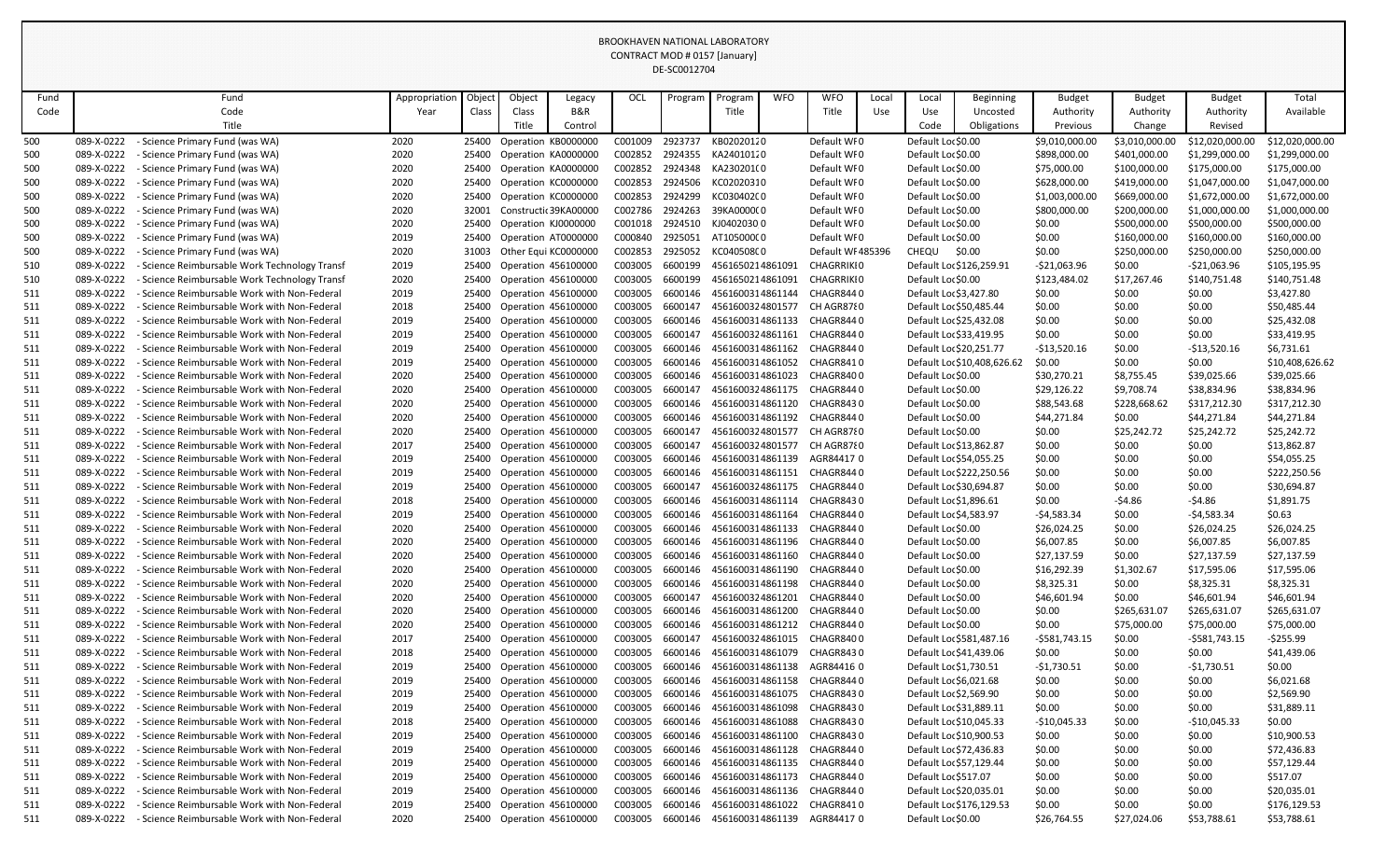|      |            |                                                    |               |        |                            |                            |         | DE-SCOUTZ/04 |                  |            |                   |       |                        |                             |                |                |                 |                 |
|------|------------|----------------------------------------------------|---------------|--------|----------------------------|----------------------------|---------|--------------|------------------|------------|-------------------|-------|------------------------|-----------------------------|----------------|----------------|-----------------|-----------------|
| Fund |            | Fund                                               | Appropriation | Objec- | Object                     | Legacy                     | OCL     | Program      | Program          | <b>WFO</b> | <b>WFO</b>        | Local | Local                  | Beginning                   | <b>Budget</b>  | <b>Budget</b>  | <b>Budget</b>   | Total           |
| Code |            | Code                                               | Year          | Class  | Class                      | <b>B&amp;R</b>             |         |              | Title            |            | Title             | Use   | Use                    | Uncosted                    | Authority      | Authority      | Authority       | Available       |
|      |            | Title                                              |               |        | Title                      | Control                    |         |              |                  |            |                   |       | Code                   | Obligations                 | Previous       | Change         | Revised         |                 |
| 500  | 089-X-0222 | <b>Science Primary Fund (was WA)</b>               | 2020          | 25400  |                            | Operation KB0000000        | C001009 | 2923737      | KB02020120       |            | Default WF0       |       | Default Loc \$0.00     |                             | \$9,010,000.00 | \$3,010,000.00 | \$12,020,000.00 | \$12,020,000.00 |
| 500  | 089-X-0222 | - Science Primary Fund (was WA)                    | 2020          | 25400  |                            | Operation KA0000000        | C002852 | 2924355      | KA24010120       |            | Default WI0       |       | Default Loc \$0.00     |                             | \$898,000.00   | \$401,000.00   | \$1,299,000.00  | \$1,299,000.00  |
| 500  | 089-X-0222 | - Science Primary Fund (was WA)                    | 2020          | 25400  |                            | Operation KA0000000        | C002852 | 2924348      | KA230201(0       |            | Default WF0       |       | Default Loc \$0.00     |                             | \$75,000.00    | \$100,000.00   | \$175,000.00    | \$175,000.00    |
| 500  | 089-X-0222 | - Science Primary Fund (was WA)                    | 2020          | 25400  |                            | Operation KC0000000        | C002853 | 2924506      | KC02020310       |            | Default WF0       |       | Default Loc \$0.00     |                             | \$628,000.00   | \$419,000.00   | \$1,047,000.00  | \$1,047,000.00  |
| 500  | 089-X-0222 | - Science Primary Fund (was WA)                    | 2020          | 25400  |                            | Operation KC0000000        | C002853 | 2924299      | KC030402C0       |            | Default WF0       |       | Default Loc \$0.00     |                             | \$1,003,000.00 | \$669,000.00   | \$1,672,000.00  | \$1,672,000.00  |
| 500  | 089-X-0222 | Science Primary Fund (was WA)                      | 2020          | 32001  |                            | Constructic 39KA00000      | C002786 | 2924263      | 39KA0000(0       |            | Default WF0       |       | Default Loc \$0.00     |                             | \$800,000.00   | \$200,000.00   | \$1,000,000.00  | \$1,000,000.00  |
| 500  | 089-X-0222 | Science Primary Fund (was WA)                      | 2020          | 25400  | Operation KJ0000000        |                            | C001018 | 2924510      | KJ04020300       |            | Default WF0       |       | Default Loc \$0.00     |                             | \$0.00         | \$500,000.00   | \$500,000.00    | \$500,000.00    |
| 500  | 089-X-0222 | <b>Science Primary Fund (was WA)</b>               | 2019          | 25400  |                            | Operation AT0000000        | C000840 | 2925051      | AT10500000       |            | Default WF0       |       | Default Loc \$0.00     |                             | \$0.00         | \$160,000.00   | \$160,000.00    | \$160,000.00    |
| 500  | 089-X-0222 | <b>Science Primary Fund (was WA)</b>               | 2020          | 31003  |                            | Other Equi KC0000000       | C002853 | 2925052      | KC040508C0       |            | Default WF485396  |       | CHEQU \$0.00           |                             | \$0.00         | \$250,000.00   | \$250,000.00    | \$250,000.00    |
| 510  | 089-X-0222 | <b>Science Reimbursable Work Technology Transf</b> | 2019          | 25400  | Operation 456100000        |                            | C003005 | 6600199      | 4561650214861091 |            | <b>CHAGRRIKIO</b> |       |                        | Default Loc \$126,259.91    | $-521,063.96$  | \$0.00         | $-521,063.96$   | \$105,195.95    |
| 510  | 089-X-0222 | Science Reimbursable Work Technology Transf        | 2020          | 25400  | Operation 456100000        |                            | C003005 | 6600199      | 4561650214861091 |            | <b>CHAGRRIKIO</b> |       | Default Loc \$0.00     |                             | \$123,484.02   | \$17,267.46    | \$140,751.48    | \$140,751.48    |
| 511  | 089-X-0222 | Science Reimbursable Work with Non-Federal         | 2019          | 25400  | Operation 456100000        |                            | C003005 | 6600146      | 4561600314861144 |            | CHAGR8440         |       |                        | Default Loc \$3,427.80      | \$0.00         | \$0.00         | \$0.00          | \$3,427.80      |
| 511  | 089-X-0222 | <b>Science Reimbursable Work with Non-Federal</b>  | 2018          | 25400  | Operation 456100000        |                            | C003005 | 6600147      | 4561600324801577 |            | CH AGR8780        |       |                        | Default Loc \$50,485.44     | \$0.00         | \$0.00         | \$0.00          | \$50,485.44     |
| 511  | 089-X-0222 | Science Reimbursable Work with Non-Federal         | 2019          | 25400  | Operation 456100000        |                            | C003005 | 6600146      | 4561600314861133 |            | CHAGR8440         |       |                        | Default Loc \$25,432.08     | \$0.00         | \$0.00         | \$0.00          | \$25,432.08     |
| 511  | 089-X-0222 | Science Reimbursable Work with Non-Federal         | 2019          | 25400  | Operation 456100000        |                            | C003005 | 6600147      | 4561600324861161 |            | CHAGR8440         |       |                        | Default Loc \$33,419.95     | \$0.00         | \$0.00         | \$0.00          | \$33,419.95     |
| 511  | 089-X-0222 | Science Reimbursable Work with Non-Federal         | 2019          | 25400  | <b>Operation 456100000</b> |                            | C003005 | 6600146      | 4561600314861162 |            | CHAGR8440         |       |                        | Default Loc \$20,251.77     | $-513,520.16$  | \$0.00         | $-$13,520.16$   | \$6,731.61      |
| 511  | 089-X-0222 | Science Reimbursable Work with Non-Federal         | 2019          | 25400  | <b>Operation 456100000</b> |                            | C003005 | 6600146      | 4561600314861052 |            | CHAGR8410         |       |                        | Default Loc \$10,408,626.62 | \$0.00         | \$0.00         | \$0.00          | \$10,408,626.62 |
| 511  | 089-X-0222 | - Science Reimbursable Work with Non-Federal       | 2020          | 25400  | Operation 456100000        |                            | C003005 | 6600146      | 4561600314861023 |            | CHAGR8400         |       | Default Loc \$0.00     |                             | \$30,270.21    | \$8,755.45     | \$39,025.66     | \$39,025.66     |
| 511  | 089-X-0222 | Science Reimbursable Work with Non-Federal         | 2020          | 25400  | <b>Operation 456100000</b> |                            | C003005 | 6600147      | 4561600324861175 |            | CHAGR8440         |       | Default Loc \$0.00     |                             | \$29,126.22    | \$9,708.74     | \$38,834.96     | \$38,834.96     |
| 511  | 089-X-0222 | Science Reimbursable Work with Non-Federal         | 2020          | 25400  | Operation 456100000        |                            | C003005 | 6600146      | 4561600314861120 |            | CHAGR8430         |       | Default Loc\$0.00      |                             | \$88,543.68    | \$228,668.62   | \$317,212.30    | \$317,212.30    |
| 511  | 089-X-0222 | Science Reimbursable Work with Non-Federal         | 2020          | 25400  | <b>Operation 456100000</b> |                            | C003005 | 6600146      | 4561600314861192 |            | CHAGR8440         |       | Default Loc \$0.00     |                             | \$44,271.84    | \$0.00         | \$44,271.84     | \$44,271.84     |
| 511  | 089-X-0222 | Science Reimbursable Work with Non-Federal         | 2020          | 25400  | <b>Operation 456100000</b> |                            | C003005 | 6600147      | 4561600324801577 |            | CH AGR8780        |       | Default Loc \$0.00     |                             | \$0.00         | \$25,242.72    | \$25,242.72     | \$25,242.72     |
| 511  | 089-X-0222 | - Science Reimbursable Work with Non-Federal       | 2017          | 25400  | Operation 456100000        |                            | C003005 | 6600147      | 4561600324801577 |            | CH AGR8780        |       |                        | Default Loc \$13,862.87     | \$0.00         | \$0.00         | \$0.00          | \$13,862.87     |
| 511  | 089-X-0222 | <b>Science Reimbursable Work with Non-Federal</b>  | 2019          | 25400  | <b>Operation 456100000</b> |                            | C003005 | 6600146      | 4561600314861139 |            | AGR844170         |       |                        | Default Loc \$54,055.25     | \$0.00         | \$0.00         | \$0.00          | \$54,055.25     |
| 511  | 089-X-0222 | <b>Science Reimbursable Work with Non-Federal</b>  | 2019          | 25400  | Operation 456100000        |                            | C003005 | 6600146      | 4561600314861151 |            | CHAGR8440         |       |                        | Default Loc \$222,250.56    | \$0.00         | \$0.00         | \$0.00          | \$222,250.56    |
| 511  | 089-X-0222 | Science Reimbursable Work with Non-Federal         | 2019          | 25400  | Operation 456100000        |                            | C003005 | 6600147      | 4561600324861175 |            | CHAGR8440         |       |                        | Default Loc \$30,694.87     | \$0.00         | \$0.00         | \$0.00          | \$30,694.87     |
| 511  | 089-X-0222 | - Science Reimbursable Work with Non-Federal       | 2018          | 25400  | Operation 456100000        |                            | C003005 | 6600146      | 4561600314861114 |            | CHAGR8430         |       | Default Loc \$1,896.61 |                             | \$0.00         | $-54.86$       | $-54.86$        | \$1,891.75      |
| 511  | 089-X-0222 | Science Reimbursable Work with Non-Federal         | 2019          | 25400  | <b>Operation 456100000</b> |                            | C003005 | 6600146      | 4561600314861164 |            | CHAGR8440         |       |                        | Default Loc \$4,583.97      | $-54,583.34$   | \$0.00         | $-54,583.34$    | \$0.63          |
| 511  | 089-X-0222 | <b>Science Reimbursable Work with Non-Federal</b>  | 2020          | 25400  |                            | Operation 456100000        | C003005 | 6600146      | 4561600314861133 |            | CHAGR8440         |       | Default Loc\$0.00      |                             | \$26,024.25    | \$0.00         | \$26,024.25     | \$26,024.25     |
| 511  | 089-X-0222 | - Science Reimbursable Work with Non-Federal       | 2020          | 25400  |                            | Operation 456100000        | C003005 | 6600146      | 4561600314861196 |            | CHAGR8440         |       | Default Loc\$0.00      |                             | \$6,007.85     | \$0.00         | \$6,007.85      | \$6,007.85      |
| 511  | 089-X-0222 | <b>Science Reimbursable Work with Non-Federal</b>  | 2020          | 25400  |                            | Operation 456100000        | C003005 | 6600146      | 4561600314861160 |            | CHAGR8440         |       | Default Loc\$0.00      |                             | \$27,137.59    | \$0.00         | \$27,137.59     | \$27,137.59     |
| 511  | 089-X-0222 | - Science Reimbursable Work with Non-Federal       | 2020          | 25400  |                            | Operation 456100000        | C003005 | 6600146      | 4561600314861190 |            | CHAGR8440         |       | Default Loc\$0.00      |                             | \$16,292.39    | \$1,302.67     | \$17,595.06     | \$17,595.06     |
| 511  | 089-X-0222 | - Science Reimbursable Work with Non-Federal       | 2020          | 25400  |                            | Operation 456100000        | C003005 | 6600146      | 4561600314861198 |            | CHAGR8440         |       | Default Loc\$0.00      |                             | \$8,325.31     | \$0.00         | \$8,325.31      | \$8,325.31      |
| 511  | 089-X-0222 | <b>Science Reimbursable Work with Non-Federal</b>  | 2020          | 25400  | <b>Operation 456100000</b> |                            | C003005 | 6600147      | 4561600324861201 |            | CHAGR8440         |       | Default Loc\$0.00      |                             | \$46,601.94    | \$0.00         | \$46,601.94     | \$46,601.94     |
| 511  | 089-X-0222 | <b>Science Reimbursable Work with Non-Federal</b>  | 2020          | 25400  | Operation 456100000        |                            | C003005 | 6600146      | 4561600314861200 |            | CHAGR8440         |       | Default Loc\$0.00      |                             | \$0.00         | \$265,631.07   | \$265,631.07    | \$265,631.07    |
| 511  | 089-X-0222 | <b>Science Reimbursable Work with Non-Federal</b>  | 2020          | 25400  |                            | Operation 456100000        | C003005 | 6600146      | 4561600314861212 |            | CHAGR8440         |       | Default Loc\$0.00      |                             | \$0.00         | \$75,000.00    | \$75,000.00     | \$75,000.00     |
| 511  | 089-X-0222 | <b>Science Reimbursable Work with Non-Federal</b>  | 2017          | 25400  |                            | Operation 456100000        | C003005 | 6600147      | 4561600324861015 |            | CHAGR8400         |       |                        | Default Loc \$581,487.16    | -\$581,743.15  | \$0.00         | -\$581,743.15   | -\$255.99       |
| 511  | 089-X-0222 | - Science Reimbursable Work with Non-Federal       | 2018          | 25400  | <b>Operation 456100000</b> |                            | C003005 | 6600146      | 4561600314861079 |            | CHAGR8430         |       |                        | Default Loc \$41,439.06     | \$0.00         | \$0.00         | \$0.00          | \$41,439.06     |
| 511  | 089-X-0222 | <b>Science Reimbursable Work with Non-Federal</b>  | 2019          | 25400  |                            | <b>Operation 456100000</b> | C003005 | 6600146      | 4561600314861138 |            | AGR84416 0        |       |                        | Default Loc \$1,730.51      | $-$1,730.51$   | \$0.00         | $-51,730.51$    | \$0.00          |
| 511  | 089-X-0222 | <b>Science Reimbursable Work with Non-Federal</b>  | 2019          | 25400  |                            | Operation 456100000        | C003005 | 6600146      | 4561600314861158 |            | CHAGR8440         |       |                        | Default Loc \$6,021.68      | \$0.00         | \$0.00         | \$0.00          | \$6,021.68      |
| 511  | 089-X-0222 | <b>Science Reimbursable Work with Non-Federal</b>  | 2019          | 25400  |                            | Operation 456100000        | C003005 | 6600146      | 4561600314861075 |            | CHAGR8430         |       |                        | Default Loc \$2,569.90      | \$0.00         | \$0.00         | \$0.00          | \$2,569.90      |
| 511  | 089-X-0222 | <b>Science Reimbursable Work with Non-Federal</b>  | 2019          | 25400  |                            | Operation 456100000        | C003005 | 6600146      | 4561600314861098 |            | CHAGR8430         |       |                        | Default Loc \$31,889.11     | \$0.00         | \$0.00         | \$0.00          | \$31,889.11     |
| 511  | 089-X-0222 | <b>Science Reimbursable Work with Non-Federal</b>  | 2018          | 25400  | <b>Operation 456100000</b> |                            | C003005 | 6600146      | 4561600314861088 |            | CHAGR8430         |       |                        | Default Loc \$10,045.33     | $-$10,045.33$  | \$0.00         | $-$10,045.33$   | \$0.00          |
| 511  | 089-X-0222 | Science Reimbursable Work with Non-Federal         | 2019          | 25400  |                            | Operation 456100000        | C003005 | 6600146      | 4561600314861100 |            | CHAGR8430         |       |                        | Default Loc \$10,900.53     | \$0.00         | \$0.00         | \$0.00          | \$10,900.53     |
| 511  | 089-X-0222 | <b>Science Reimbursable Work with Non-Federal</b>  | 2019          | 25400  |                            | Operation 456100000        | C003005 | 6600146      | 4561600314861128 |            | CHAGR8440         |       |                        | Default Loc \$72,436.83     | \$0.00         | \$0.00         | \$0.00          | \$72,436.83     |
| 511  | 089-X-0222 | Science Reimbursable Work with Non-Federal         | 2019          | 25400  |                            | Operation 456100000        | C003005 | 6600146      | 4561600314861135 |            | CHAGR8440         |       |                        | Default Loc \$57,129.44     | \$0.00         | \$0.00         | \$0.00          | \$57,129.44     |
| 511  | 089-X-0222 | <b>Science Reimbursable Work with Non-Federal</b>  | 2019          | 25400  | <b>Operation 456100000</b> |                            | C003005 | 6600146      | 4561600314861173 |            | CHAGR8440         |       | Default Loc \$517.07   |                             | \$0.00         | \$0.00         | \$0.00          | \$517.07        |
| 511  | 089-X-0222 | - Science Reimbursable Work with Non-Federal       | 2019          | 25400  |                            | Operation 456100000        | C003005 | 6600146      | 4561600314861136 |            | CHAGR8440         |       |                        | Default Loc \$20,035.01     | \$0.00         | \$0.00         | \$0.00          | \$20,035.01     |
| 511  | 089-X-0222 | <b>Science Reimbursable Work with Non-Federal</b>  | 2019          | 25400  |                            | Operation 456100000        | C003005 | 6600146      | 4561600314861022 |            | CHAGR8410         |       |                        | Default Loc \$176,129.53    | \$0.00         | \$0.00         | \$0.00          | \$176,129.53    |
| 511  | 089-X-0222 | - Science Reimbursable Work with Non-Federal       | 2020          | 25400  |                            | Operation 456100000        | C003005 | 6600146      | 4561600314861139 |            | AGR84417 0        |       | Default Loc\$0.00      |                             | \$26,764.55    | \$27,024.06    | \$53,788.61     | \$53,788.61     |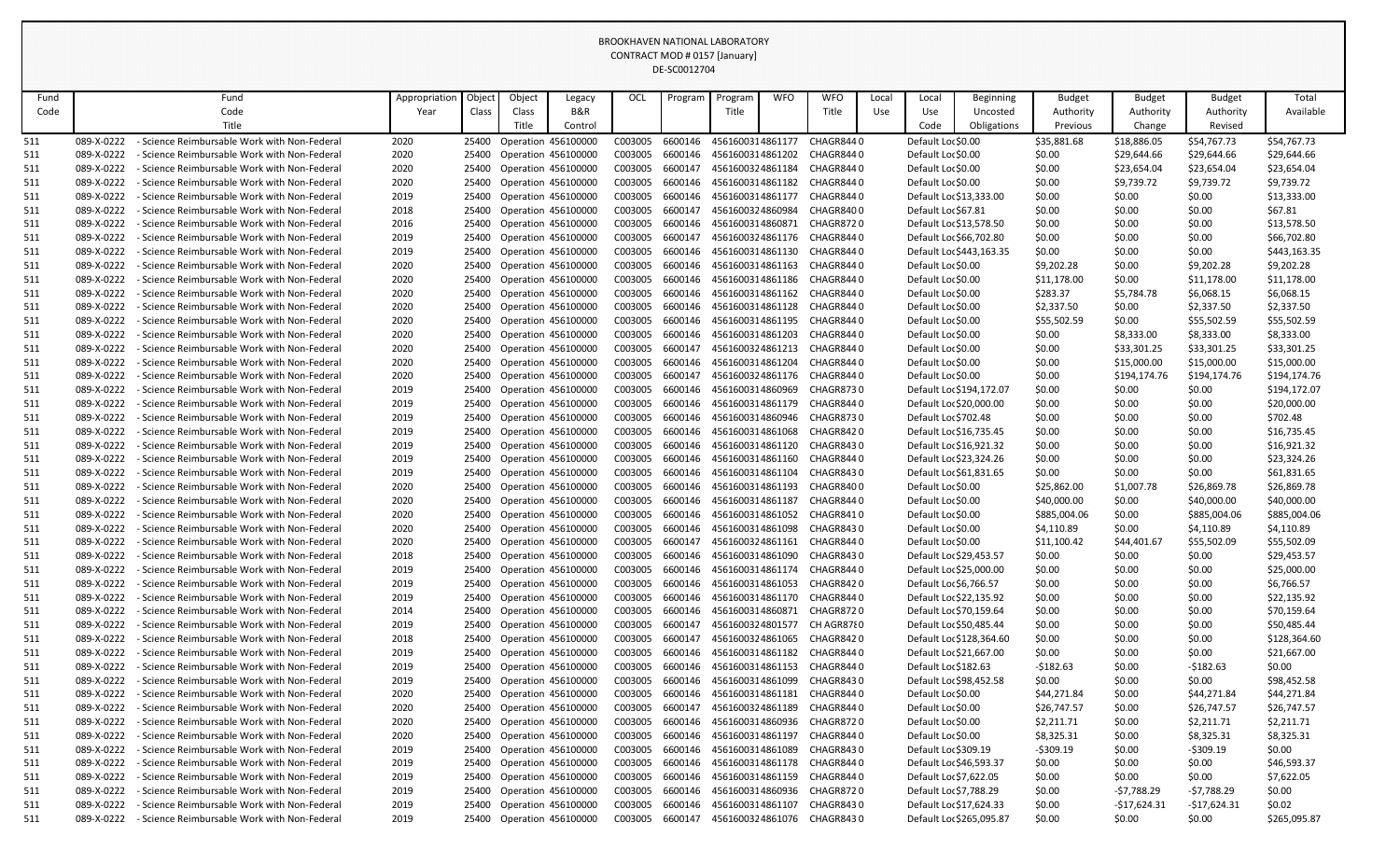|      |            |                                                   |               |        |                            |                     |         | DE-SCOUTZ704 |                  |            |                            |       |                        |                          |               |               |               |              |
|------|------------|---------------------------------------------------|---------------|--------|----------------------------|---------------------|---------|--------------|------------------|------------|----------------------------|-------|------------------------|--------------------------|---------------|---------------|---------------|--------------|
| Fund |            | Fund                                              | Appropriation | Object | Object                     | Legacy              | OCL     | Program      | Program          | <b>WFO</b> | <b>WFO</b>                 | Local | Local                  | <b>Beginning</b>         | <b>Budget</b> | <b>Budget</b> | <b>Budget</b> | Total        |
| Code |            | Code                                              | Year          | Class  | Class                      | <b>B&amp;R</b>      |         |              | Title            |            | Title                      | Use   | Use                    | Uncosted                 | Authority     | Authority     | Authority     | Available    |
|      |            | Title                                             |               |        | Title                      | Control             |         |              |                  |            |                            |       | Code                   | Obligations              | Previous      | Change        | Revised       |              |
| 511  | 089-X-0222 | <b>Science Reimbursable Work with Non-Federal</b> | 2020          | 25400  | Operation 456100000        |                     | C003005 | 6600146      | 4561600314861177 |            | CHAGR8440                  |       | Default Lor \$0.00     |                          | \$35,881.68   | \$18,886.05   | \$54,767.73   | \$54,767.73  |
| 511  | 089-X-0222 | <b>Science Reimbursable Work with Non-Federal</b> | 2020          | 25400  | <b>Operation 456100000</b> |                     | C003005 | 6600146      | 4561600314861202 |            | CHAGR8440                  |       | Default Loc \$0.00     |                          | \$0.00        | \$29,644.66   | \$29,644.66   | \$29,644.66  |
| 511  | 089-X-0222 | - Science Reimbursable Work with Non-Federal      | 2020          | 25400  | Operation 456100000        |                     | C003005 | 6600147      | 4561600324861184 |            | CHAGR8440                  |       | Default Loc \$0.00     |                          | \$0.00        | \$23,654.04   | \$23,654.04   | \$23,654.04  |
| 511  | 089-X-0222 | - Science Reimbursable Work with Non-Federal      | 2020          | 25400  | Operation 456100000        |                     | C003005 | 6600146      | 4561600314861182 |            | CHAGR8440                  |       | Default Loc \$0.00     |                          | \$0.00        | \$9,739.72    | \$9,739.72    | \$9,739.72   |
| 511  | 089-X-0222 | - Science Reimbursable Work with Non-Federal      | 2019          | 25400  | Operation 456100000        |                     | C003005 | 6600146      | 4561600314861177 |            | CHAGR8440                  |       |                        | Default Loc \$13,333.00  | \$0.00        | \$0.00        | \$0.00        | \$13,333.00  |
| 511  | 089-X-0222 | - Science Reimbursable Work with Non-Federal      | 2018          | 25400  | <b>Operation 456100000</b> |                     | C003005 | 6600147      | 4561600324860984 |            | CHAGR8400                  |       | Default Loc \$67.81    |                          | \$0.00        | \$0.00        | \$0.00        | \$67.81      |
| 511  | 089-X-0222 | Science Reimbursable Work with Non-Federal        | 2016          | 25400  | Operation 456100000        |                     | C003005 | 6600146      | 4561600314860871 |            | CHAGR8720                  |       |                        | Default Loc \$13,578.50  | \$0.00        | \$0.00        | \$0.00        | \$13,578.50  |
| 511  | 089-X-0222 | <b>Science Reimbursable Work with Non-Federal</b> | 2019          | 25400  | Operation 456100000        |                     | C003005 | 6600147      | 4561600324861176 |            | CHAGR8440                  |       |                        | Default Loc \$66,702.80  | \$0.00        | \$0.00        | \$0.00        | \$66,702.80  |
| 511  | 089-X-0222 | - Science Reimbursable Work with Non-Federal      | 2019          | 25400  | Operation 456100000        |                     | C003005 | 6600146      | 4561600314861130 |            | CHAGR8440                  |       |                        | Default Loc \$443,163.35 | \$0.00        | \$0.00        | \$0.00        | \$443,163.35 |
| 511  | 089-X-0222 | - Science Reimbursable Work with Non-Federal      | 2020          | 25400  | <b>Operation 456100000</b> |                     | C003005 | 6600146      | 4561600314861163 |            | CHAGR8440                  |       | Default Lor \$0.00     |                          | \$9,202.28    | \$0.00        | \$9,202.28    | \$9,202.28   |
| 511  | 089-X-0222 | - Science Reimbursable Work with Non-Federal      | 2020          | 25400  | Operation 456100000        |                     | C003005 | 6600146      | 4561600314861186 |            | CHAGR8440                  |       | Default Loc \$0.00     |                          | \$11,178.00   | \$0.00        | \$11,178.00   | \$11,178.00  |
| 511  | 089-X-0222 | Science Reimbursable Work with Non-Federal        | 2020          | 25400  | Operation 456100000        |                     | C003005 | 6600146      | 4561600314861162 |            | CHAGR8440                  |       | Default Loc \$0.00     |                          | \$283.37      | \$5,784.78    | \$6,068.15    | \$6,068.15   |
| 511  | 089-X-0222 | - Science Reimbursable Work with Non-Federal      | 2020          | 25400  | Operation 456100000        |                     | C003005 | 6600146      | 4561600314861128 |            | CHAGR8440                  |       | Default Loc \$0.00     |                          | \$2,337.50    | \$0.00        | \$2,337.50    | \$2,337.50   |
| 511  | 089-X-0222 | - Science Reimbursable Work with Non-Federal      | 2020          | 25400  | Operation 456100000        |                     | C003005 | 6600146      | 4561600314861195 |            | CHAGR8440                  |       | Default Loc \$0.00     |                          | \$55,502.59   | \$0.00        | \$55,502.59   | \$55,502.59  |
| 511  | 089-X-0222 | Science Reimbursable Work with Non-Federal        | 2020          | 25400  | Operation 456100000        |                     | C003005 | 6600146      | 4561600314861203 |            | CHAGR8440                  |       | Default Lor \$0.00     |                          | \$0.00        | \$8,333.00    | \$8,333.00    | \$8,333.00   |
| 511  | 089-X-0222 | - Science Reimbursable Work with Non-Federal      | 2020          | 25400  | Operation 456100000        |                     | C003005 | 6600147      | 4561600324861213 |            | CHAGR8440                  |       | Default Lor \$0.00     |                          | \$0.00        | \$33,301.25   | \$33,301.25   | \$33,301.25  |
| 511  | 089-X-0222 | Science Reimbursable Work with Non-Federal        | 2020          | 25400  | <b>Operation 456100000</b> |                     | C003005 | 6600146      | 4561600314861204 |            | CHAGR8440                  |       | Default Loc \$0.00     |                          | \$0.00        | \$15,000.00   | \$15,000.00   | \$15,000.00  |
| 511  | 089-X-0222 | <b>Science Reimbursable Work with Non-Federal</b> | 2020          | 25400  | Operation 456100000        |                     | C003005 | 6600147      | 4561600324861176 |            | CHAGR8440                  |       | Default Loc \$0.00     |                          | \$0.00        | \$194,174.76  | \$194,174.76  | \$194,174.76 |
| 511  | 089-X-0222 | - Science Reimbursable Work with Non-Federal      | 2019          | 25400  | Operation 456100000        |                     | C003005 | 6600146      | 4561600314860969 |            | CHAGR8730                  |       |                        | Default Loc \$194,172.07 | \$0.00        | \$0.00        | \$0.00        | \$194,172.07 |
| 511  | 089-X-0222 | Science Reimbursable Work with Non-Federal        | 2019          | 25400  | <b>Operation 456100000</b> |                     | C003005 | 6600146      | 4561600314861179 |            | CHAGR8440                  |       |                        | Default Lor \$20,000.00  | \$0.00        | \$0.00        | \$0.00        | \$20,000.00  |
| 511  | 089-X-0222 | - Science Reimbursable Work with Non-Federal      | 2019          | 25400  | Operation 456100000        |                     | C003005 | 6600146      | 4561600314860946 |            | CHAGR8730                  |       | Default Loc \$702.48   |                          | \$0.00        | \$0.00        | \$0.00        | \$702.48     |
| 511  | 089-X-0222 | <b>Science Reimbursable Work with Non-Federal</b> | 2019          | 25400  | Operation 456100000        |                     | C003005 | 6600146      | 4561600314861068 |            | CHAGR8420                  |       |                        | Default Loc \$16,735.45  | \$0.00        | \$0.00        | \$0.00        | \$16,735.45  |
| 511  | 089-X-0222 | <b>Science Reimbursable Work with Non-Federal</b> | 2019          | 25400  | Operation 456100000        |                     | C003005 | 6600146      | 4561600314861120 |            | CHAGR8430                  |       |                        | Default Loc \$16,921.32  | \$0.00        | \$0.00        | \$0.00        | \$16,921.32  |
| 511  | 089-X-0222 | <b>Science Reimbursable Work with Non-Federal</b> | 2019          | 25400  | Operation 456100000        |                     | C003005 | 6600146      | 4561600314861160 |            | CHAGR8440                  |       |                        | Default Loc \$23,324.26  | \$0.00        | \$0.00        | \$0.00        | \$23,324.26  |
| 511  | 089-X-0222 | - Science Reimbursable Work with Non-Federal      | 2019          | 25400  | Operation 456100000        |                     | C003005 | 6600146      | 4561600314861104 |            | CHAGR8430                  |       |                        | Default Loc \$61,831.65  | \$0.00        | \$0.00        | \$0.00        | \$61,831.65  |
| 511  | 089-X-0222 | Science Reimbursable Work with Non-Federal        | 2020          | 25400  | Operation 456100000        |                     | C003005 | 6600146      | 4561600314861193 |            | CHAGR8400                  |       | Default Loc \$0.00     |                          | \$25,862.00   | \$1,007.78    | \$26,869.78   | \$26,869.78  |
| 511  | 089-X-0222 | - Science Reimbursable Work with Non-Federal      | 2020          | 25400  | Operation 456100000        |                     | C003005 | 6600146      | 4561600314861187 |            | CHAGR8440                  |       | Default Loc \$0.00     |                          | \$40,000.00   | \$0.00        | \$40,000.00   | \$40,000.00  |
| 511  | 089-X-0222 | - Science Reimbursable Work with Non-Federal      | 2020          | 25400  | Operation 456100000        |                     | C003005 | 6600146      | 4561600314861052 |            | CHAGR8410                  |       | Default Loc \$0.00     |                          | \$885,004.06  | \$0.00        | \$885,004.06  | \$885,004.06 |
| 511  | 089-X-0222 | - Science Reimbursable Work with Non-Federal      | 2020          | 25400  | Operation 456100000        |                     | C003005 | 6600146      | 4561600314861098 |            | CHAGR8430                  |       | Default Loc \$0.00     |                          | \$4,110.89    | \$0.00        | \$4,110.89    | \$4,110.89   |
| 511  | 089-X-0222 | - Science Reimbursable Work with Non-Federal      | 2020          | 25400  | Operation 456100000        |                     | C003005 | 6600147      | 4561600324861161 |            | CHAGR8440                  |       | Default Loc \$0.00     |                          | \$11,100.42   | \$44,401.67   | \$55,502.09   | \$55,502.09  |
| 511  | 089-X-0222 | <b>Science Reimbursable Work with Non-Federal</b> | 2018          | 25400  | <b>Operation 456100000</b> |                     | C003005 | 6600146      | 4561600314861090 |            | CHAGR8430                  |       |                        | Default Loc \$29,453.57  | \$0.00        | \$0.00        | \$0.00        | \$29,453.57  |
| 511  | 089-X-0222 | - Science Reimbursable Work with Non-Federal      | 2019          | 25400  | Operation 456100000        |                     | C003005 | 6600146      | 4561600314861174 |            | CHAGR8440                  |       |                        | Default Lor \$25,000.00  | \$0.00        | \$0.00        | \$0.00        | \$25,000.00  |
| 511  | 089-X-0222 | - Science Reimbursable Work with Non-Federal      | 2019          | 25400  | Operation 456100000        |                     | C003005 | 6600146      | 4561600314861053 |            | CHAGR8420                  |       | Default Loc \$6,766.57 |                          | \$0.00        | \$0.00        | \$0.00        | \$6,766.57   |
| 511  | 089-X-0222 | <b>Science Reimbursable Work with Non-Federal</b> | 2019          | 25400  | Operation 456100000        |                     | C003005 | 6600146      | 4561600314861170 |            | CHAGR8440                  |       |                        | Default Loc \$22,135.92  | \$0.00        | \$0.00        | \$0.00        | \$22,135.92  |
| 511  | 089-X-0222 | <b>Science Reimbursable Work with Non-Federal</b> | 2014          | 25400  | Operation 456100000        |                     | C003005 | 6600146      | 4561600314860871 |            | CHAGR8720                  |       |                        | Default Loc \$70,159.64  | \$0.00        | \$0.00        | \$0.00        | \$70,159.64  |
| 511  | 089-X-0222 | - Science Reimbursable Work with Non-Federal      | 2019          | 25400  | Operation 456100000        |                     | C003005 | 6600147      | 4561600324801577 |            | CH AGR87{0                 |       |                        | Default Loc \$50,485.44  | \$0.00        | \$0.00        | \$0.00        | \$50,485.44  |
| 511  | 089-X-0222 | <b>Science Reimbursable Work with Non-Federal</b> | 2018          | 25400  | Operation 456100000        |                     | C003005 | 6600147      | 4561600324861065 |            | CHAGR8420                  |       |                        | Default Loc \$128,364.60 | \$0.00        | \$0.00        | \$0.00        | \$128,364.60 |
| 511  | 089-X-0222 | - Science Reimbursable Work with Non-Federal      | 2019          | 25400  | Operation 456100000        |                     | C003005 | 6600146      | 4561600314861182 |            | CHAGR844 0                 |       |                        | Default Loc \$21,667.00  | \$0.00        | \$0.00        | \$0.00        | \$21,667.00  |
| 511  | 089-X-0222 | <b>Science Reimbursable Work with Non-Federal</b> | 2019          | 25400  | Operation 456100000        |                     | C003005 | 6600146      | 4561600314861153 |            | CHAGR844 0                 |       | Default Loc \$182.63   |                          | $-$182.63$    | \$0.00        | $-5182.63$    | \$0.00       |
| 511  | 089-X-0222 | - Science Reimbursable Work with Non-Federal      | 2019          | 25400  | Operation 456100000        |                     | C003005 | 6600146      | 4561600314861099 |            | CHAGR8430                  |       |                        | Default Loc \$98,452.58  | \$0.00        | \$0.00        | \$0.00        | \$98,452.58  |
| 511  | 089-X-0222 | <b>Science Reimbursable Work with Non-Federal</b> | 2020          | 25400  | <b>Operation 456100000</b> |                     | C003005 | 6600146      | 4561600314861181 |            | CHAGR8440                  |       | Default Lor \$0.00     |                          | \$44,271.84   | \$0.00        | \$44,271.84   | \$44,271.84  |
| 511  | 089-X-0222 | <b>Science Reimbursable Work with Non-Federal</b> | 2020          | 25400  | <b>Operation 456100000</b> |                     | C003005 | 6600147      | 4561600324861189 |            | CHAGR8440                  |       | Default Loc \$0.00     |                          | \$26,747.57   | \$0.00        | \$26,747.57   | \$26,747.57  |
| 511  | 089-X-0222 | <b>Science Reimbursable Work with Non-Federal</b> | 2020          | 25400  | Operation 456100000        |                     | C003005 | 6600146      | 4561600314860936 |            | CHAGR8720                  |       | Default Loc \$0.00     |                          | \$2,211.71    | \$0.00        | \$2,211.71    | \$2,211.71   |
| 511  | 089-X-0222 | - Science Reimbursable Work with Non-Federal      | 2020          | 25400  | Operation 456100000        |                     | C003005 | 6600146      | 4561600314861197 |            | CHAGR8440                  |       | Default Loc \$0.00     |                          | \$8,325.31    | \$0.00        | \$8,325.31    | \$8,325.31   |
| 511  | 089-X-0222 | <b>Science Reimbursable Work with Non-Federal</b> | 2019          | 25400  | Operation 456100000        |                     | C003005 | 6600146      | 4561600314861089 |            | CHAGR8430                  |       | Default Loc \$309.19   |                          | -\$309.19     | \$0.00        | $-5309.19$    | \$0.00       |
| 511  | 089-X-0222 | - Science Reimbursable Work with Non-Federal      | 2019          | 25400  | <b>Operation 456100000</b> |                     | C003005 | 6600146      | 4561600314861178 |            | CHAGR8440                  |       |                        | Default Loc \$46,593.37  | \$0.00        | \$0.00        | \$0.00        | \$46,593.37  |
| 511  | 089-X-0222 | <b>Science Reimbursable Work with Non-Federal</b> | 2019          | 25400  | Operation 456100000        |                     | C003005 | 6600146      | 4561600314861159 |            | CHAGR8440                  |       | Default Loc \$7,622.05 |                          | \$0.00        | \$0.00        | \$0.00        | \$7,622.05   |
| 511  | 089-X-0222 | - Science Reimbursable Work with Non-Federal      | 2019          | 25400  | <b>Operation 456100000</b> |                     | C003005 | 6600146      | 4561600314860936 |            | CHAGR8720                  |       | Default Loc \$7,788.29 |                          | \$0.00        | $-57,788.29$  | -\$7,788.29   | \$0.00       |
| 511  | 089-X-0222 | - Science Reimbursable Work with Non-Federal      | 2019          | 25400  | Operation 456100000        |                     | C003005 | 6600146      | 4561600314861107 |            | CHAGR8430                  |       |                        | Default Loc \$17,624.33  | \$0.00        | $-$17,624.31$ | $-$17,624.31$ | \$0.02       |
| 511  | 089-X-0222 | <b>Science Reimbursable Work with Non-Federal</b> | 2019          | 25400  |                            | Operation 456100000 | C003005 | 6600147      |                  |            | 4561600324861076 CHAGR8430 |       |                        | Default Loc \$265,095.87 | \$0.00        | \$0.00        | \$0.00        | \$265,095.87 |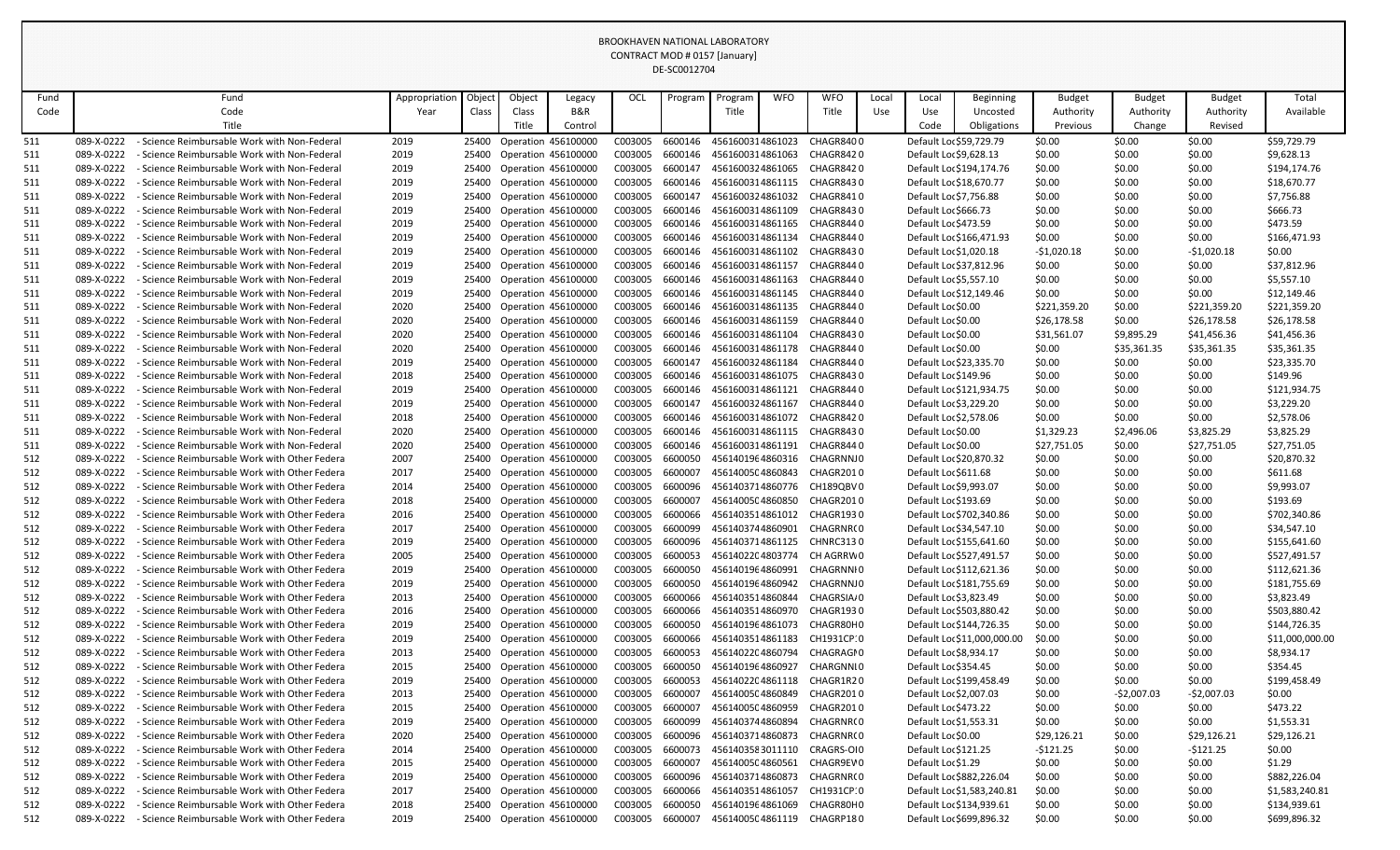|      |            |                                                    |               |       |        |                            |         | DE-3COUTZ704 |                  |            |                            |       |                            |                             |               |               |               |                 |
|------|------------|----------------------------------------------------|---------------|-------|--------|----------------------------|---------|--------------|------------------|------------|----------------------------|-------|----------------------------|-----------------------------|---------------|---------------|---------------|-----------------|
| Fund |            | Fund                                               | Appropriation | Objec | Object | Legacy                     | OCL     | Program      | Program          | <b>WFO</b> | <b>WFO</b>                 | Local | Local                      | <b>Beginning</b>            | <b>Budget</b> | <b>Budget</b> | <b>Budget</b> | Total           |
| Code |            | Code                                               | Year          | Class | Class  | B&R                        |         |              | Title            |            | Title                      | Use   | Use                        | Uncosted                    | Authority     | Authority     | Authority     | Available       |
|      |            | Title                                              |               |       | Title  | Control                    |         |              |                  |            |                            |       | Code                       | Obligations                 | Previous      | Change        | Revised       |                 |
| 511  | 089-X-0222 | <b>Science Reimbursable Work with Non-Federal</b>  | 2019          | 25400 |        | Operation 456100000        | C003005 | 6600146      | 4561600314861023 |            | CHAGR8400                  |       | Default Loc \$59,729.79    |                             | \$0.00        | \$0.00        | \$0.00        | \$59,729.79     |
| 511  | 089-X-0222 | - Science Reimbursable Work with Non-Federal       | 2019          | 25400 |        | Operation 456100000        | C003005 | 6600146      | 4561600314861063 |            | CHAGR8420                  |       | Default Loc \$9,628.13     |                             | \$0.00        | \$0.00        | \$0.00        | \$9,628.13      |
| 511  | 089-X-0222 | - Science Reimbursable Work with Non-Federal       | 2019          | 25400 |        | Operation 456100000        | C003005 | 6600147      | 4561600324861065 |            | CHAGR8420                  |       | Default Loc \$194,174.76   |                             | \$0.00        | \$0.00        | \$0.00        | \$194,174.76    |
| 511  | 089-X-0222 | Science Reimbursable Work with Non-Federal         | 2019          | 25400 |        | Operation 456100000        | C003005 | 6600146      | 4561600314861115 |            | CHAGR8430                  |       | Default Loc \$18,670.77    |                             | \$0.00        | \$0.00        | \$0.00        | \$18,670.77     |
| 511  | 089-X-0222 | Science Reimbursable Work with Non-Federal         | 2019          | 25400 |        | Operation 456100000        | C003005 | 6600147      | 4561600324861032 |            | CHAGR8410                  |       | Default Loc \$7,756.88     |                             | \$0.00        | \$0.00        | \$0.00        | \$7,756.88      |
| 511  | 089-X-0222 | Science Reimbursable Work with Non-Federal         | 2019          | 25400 |        | Operation 456100000        | C003005 | 6600146      | 4561600314861109 |            | CHAGR8430                  |       | Default Loc \$666.73       |                             | \$0.00        | \$0.00        | \$0.00        | \$666.73        |
| 511  | 089-X-0222 | <b>Science Reimbursable Work with Non-Federal</b>  | 2019          | 25400 |        | Operation 456100000        | C003005 | 6600146      | 4561600314861165 |            | CHAGR8440                  |       | Default Loc \$473.59       |                             | \$0.00        | \$0.00        | \$0.00        | \$473.59        |
| 511  | 089-X-0222 | - Science Reimbursable Work with Non-Federal       | 2019          | 25400 |        | Operation 456100000        | C003005 | 6600146      | 4561600314861134 |            | CHAGR8440                  |       | Default Loc \$166,471.93   |                             | \$0.00        | \$0.00        | \$0.00        | \$166,471.93    |
| 511  | 089-X-0222 | - Science Reimbursable Work with Non-Federal       | 2019          | 25400 |        | Operation 456100000        | C003005 | 6600146      | 4561600314861102 |            | CHAGR8430                  |       | Default Loc \$1,020.18     |                             | $-51,020.18$  | \$0.00        | $-51,020.18$  | \$0.00          |
| 511  | 089-X-0222 | Science Reimbursable Work with Non-Federal         | 2019          | 25400 |        | Operation 456100000        | C003005 | 6600146      | 4561600314861157 |            | CHAGR8440                  |       | Default Loc \$37,812.96    |                             | \$0.00        | \$0.00        | \$0.00        | \$37,812.96     |
| 511  | 089-X-0222 | - Science Reimbursable Work with Non-Federal       | 2019          | 25400 |        | Operation 456100000        | C003005 | 6600146      | 4561600314861163 |            | CHAGR8440                  |       | Default Loc \$5,557.10     |                             | \$0.00        | \$0.00        | \$0.00        | \$5,557.10      |
| 511  | 089-X-0222 | Science Reimbursable Work with Non-Federal         | 2019          | 25400 |        | <b>Operation 456100000</b> | C003005 | 6600146      | 4561600314861145 |            | CHAGR8440                  |       | Default Loc \$12,149.46    |                             | \$0.00        | \$0.00        | \$0.00        | \$12,149.46     |
| 511  | 089-X-0222 | - Science Reimbursable Work with Non-Federal       | 2020          | 25400 |        | Operation 456100000        | C003005 | 6600146      | 4561600314861135 |            | CHAGR8440                  |       | Default Lor \$0.00         |                             | \$221,359.20  | \$0.00        | \$221,359.20  | \$221,359.20    |
| 511  | 089-X-0222 | - Science Reimbursable Work with Non-Federal       | 2020          | 25400 |        | Operation 456100000        | C003005 | 6600146      | 4561600314861159 |            | CHAGR8440                  |       | Default Lor \$0.00         |                             | \$26,178.58   | \$0.00        | \$26,178.58   | \$26,178.58     |
| 511  | 089-X-0222 | - Science Reimbursable Work with Non-Federal       | 2020          | 25400 |        | Operation 456100000        | C003005 | 6600146      | 4561600314861104 |            | CHAGR8430                  |       | Default Lor \$0.00         |                             | \$31,561.07   | \$9,895.29    | \$41,456.36   | \$41,456.36     |
| 511  | 089-X-0222 | Science Reimbursable Work with Non-Federal         | 2020          | 25400 |        | Operation 456100000        | C003005 | 6600146      | 4561600314861178 |            | CHAGR8440                  |       | Default Lor \$0.00         |                             | \$0.00        | \$35,361.35   | \$35,361.35   | \$35,361.35     |
| 511  | 089-X-0222 | - Science Reimbursable Work with Non-Federal       | 2019          | 25400 |        | Operation 456100000        | C003005 | 6600147      | 4561600324861184 |            | CHAGR8440                  |       | Default Loc \$23,335.70    |                             | \$0.00        | \$0.00        | \$0.00        | \$23,335.70     |
| 511  | 089-X-0222 | <b>Science Reimbursable Work with Non-Federal</b>  | 2018          | 25400 |        | Operation 456100000        | C003005 | 6600146      | 4561600314861075 |            | CHAGR8430                  |       | Default Loc \$149.96       |                             | \$0.00        | \$0.00        | \$0.00        | \$149.96        |
| 511  | 089-X-0222 | - Science Reimbursable Work with Non-Federal       | 2019          | 25400 |        | Operation 456100000        | C003005 | 6600146      | 4561600314861121 |            | CHAGR8440                  |       | Default Loc \$121,934.75   |                             | \$0.00        | \$0.00        | \$0.00        | \$121,934.75    |
| 511  | 089-X-0222 | Science Reimbursable Work with Non-Federal         | 2019          | 25400 |        | Operation 456100000        | C003005 | 6600147      | 4561600324861167 |            | CHAGR8440                  |       | Default Loc \$3,229.20     |                             | \$0.00        | \$0.00        | \$0.00        | \$3,229.20      |
| 511  | 089-X-0222 | - Science Reimbursable Work with Non-Federal       | 2018          | 25400 |        | Operation 456100000        | C003005 | 6600146      | 4561600314861072 |            | CHAGR8420                  |       | Default Loc \$2,578.06     |                             | \$0.00        | \$0.00        | \$0.00        | \$2,578.06      |
| 511  | 089-X-0222 | Science Reimbursable Work with Non-Federal         | 2020          | 25400 |        | Operation 456100000        | C003005 | 6600146      | 4561600314861115 |            | CHAGR8430                  |       | Default Lor \$0.00         |                             | \$1,329.23    | \$2,496.06    | \$3,825.29    | \$3,825.29      |
| 511  | 089-X-0222 | <b>Science Reimbursable Work with Non-Federal</b>  | 2020          | 25400 |        | <b>Operation 456100000</b> | C003005 | 6600146      | 4561600314861191 |            | CHAGR8440                  |       | Default Lor \$0.00         |                             | \$27,751.05   | \$0.00        | \$27,751.05   | \$27,751.05     |
| 512  | 089-X-0222 | - Science Reimbursable Work with Other Federa      | 2007          | 25400 |        | Operation 456100000        | C003005 | 6600050      | 4561401964860316 |            | CHAGRNNJO                  |       | Default Loc \$20,870.32    |                             | \$0.00        | \$0.00        | \$0.00        | \$20,870.32     |
| 512  | 089-X-0222 | - Science Reimbursable Work with Other Federa      | 2017          | 25400 |        | Operation 456100000        | C003005 | 6600007      | 4561400504860843 |            | CHAGR2010                  |       | Default Loc \$611.68       |                             | \$0.00        | \$0.00        | \$0.00        | \$611.68        |
| 512  | 089-X-0222 | <b>Science Reimbursable Work with Other Federa</b> | 2014          | 25400 |        | Operation 456100000        | C003005 | 6600096      | 4561403714860776 |            | CH189QBV0                  |       | Default Loc \$9,993.07     |                             | \$0.00        | \$0.00        | \$0.00        | \$9,993.07      |
| 512  | 089-X-0222 | - Science Reimbursable Work with Other Federa      | 2018          | 25400 |        | Operation 456100000        | C003005 | 6600007      | 4561400504860850 |            | CHAGR2010                  |       | Default Loc \$193.69       |                             | \$0.00        | \$0.00        | \$0.00        | \$193.69        |
| 512  | 089-X-0222 | - Science Reimbursable Work with Other Federa      | 2016          | 25400 |        | Operation 456100000        | C003005 | 6600066      | 4561403514861012 |            | CHAGR1930                  |       | Default Loc \$702,340.86   |                             | \$0.00        | \$0.00        | \$0.00        | \$702,340.86    |
| 512  | 089-X-0222 | - Science Reimbursable Work with Other Federa      | 2017          | 25400 |        | Operation 456100000        | C003005 | 6600099      | 4561403744860901 |            | CHAGRNR(0                  |       | Default Loc \$34,547.10    |                             | \$0.00        | \$0.00        | \$0.00        | \$34,547.10     |
| 512  | 089-X-0222 | - Science Reimbursable Work with Other Federa      | 2019          | 25400 |        | Operation 456100000        | C003005 | 6600096      | 4561403714861125 |            | <b>CHNRC3130</b>           |       | Default Loc \$155,641.60   |                             | \$0.00        | \$0.00        | \$0.00        | \$155,641.60    |
| 512  | 089-X-0222 | Science Reimbursable Work with Other Federa        | 2005          | 25400 |        | Operation 456100000        | C003005 | 6600053      |                  |            | 4561402204803774 CH AGRRW0 |       | Default Loc \$527,491.57   |                             | \$0.00        | \$0.00        | \$0.00        | \$527,491.57    |
| 512  | 089-X-0222 | - Science Reimbursable Work with Other Federa      | 2019          | 25400 |        | Operation 456100000        | C003005 | 6600050      | 4561401964860991 |            | CHAGRNNI0                  |       | Default Loc \$112,621.36   |                             | \$0.00        | \$0.00        | \$0.00        | \$112,621.36    |
| 512  | 089-X-0222 | - Science Reimbursable Work with Other Federa      | 2019          | 25400 |        | Operation 456100000        | C003005 | 6600050      | 4561401964860942 |            | <b>CHAGRNNJ0</b>           |       | Default Loc \$181,755.69   |                             | \$0.00        | \$0.00        | \$0.00        | \$181,755.69    |
| 512  | 089-X-0222 | Science Reimbursable Work with Other Federa        | 2013          | 25400 |        | Operation 456100000        | C003005 | 6600066      | 4561403514860844 |            | CHAGRSIA/0                 |       | Default Loc \$3,823.49     |                             | \$0.00        | \$0.00        | \$0.00        | \$3,823.49      |
| 512  | 089-X-0222 | - Science Reimbursable Work with Other Federa      | 2016          | 25400 |        | Operation 456100000        | C003005 | 6600066      | 4561403514860970 |            | CHAGR1930                  |       | Default Loc \$503,880.42   |                             | \$0.00        | \$0.00        | \$0.00        | \$503,880.42    |
| 512  | 089-X-0222 | Science Reimbursable Work with Other Federa        | 2019          | 25400 |        | Operation 456100000        | C003005 | 6600050      | 4561401964861073 |            | CHAGR80H0                  |       | Default Loc \$144,726.35   |                             | \$0.00        | \$0.00        | \$0.00        | \$144,726.35    |
| 512  | 089-X-0222 | - Science Reimbursable Work with Other Federa      | 2019          | 25400 |        | Operation 456100000        | C003005 | 6600066      | 4561403514861183 |            | CH1931CP:0                 |       |                            | Default Loc \$11,000,000.00 | \$0.00        | \$0.00        | \$0.00        | \$11,000,000.00 |
| 512  | 089-X-0222 | - Science Reimbursable Work with Other Federa      | 2013          | 25400 |        | Operation 456100000        | C003005 | 6600053      | 4561402204860794 |            | CHAGRAGI0                  |       | Default Loc \$8,934.17     |                             | \$0.00        | \$0.00        | \$0.00        | \$8,934.17      |
| 512  | 089-X-0222 | - Science Reimbursable Work with Other Federa      | 2015          | 25400 |        | Operation 456100000        | C003005 | 6600050      | 4561401964860927 |            | CHARGNNI0                  |       | Default Loc \$354.45       |                             | \$0.00        | \$0.00        | \$0.00        | \$354.45        |
| 512  | 089-X-0222 | - Science Reimbursable Work with Other Federa      | 2019          | 25400 |        | Operation 456100000        | C003005 | 6600053      | 4561402204861118 |            | CHAGR1R20                  |       | Default Loc \$199,458.49   |                             | \$0.00        | \$0.00        | \$0.00        | \$199,458.49    |
| 512  | 089-X-0222 | - Science Reimbursable Work with Other Federa      | 2013          | 25400 |        | Operation 456100000        | C003005 | 6600007      | 4561400504860849 |            | CHAGR2010                  |       | Default Loc \$2,007.03     |                             | \$0.00        | -\$2,007.03   | -\$2,007.03   | \$0.00          |
| 512  | 089-X-0222 | Science Reimbursable Work with Other Federa        | 2015          | 25400 |        | Operation 456100000        | C003005 | 6600007      | 4561400504860959 |            | CHAGR2010                  |       | Default Loc \$473.22       |                             | \$0.00        | \$0.00        | \$0.00        | \$473.22        |
| 512  | 089-X-0222 | - Science Reimbursable Work with Other Federa      | 2019          | 25400 |        | Operation 456100000        | C003005 | 6600099      | 4561403744860894 |            | CHAGRNR(0                  |       | Default Loc \$1,553.31     |                             | \$0.00        | \$0.00        | \$0.00        | \$1,553.31      |
| 512  | 089-X-0222 | - Science Reimbursable Work with Other Federa      | 2020          | 25400 |        | Operation 456100000        | C003005 | 6600096      | 4561403714860873 |            | CHAGRNR(0                  |       | Default Lor \$0.00         |                             | \$29,126.21   | \$0.00        | \$29,126.21   | \$29,126.21     |
| 512  | 089-X-0222 | - Science Reimbursable Work with Other Federa      | 2014          | 25400 |        | Operation 456100000        | C003005 | 6600073      | 4561403583011110 |            | CRAGRS-OI0                 |       | Default Loc \$121.25       |                             | -\$121.25     | \$0.00        | -\$121.25     | \$0.00          |
| 512  | 089-X-0222 | - Science Reimbursable Work with Other Federa      | 2015          | 25400 |        | Operation 456100000        | C003005 | 6600007      | 4561400504860561 |            | CHAGR9EV0                  |       | Default Loc \$1.29         |                             | \$0.00        | \$0.00        | \$0.00        | \$1.29          |
| 512  | 089-X-0222 | Science Reimbursable Work with Other Federa        | 2019          | 25400 |        | Operation 456100000        | C003005 | 6600096      | 4561403714860873 |            | CHAGRNR(0                  |       | Default Loc \$882,226.04   |                             | \$0.00        | \$0.00        | \$0.00        | \$882,226.04    |
| 512  | 089-X-0222 | - Science Reimbursable Work with Other Federa      | 2017          | 25400 |        | Operation 456100000        | C003005 | 6600066      | 4561403514861057 |            | CH1931CP:0                 |       | Default Loc \$1,583,240.81 |                             | \$0.00        | \$0.00        | \$0.00        | \$1,583,240.81  |
| 512  | 089-X-0222 | - Science Reimbursable Work with Other Federa      | 2018          | 25400 |        | Operation 456100000        | C003005 | 6600050      | 4561401964861069 |            | CHAGR80H0                  |       | Default Loc \$134,939.61   |                             | \$0.00        | \$0.00        | \$0.00        | \$134,939.61    |
| 512  | 089-X-0222 | - Science Reimbursable Work with Other Federa      | 2019          |       |        | 25400 Operation 456100000  | C003005 | 6600007      | 4561400504861119 |            | CHAGRP180                  |       | Default Loc \$699,896.32   |                             | \$0.00        | \$0.00        | \$0.00        | \$699,896.32    |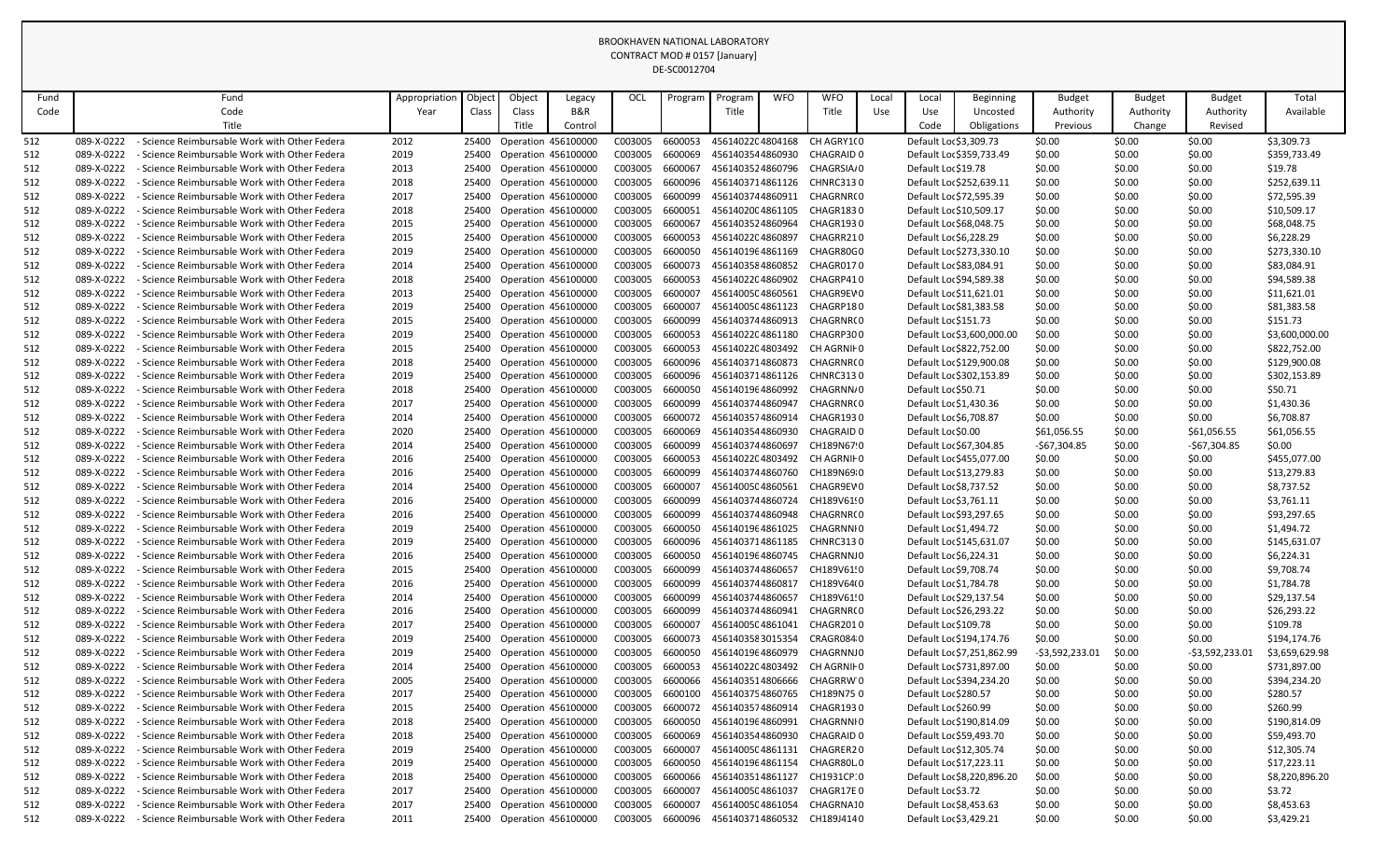|            |                          |                                                                                                     |               |                |        |                                            |                    | DE-SCOULZ/04       |                                      |            |                                |       |                         |                            |                  |                  |                  |                            |
|------------|--------------------------|-----------------------------------------------------------------------------------------------------|---------------|----------------|--------|--------------------------------------------|--------------------|--------------------|--------------------------------------|------------|--------------------------------|-------|-------------------------|----------------------------|------------------|------------------|------------------|----------------------------|
| Fund       |                          | Fund                                                                                                | Appropriation | Objec          | Object | Legacy                                     | OCL                | Program            | Program                              | <b>WFO</b> | <b>WFO</b>                     | Local | Local                   | Beginning                  | <b>Budget</b>    | <b>Budget</b>    | <b>Budget</b>    | Total                      |
| Code       |                          | Code                                                                                                | Year          | Class          | Class  | <b>B&amp;R</b>                             |                    |                    | Title                                |            | Title                          | Use   | Use                     | Uncosted                   | Authority        | Authority        | Authority        | Available                  |
|            |                          | Title                                                                                               |               |                | Title  | Control                                    |                    |                    |                                      |            |                                |       | Code                    | Obligations                | Previous         | Change           | Revised          |                            |
| 512        | 089-X-0222               | <b>Science Reimbursable Work with Other Federa</b>                                                  | 2012          | 25400          |        | <b>Operation 456100000</b>                 | C003005            | 6600053            | 4561402204804168                     |            | CH AGRY1(0                     |       | Default Loc \$3,309.73  |                            | \$0.00           | \$0.00           | \$0.00           | \$3,309.73                 |
| 512        | 089-X-0222               | - Science Reimbursable Work with Other Federa                                                       | 2019          | 25400          |        | Operation 456100000                        | C003005            | 6600069            | 4561403544860930                     |            | CHAGRAID 0                     |       |                         | Default Loc \$359,733.49   | \$0.00           | \$0.00           | \$0.00           | \$359,733.49               |
| 512        | 089-X-0222               | - Science Reimbursable Work with Other Federa                                                       | 2013          | 25400          |        | Operation 456100000                        | C003005            | 6600067            | 4561403524860796                     |            | CHAGRSIA/0                     |       | Default Loc \$19.78     |                            | \$0.00           | \$0.00           | \$0.00           | \$19.78                    |
| 512        | 089-X-0222               | Science Reimbursable Work with Other Federa                                                         | 2018          | 25400          |        | Operation 456100000                        | C003005            | 6600096            | 4561403714861126                     |            | <b>CHNRC3130</b>               |       |                         | Default Loc \$252,639.11   | \$0.00           | \$0.00           | \$0.00           | \$252,639.11               |
| 512        | 089-X-0222               | <b>Science Reimbursable Work with Other Federa</b>                                                  | 2017          | 25400          |        | Operation 456100000                        | C003005            | 6600099            | 4561403744860911                     |            | CHAGRNR(0                      |       |                         | Default Loc \$72,595.39    | \$0.00           | \$0.00           | \$0.00           | \$72,595.39                |
| 512        | 089-X-0222               | - Science Reimbursable Work with Other Federa                                                       | 2018          | 25400          |        | Operation 456100000                        | C003005            | 6600051            | 4561402004861105                     |            | CHAGR1830                      |       | Default Loc \$10,509.17 |                            | \$0.00           | \$0.00           | \$0.00           | \$10,509.17                |
| 512        | 089-X-0222               | - Science Reimbursable Work with Other Federa                                                       | 2015          | 25400          |        | Operation 456100000                        | C003005            | 6600067            | 4561403524860964                     |            | CHAGR1930                      |       |                         | Default Loc \$68,048.75    | \$0.00           | \$0.00           | \$0.00           | \$68,048.75                |
| 512        | 089-X-0222               | <b>Science Reimbursable Work with Other Federa</b>                                                  | 2015          | 25400          |        | Operation 456100000                        | C003005            | 6600053            | 4561402204860897                     |            | CHAGRR210                      |       | Default Loc \$6,228.29  |                            | \$0.00           | \$0.00           | \$0.00           | \$6,228.29                 |
| 512        | 089-X-0222               | - Science Reimbursable Work with Other Federa                                                       | 2019          | 25400          |        | Operation 456100000                        | C003005            | 6600050            | 4561401964861169                     |            | CHAGR80G0                      |       |                         | Default Loc \$273,330.10   | \$0.00           | \$0.00           | \$0.00           | \$273,330.10               |
| 512        | 089-X-0222               | - Science Reimbursable Work with Other Federa                                                       | 2014          | 25400          |        | Operation 456100000                        | C003005            | 6600073            | 4561403584860852                     |            | CHAGR0170                      |       |                         | Default Loc \$83,084.91    | \$0.00           | \$0.00           | \$0.00           | \$83,084.91                |
| 512        | 089-X-0222               | Science Reimbursable Work with Other Federa                                                         | 2018          | 25400          |        | Operation 456100000                        | C003005            | 6600053            | 4561402204860902                     |            | CHAGRP410                      |       |                         | Default Loc \$94,589.38    | \$0.00           | \$0.00           | \$0.00           | \$94,589.38                |
| 512        | 089-X-0222               | Science Reimbursable Work with Other Federa                                                         | 2013          | 25400          |        | Operation 456100000                        | C003005            | 6600007            | 4561400504860561                     |            | CHAGR9EV0                      |       |                         | Default Loc \$11,621.01    | \$0.00           | \$0.00           | \$0.00           | \$11,621.01                |
| 512        | 089-X-0222               | - Science Reimbursable Work with Other Federa                                                       | 2019          | 25400          |        | Operation 456100000                        | C003005            | 6600007            | 4561400504861123                     |            | CHAGRP180                      |       |                         | Default Loc \$81,383.58    | \$0.00           | \$0.00           | \$0.00           | \$81,383.58                |
| 512        | 089-X-0222               | - Science Reimbursable Work with Other Federa                                                       | 2015          | 25400          |        | Operation 456100000                        | C003005            | 6600099            | 4561403744860913                     |            | CHAGRNR(0                      |       | Default Loc \$151.73    |                            | \$0.00           | \$0.00           | \$0.00           | \$151.73                   |
| 512        | 089-X-0222               | Science Reimbursable Work with Other Federa                                                         | 2019          | 25400          |        | Operation 456100000                        | C003005            | 6600053            | 4561402204861180                     |            | CHAGRP300                      |       |                         | Default Loc \$3,600,000.00 | \$0.00           | \$0.00           | \$0.00           | \$3,600,000.00             |
| 512        | 089-X-0222               | <b>Science Reimbursable Work with Other Federa</b>                                                  | 2015          | 25400          |        | Operation 456100000                        | C003005            | 6600053            | 4561402204803492                     |            | CH AGRNII 0                    |       |                         | Default Loc \$822,752.00   | \$0.00           | \$0.00           | \$0.00           | \$822,752.00               |
| 512        | 089-X-0222               | Science Reimbursable Work with Other Federa                                                         | 2018          | 25400          |        | Operation 456100000                        | C003005            | 6600096            | 4561403714860873                     |            | CHAGRNR(0                      |       |                         | Default Loc \$129,900.08   | \$0.00           | \$0.00           | \$0.00           | \$129,900.08               |
| 512        | 089-X-0222               | - Science Reimbursable Work with Other Federa                                                       | 2019          | 25400          |        | Operation 456100000                        | C003005            | 6600096            | 4561403714861126                     |            | <b>CHNRC3130</b>               |       |                         | Default Loc \$302,153.89   | \$0.00           | \$0.00           | \$0.00           | \$302,153.89               |
| 512        | 089-X-0222               | - Science Reimbursable Work with Other Federa                                                       | 2018          | 25400          |        | Operation 456100000                        | C003005            | 6600050            | 4561401964860992                     |            | CHAGRNN/0                      |       | Default Loc \$50.71     |                            | \$0.00           | \$0.00           | \$0.00           | \$50.71                    |
| 512        | 089-X-0222               | Science Reimbursable Work with Other Federa                                                         | 2017          | 25400          |        | Operation 456100000                        | C003005            | 6600099            | 4561403744860947                     |            | CHAGRNR(0                      |       | Default Loc \$1,430.36  |                            | \$0.00           | \$0.00           | \$0.00           | \$1,430.36                 |
| 512        | 089-X-0222               | - Science Reimbursable Work with Other Federa                                                       | 2014          | 25400          |        | Operation 456100000                        | C003005            | 6600072            | 4561403574860914                     |            | CHAGR1930                      |       | Default Loc \$6,708.87  |                            | \$0.00           | \$0.00           | \$0.00           | \$6,708.87                 |
| 512        | 089-X-0222               | - Science Reimbursable Work with Other Federa                                                       | 2020          | 25400          |        | Operation 456100000                        | C003005            | 6600069            | 4561403544860930                     |            | <b>CHAGRAID 0</b>              |       | Default Loc \$0.00      |                            | \$61,056.55      | \$0.00           | \$61,056.55      | \$61,056.55                |
| 512        | 089-X-0222               | <b>Science Reimbursable Work with Other Federa</b>                                                  | 2014          | 25400          |        | Operation 456100000                        | C003005            | 6600099            | 4561403744860697                     |            | CH189N67 0                     |       |                         | Default Loc \$67,304.85    | $-567,304.85$    | \$0.00           | -\$67,304.85     | \$0.00                     |
| 512        | 089-X-0222               | - Science Reimbursable Work with Other Federa                                                       | 2016          | 25400          |        | <b>Operation 456100000</b>                 | C003005            | 6600053            | 4561402204803492                     |            | CH AGRNII 0                    |       |                         | Default Loc \$455,077.00   | \$0.00           | \$0.00           | \$0.00           | \$455,077.00               |
| 512        | 089-X-0222               | - Science Reimbursable Work with Other Federa                                                       | 2016          | 25400          |        | Operation 456100000                        | C003005            | 6600099            | 4561403744860760                     |            | CH189N69 0                     |       |                         | Default Loc \$13,279.83    | \$0.00           | \$0.00           | \$0.00           | \$13,279.83                |
| 512        | 089-X-0222               | - Science Reimbursable Work with Other Federa                                                       | 2014          | 25400          |        | Operation 456100000                        | C003005            | 6600007<br>6600099 | 4561400504860561                     |            | CHAGR9EV0                      |       | Default Loc \$8,737.52  |                            | \$0.00           | \$0.00           | \$0.00           | \$8,737.52                 |
| 512        | 089-X-0222               | - Science Reimbursable Work with Other Federa                                                       | 2016          | 25400          |        | Operation 456100000                        | C003005            |                    | 4561403744860724                     |            | CH189V61!0                     |       | Default Loc \$3,761.11  |                            | \$0.00           | \$0.00           | \$0.00           | \$3,761.11                 |
| 512        | 089-X-0222               | - Science Reimbursable Work with Other Federa                                                       | 2016          | 25400          |        | Operation 456100000                        | C003005            | 6600099            | 4561403744860948                     |            | CHAGRNR(0                      |       |                         | Default Loc \$93,297.65    | \$0.00           | \$0.00           | \$0.00           | \$93,297.65                |
| 512        | 089-X-0222               | - Science Reimbursable Work with Other Federa                                                       | 2019          | 25400          |        | Operation 456100000<br>Operation 456100000 | C003005            | 6600050            | 4561401964861025                     |            | CHAGRNNI 0<br><b>CHNRC3130</b> |       | Default Loc \$1,494.72  |                            | \$0.00           | \$0.00           | \$0.00           | \$1,494.72                 |
| 512<br>512 | 089-X-0222<br>089-X-0222 | - Science Reimbursable Work with Other Federa<br><b>Science Reimbursable Work with Other Federa</b> | 2019<br>2016  | 25400<br>25400 |        | Operation 456100000                        | C003005<br>C003005 | 6600096<br>6600050 | 4561403714861185<br>4561401964860745 |            | <b>CHAGRNNJ0</b>               |       | Default Loc \$6,224.31  | Default Loc \$145,631.07   | \$0.00<br>\$0.00 | \$0.00<br>\$0.00 | \$0.00<br>\$0.00 | \$145,631.07<br>\$6,224.31 |
| 512        | 089-X-0222               | - Science Reimbursable Work with Other Federa                                                       | 2015          | 25400          |        | Operation 456100000                        | C003005            | 6600099            | 4561403744860657                     |            | CH189V61!0                     |       | Default Loc \$9,708.74  |                            | \$0.00           | \$0.00           | \$0.00           | \$9,708.74                 |
| 512        | 089-X-0222               | - Science Reimbursable Work with Other Federa                                                       | 2016          | 25400          |        | Operation 456100000                        | C003005            | 6600099            | 4561403744860817                     |            | CH189V64(0                     |       | Default Loc \$1,784.78  |                            | \$0.00           | \$0.00           | \$0.00           | \$1,784.78                 |
| 512        | 089-X-0222               | - Science Reimbursable Work with Other Federa                                                       | 2014          | 25400          |        | Operation 456100000                        | C003005            | 6600099            | 4561403744860657                     |            | CH189V61!0                     |       |                         | Default Loc \$29,137.54    | \$0.00           | \$0.00           | \$0.00           | \$29,137.54                |
| 512        | 089-X-0222               | - Science Reimbursable Work with Other Federa                                                       | 2016          | 25400          |        | Operation 456100000                        | C003005            | 6600099            | 4561403744860941                     |            | CHAGRNR(0                      |       |                         | Default Loc \$26,293.22    | \$0.00           | \$0.00           | \$0.00           | \$26,293.22                |
| 512        | 089-X-0222               | <b>Science Reimbursable Work with Other Federa</b>                                                  | 2017          | 25400          |        | Operation 456100000                        | C003005            | 6600007            | 4561400504861041                     |            | CHAGR2010                      |       | Default Loc \$109.78    |                            | \$0.00           | \$0.00           | \$0.00           | \$109.78                   |
| 512        | 089-X-0222               | - Science Reimbursable Work with Other Federa                                                       | 2019          | 25400          |        | Operation 456100000                        | C003005            | 6600073            | 4561403583015354                     |            | CRAGR0840                      |       |                         | Default Loc \$194,174.76   | \$0.00           | \$0.00           | \$0.00           | \$194,174.76               |
| 512        | 089-X-0222               | - Science Reimbursable Work with Other Federa                                                       | 2019          | 25400          |        | Operation 456100000                        | C003005            | 6600050            | 4561401964860979                     |            | <b>CHAGRNNJ0</b>               |       |                         | Default Loc \$7,251,862.99 | -\$3,592,233.01  | \$0.00           | -\$3,592,233.0   | \$3,659,629.98             |
| 512        | 089-X-0222               | - Science Reimbursable Work with Other Federa                                                       | 2014          | 25400          |        | Operation 456100000                        | C003005            | 6600053            | 4561402204803492                     |            | CH AGRNIF 0                    |       |                         | Default Loc \$731,897.00   | \$0.00           | \$0.00           | \$0.00           | \$731,897.00               |
| 512        | 089-X-0222               | - Science Reimbursable Work with Other Federa                                                       | 2005          | 25400          |        | Operation 456100000                        | C003005            | 6600066            | 4561403514806666                     |            | CHAGRRW 0                      |       |                         | Default Loc \$394,234.20   | \$0.00           | \$0.00           | \$0.00           | \$394,234.20               |
| 512        | 089-X-0222               | - Science Reimbursable Work with Other Federa                                                       | 2017          | 25400          |        | Operation 456100000                        | C003005            | 6600100            | 4561403754860765                     |            | CH189N75 0                     |       | Default Loc \$280.57    |                            | \$0.00           | \$0.00           | \$0.00           | \$280.57                   |
| 512        | 089-X-0222               | - Science Reimbursable Work with Other Federa                                                       | 2015          | 25400          |        | Operation 456100000                        | C003005            | 6600072            | 4561403574860914                     |            | CHAGR1930                      |       | Default Loc \$260.99    |                            | \$0.00           | \$0.00           | \$0.00           | \$260.99                   |
| 512        | 089-X-0222               | - Science Reimbursable Work with Other Federa                                                       | 2018          | 25400          |        | Operation 456100000                        | C003005            | 6600050            | 4561401964860991                     |            | CHAGRNNI 0                     |       |                         | Default Loc \$190,814.09   | \$0.00           | \$0.00           | \$0.00           | \$190,814.09               |
| 512        | 089-X-0222               | - Science Reimbursable Work with Other Federa                                                       | 2018          | 25400          |        | Operation 456100000                        | C003005            | 6600069            | 4561403544860930                     |            | <b>CHAGRAID 0</b>              |       |                         | Default Loc \$59,493.70    | \$0.00           | \$0.00           | \$0.00           | \$59,493.70                |
| 512        | 089-X-0222               | - Science Reimbursable Work with Other Federa                                                       | 2019          | 25400          |        | Operation 456100000                        | C003005            | 6600007            | 4561400504861131                     |            | CHAGRER20                      |       |                         | Default Loc \$12,305.74    | \$0.00           | \$0.00           | \$0.00           | \$12,305.74                |
| 512        | 089-X-0222               | - Science Reimbursable Work with Other Federa                                                       | 2019          | 25400          |        | Operation 456100000                        | C003005            | 6600050            | 4561401964861154                     |            | CHAGR80L0                      |       | Default Loc \$17,223.11 |                            | \$0.00           | \$0.00           | \$0.00           | \$17,223.11                |
| 512        | 089-X-0222               | - Science Reimbursable Work with Other Federa                                                       | 2018          | 25400          |        | Operation 456100000                        | C003005            | 6600066            | 4561403514861127                     |            | CH1931CP:0                     |       |                         | Default Loc \$8,220,896.20 | \$0.00           | \$0.00           | \$0.00           | \$8,220,896.20             |
| 512        | 089-X-0222               | - Science Reimbursable Work with Other Federa                                                       | 2017          | 25400          |        | Operation 456100000                        | C003005            | 6600007            | 4561400504861037                     |            | CHAGR17E0                      |       | Default Loc \$3.72      |                            | \$0.00           | \$0.00           | \$0.00           | \$3.72                     |
| 512        | 089-X-0222               | - Science Reimbursable Work with Other Federa                                                       | 2017          |                |        | 25400 Operation 456100000                  | C003005            | 6600007            | 4561400504861054                     |            | CHAGRNA10                      |       | Default Loc \$8,453.63  |                            | \$0.00           | \$0.00           | \$0.00           | \$8,453.63                 |
| 512        | 089-X-0222               | - Science Reimbursable Work with Other Federa                                                       | 2011          |                |        | 25400 Operation 456100000                  | C003005            | 6600096            |                                      |            | 4561403714860532 CH189J4140    |       | Default Loc \$3,429.21  |                            | \$0.00           | \$0.00           | \$0.00           | \$3,429.21                 |
|            |                          |                                                                                                     |               |                |        |                                            |                    |                    |                                      |            |                                |       |                         |                            |                  |                  |                  |                            |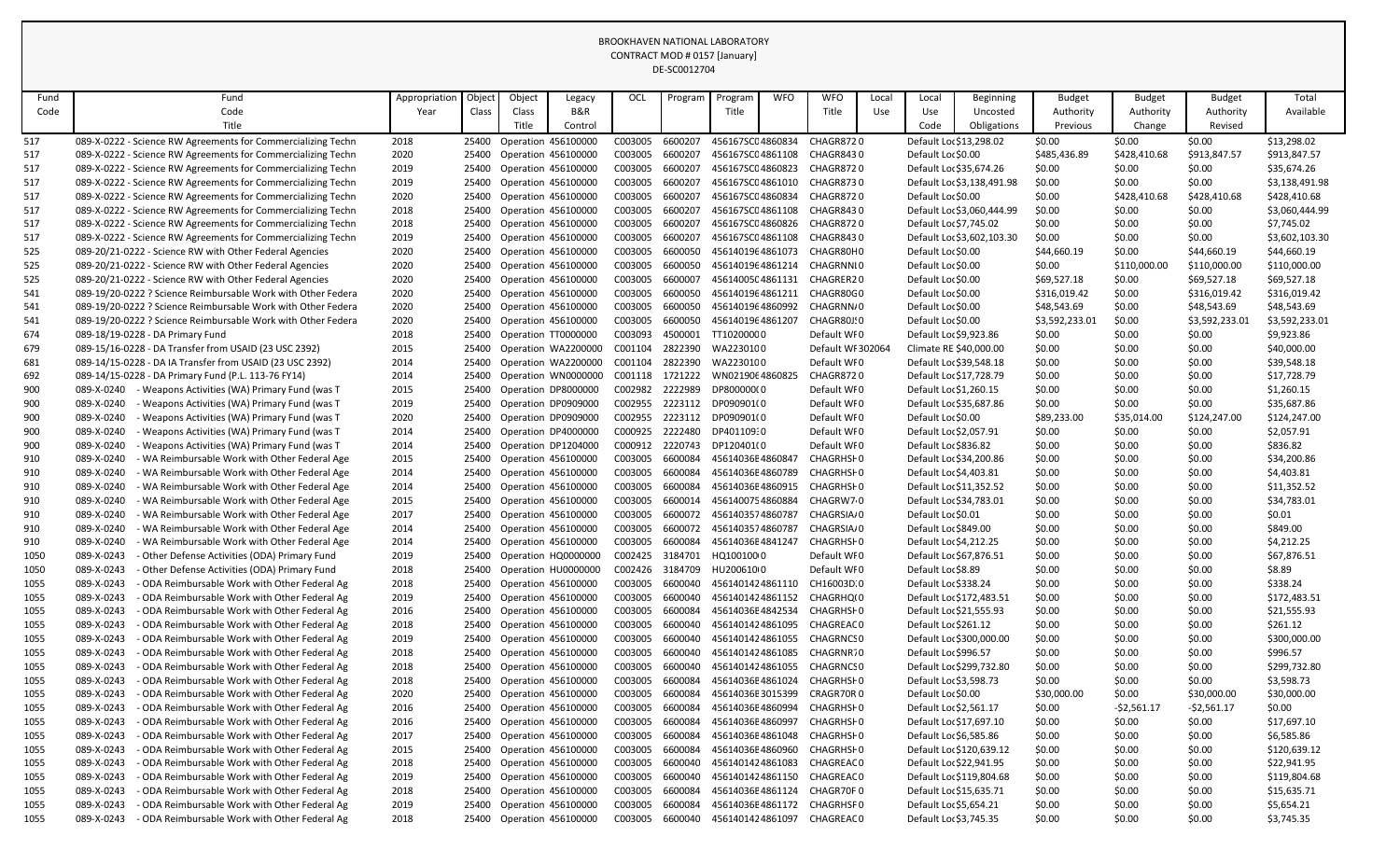|            |                                                                                                          |               |                |        |                                            |                    | UL-JUUJIZ7U4       |                          |            |                            |       |                                                |                            |                  |                  |                  |                        |
|------------|----------------------------------------------------------------------------------------------------------|---------------|----------------|--------|--------------------------------------------|--------------------|--------------------|--------------------------|------------|----------------------------|-------|------------------------------------------------|----------------------------|------------------|------------------|------------------|------------------------|
| Fund       | Fund                                                                                                     | Appropriation | Objec          | Object | Legacy                                     | OCL                | Program            | Program                  | <b>WFO</b> | <b>WFO</b>                 | Local | Local                                          | Beginning                  | <b>Budget</b>    | <b>Budget</b>    | <b>Budget</b>    | Total                  |
| Code       | Code                                                                                                     | Year          | Class          | Class  | <b>B&amp;R</b>                             |                    |                    | Title                    |            | Title                      | Use   | Use                                            | Uncosted                   | Authority        | Authority        | Authority        | Available              |
|            | Title                                                                                                    |               |                | Title  | Control                                    |                    |                    |                          |            |                            |       | Code                                           | Obligations                | Previous         | Change           | Revised          |                        |
| 517        | 089-X-0222 - Science RW Agreements for Commercializing Techn                                             | 2018          | 25400          |        | Operation 456100000                        | C003005            | 6600207            | 456167SC04860834         |            | CHAGR8720                  |       | Default Loc \$13,298.02                        |                            | \$0.00           | \$0.00           | \$0.00           | \$13,298.02            |
| 517        | 089-X-0222 - Science RW Agreements for Commercializing Techn                                             | 2020          | 25400          |        | Operation 456100000                        | C003005            | 6600207            | 456167SC04861108         |            | CHAGR8430                  |       | Default Loc \$0.00                             |                            | \$485,436.89     | \$428,410.68     | \$913,847.57     | \$913,847.57           |
| 517        | 089-X-0222 - Science RW Agreements for Commercializing Techn                                             | 2019          | 25400          |        | Operation 456100000                        | C003005            | 6600207            | 456167SC04860823         |            | CHAGR8720                  |       | Default Loc \$35,674.26                        |                            | \$0.00           | \$0.00           | \$0.00           | \$35,674.26            |
| 517        | 089-X-0222 - Science RW Agreements for Commercializing Techn                                             | 2019          | 25400          |        | Operation 456100000                        | C003005            | 6600207            | 456167SC04861010         |            | CHAGR8730                  |       |                                                | Default Loc \$3,138,491.98 | \$0.00           | \$0.00           | \$0.00           | \$3,138,491.98         |
| 517        | 089-X-0222 - Science RW Agreements for Commercializing Techn                                             | 2020          | 25400          |        | Operation 456100000                        | C003005            | 6600207            | 456167SC04860834         |            | CHAGR8720                  |       | Default Loc \$0.00                             |                            | \$0.00           | \$428,410.68     | \$428,410.68     | \$428,410.68           |
| 517        | 089-X-0222 - Science RW Agreements for Commercializing Techn                                             | 2018          | 25400          |        | Operation 456100000                        | C003005            | 6600207            | 456167SC04861108         |            | CHAGR8430                  |       |                                                | Default Loc \$3,060,444.99 | \$0.00           | \$0.00           | \$0.00           | \$3,060,444.99         |
| 517        | 089-X-0222 - Science RW Agreements for Commercializing Techn                                             | 2018          | 25400          |        | Operation 456100000                        | C003005            | 6600207            | 456167SC04860826         |            | CHAGR8720                  |       | Default Loc \$7,745.02                         |                            | \$0.00           | \$0.00           | \$0.00           | \$7,745.02             |
| 517        | 089-X-0222 - Science RW Agreements for Commercializing Techn                                             | 2019          | 25400          |        | Operation 456100000                        | C003005            | 6600207            | 456167SC04861108         |            | CHAGR8430                  |       |                                                | Default Loc \$3,602,103.30 | \$0.00           | \$0.00           | \$0.00           | \$3,602,103.30         |
| 525        | 089-20/21-0222 - Science RW with Other Federal Agencies                                                  | 2020          | 25400          |        | Operation 456100000                        | C003005            | 6600050            | 4561401964861073         |            | CHAGR80H0                  |       | Default Loc \$0.00                             |                            | \$44,660.19      | \$0.00           | \$44,660.19      | \$44,660.19            |
| 525        | 089-20/21-0222 - Science RW with Other Federal Agencies                                                  | 2020          | 25400          |        | Operation 456100000                        | C003005            | 6600050            | 4561401964861214         |            | CHAGRNNI0                  |       | Default Loc \$0.00                             |                            | \$0.00           | \$110,000.00     | \$110,000.00     | \$110,000.00           |
| 525        | 089-20/21-0222 - Science RW with Other Federal Agencies                                                  | 2020          | 25400          |        | Operation 456100000                        | C003005            | 6600007            | 4561400504861131         |            | CHAGRER20                  |       | Default Lor \$0.00                             |                            | \$69,527.18      | \$0.00           | \$69,527.18      | \$69,527.18            |
| 541        | 089-19/20-0222 ? Science Reimbursable Work with Other Federa                                             | 2020          | 25400          |        | Operation 456100000                        | C003005            | 6600050            | 4561401964861211         |            | CHAGR80C0                  |       | Default Loc \$0.00                             |                            | \$316,019.42     | \$0.00           | \$316,019.42     | \$316,019.42           |
| 541        | 089-19/20-0222 ? Science Reimbursable Work with Other Federa                                             | 2020          | 25400          |        | Operation 456100000                        | C003005            | 6600050            | 4561401964860992         |            | CHAGRNN/0                  |       | Default Loc \$0.00                             |                            | \$48,543.69      | \$0.00           | \$48,543.69      | \$48,543.69            |
| 541        | 089-19/20-0222 ? Science Reimbursable Work with Other Federa                                             | 2020          | 25400          |        | Operation 456100000                        | C003005            | 6600050            | 4561401964861207         |            | CHAGR80J:0                 |       | Default Lor \$0.00                             |                            | \$3,592,233.01   | \$0.00           | \$3,592,233.0    | \$3,592,233.01         |
| 674        | 089-18/19-0228 - DA Primary Fund                                                                         | 2018          | 25400          |        | Operation TT0000000                        | C003093            | 4500001            | TT10200000               |            | Default WF0                |       | Default Loc \$9,923.86                         |                            | \$0.00           | \$0.00           | \$0.00           | \$9,923.86             |
| 679        | 089-15/16-0228 - DA Transfer from USAID (23 USC 2392)                                                    | 2015          | 25400          |        | Operation WA2200000                        | C001104            | 2822390            | WA2230100                |            | Default WI 302064          |       | Climate RE \$40,000.00                         |                            | \$0.00           | \$0.00           | \$0.00           | \$40,000.00            |
| 681        | 089-14/15-0228 - DA IA Transfer from USAID (23 USC 2392)                                                 | 2014          | 25400          |        | Operation WA2200000                        | C001104            | 2822390            | WA2230100                |            | Default WFO                |       | Default Loc \$39,548.18                        |                            | \$0.00           | \$0.00           | \$0.00           | \$39,548.18            |
| 692        | 089-14/15-0228 - DA Primary Fund (P.L. 113-76 FY14)                                                      | 2014          | 25400          |        | Operation WN0000000                        | C001118            | 1721222            | WN0219064860825          |            | <b>CHAGR8720</b>           |       | Default Loc \$17,728.79                        |                            | \$0.00           | \$0.00           | \$0.00           | \$17,728.79            |
| 900        | 089-X-0240<br>- Weapons Activities (WA) Primary Fund (was T                                              | 2015          | 25400          |        | Operation DP8000000                        | C002982            | 2222989            | DP800000(0               |            | Default WF0                |       | Default Loc \$1,260.15                         |                            | \$0.00           | \$0.00           | \$0.00           | \$1,260.15             |
| 900        | 089-X-0240<br>Weapons Activities (WA) Primary Fund (was T                                                | 2019          | 25400          |        | Operation DP0909000                        | C002955            | 2223112            | DP090901(0               |            | Default WFO                |       | Default Loc \$35,687.86                        |                            | \$0.00           | \$0.00           | \$0.00           | \$35,687.86            |
| 900        | 089-X-0240<br>Weapons Activities (WA) Primary Fund (was T<br>089-X-0240                                  | 2020          | 25400<br>25400 |        | Operation DP0909000                        | C002955<br>C000925 | 2223112<br>2222480 | DP090901(0<br>DP401109:0 |            | Default WF0<br>Default WF0 |       | Default Loc \$0.00                             |                            | \$89,233.00      | \$35,014.00      | \$124,247.00     | \$124,247.00           |
| 900<br>900 | Weapons Activities (WA) Primary Fund (was T<br>089-X-0240<br>Weapons Activities (WA) Primary Fund (was T | 2014<br>2014  | 25400          |        | Operation DP4000000<br>Operation DP1204000 | C000912            | 2220743            | DP120401(0               |            | Default WFO                |       | Default Loc \$2,057.91<br>Default Loc \$836.82 |                            | \$0.00<br>\$0.00 | \$0.00<br>\$0.00 | \$0.00<br>\$0.00 | \$2,057.91<br>\$836.82 |
| 910        | 089-X-0240<br>WA Reimbursable Work with Other Federal Age                                                | 2015          | 25400          |        | Operation 456100000                        | C003005            | 6600084            | 45614036E4860847         |            | CHAGRHSI 0                 |       | Default Loc \$34,200.86                        |                            | \$0.00           | \$0.00           | \$0.00           | \$34,200.86            |
| 910        | 089-X-0240<br>WA Reimbursable Work with Other Federal Age                                                | 2014          | 25400          |        | Operation 456100000                        | C003005            | 6600084            | 45614036E4860789         |            | CHAGRHSI 0                 |       | Default Loc \$4,403.81                         |                            | \$0.00           | \$0.00           | \$0.00           | \$4,403.81             |
| 910        | 089-X-0240<br>WA Reimbursable Work with Other Federal Age                                                | 2014          | 25400          |        | Operation 456100000                        | C003005            | 6600084            | 45614036E4860915         |            | CHAGRHSI 0                 |       | Default Loc \$11,352.52                        |                            | \$0.00           | \$0.00           | \$0.00           | \$11,352.52            |
| 910        | 089-X-0240<br>- WA Reimbursable Work with Other Federal Age                                              | 2015          | 25400          |        | <b>Operation 456100000</b>                 | C003005            | 6600014            | 4561400754860884         |            | CHAGRW7 0                  |       | Default Loc \$34,783.01                        |                            | \$0.00           | \$0.00           | \$0.00           | \$34,783.01            |
| 910        | 089-X-0240<br>WA Reimbursable Work with Other Federal Age                                                | 2017          | 25400          |        | <b>Operation 456100000</b>                 | C003005            | 6600072            | 4561403574860787         |            | CHAGRSIA/0                 |       | Default Loc \$0.01                             |                            | \$0.00           | \$0.00           | \$0.00           | \$0.01                 |
| 910        | 089-X-0240<br>WA Reimbursable Work with Other Federal Age                                                | 2014          | 25400          |        | Operation 456100000                        | C003005            | 6600072            | 4561403574860787         |            | CHAGRSIA/0                 |       | Default Lor \$849.00                           |                            | \$0.00           | \$0.00           | \$0.00           | \$849.00               |
| 910        | 089-X-0240<br>WA Reimbursable Work with Other Federal Age                                                | 2014          | 25400          |        | Operation 456100000                        | C003005            | 6600084            | 45614036E4841247         |            | <b>CHAGRHSHO</b>           |       | Default Loc \$4,212.25                         |                            | \$0.00           | \$0.00           | \$0.00           | \$4,212.25             |
| 1050       | 089-X-0243<br>- Other Defense Activities (ODA) Primary Fund                                              | 2019          | 25400          |        | Operation HQ0000000                        | C002425 3184701    |                    | HQ100100 0               |            | Default WF0                |       | Default Loc \$67,876.51                        |                            | \$0.00           | \$0.00           | \$0.00           | \$67,876.51            |
| 1050       | 089-X-0243<br>Other Defense Activities (ODA) Primary Fund                                                | 2018          | 25400          |        | Operation HU0000000                        |                    | C002426 3184709    | HU200610(0               |            | Default WFO                |       | Default Loc\$8.89                              |                            | \$0.00           | \$0.00           | \$0.00           | \$8.89                 |
| 1055       | 089-X-0243<br>ODA Reimbursable Work with Other Federal Ag                                                | 2018          | 25400          |        | Operation 456100000                        | C003005            | 6600040            | 4561401424861110         |            | CH16003D.0                 |       | Default Loc \$338.24                           |                            | \$0.00           | \$0.00           | \$0.00           | \$338.24               |
| 1055       | 089-X-0243<br>ODA Reimbursable Work with Other Federal Ag                                                | 2019          | 25400          |        | Operation 456100000                        | C003005            | 6600040            | 4561401424861152         |            | CHAGRHQ(0                  |       |                                                | Default Loc \$172,483.51   | \$0.00           | \$0.00           | \$0.00           | \$172,483.51           |
| 1055       | 089-X-0243<br>ODA Reimbursable Work with Other Federal Ag                                                | 2016          | 25400          |        | Operation 456100000                        | C003005            | 6600084            | 45614036E4842534         |            | CHAGRHSF0                  |       | Default Loc \$21,555.93                        |                            | \$0.00           | \$0.00           | \$0.00           | \$21,555.93            |
| 1055       | 089-X-0243<br>ODA Reimbursable Work with Other Federal Ag                                                | 2018          | 25400          |        | Operation 456100000                        | C003005            | 6600040            | 4561401424861095         |            | CHAGREAC 0                 |       | Default Loc \$261.12                           |                            | \$0.00           | \$0.00           | \$0.00           | \$261.12               |
| 1055       | 089-X-0243<br>ODA Reimbursable Work with Other Federal Ag                                                | 2019          | 25400          |        | Operation 456100000                        | C003005            | 6600040            | 4561401424861055         |            | CHAGRNCS 0                 |       |                                                | Default Loc \$300,000.00   | \$0.00           | \$0.00           | \$0.00           | \$300,000.00           |
| 1055       | 089-X-0243<br>ODA Reimbursable Work with Other Federal Ag                                                | 2018          | 25400          |        | Operation 456100000                        | C003005            | 6600040            | 4561401424861085         |            | CHAGRNR70                  |       | Default Loc \$996.57                           |                            | \$0.00           | \$0.00           | \$0.00           | \$996.57               |
| 1055       | 089-X-0243<br>ODA Reimbursable Work with Other Federal Ag                                                | 2018          | 25400          |        | Operation 456100000                        | C003005            | 6600040            | 4561401424861055         |            | CHAGRNCS 0                 |       |                                                | Default Loc \$299,732.80   | \$0.00           | \$0.00           | \$0.00           | \$299,732.80           |
| 1055       | 089-X-0243<br>ODA Reimbursable Work with Other Federal Ag                                                | 2018          | 25400          |        | Operation 456100000                        | C003005            | 6600084            | 45614036E4861024         |            | CHAGRHSI 0                 |       | Default Loc \$3,598.73                         |                            | \$0.00           | \$0.00           | \$0.00           | \$3,598.73             |
| 1055       | 089-X-0243<br>ODA Reimbursable Work with Other Federal Ag                                                | 2020          | 25400          |        | Operation 456100000                        | C003005            | 6600084            | 45614036E3015399         |            | CRAGR70R0                  |       | Default Loc \$0.00                             |                            | \$30,000.00      | \$0.00           | \$30,000.00      | \$30,000.00            |
| 1055       | 089-X-0243<br>ODA Reimbursable Work with Other Federal Ag                                                | 2016          | 25400          |        | Operation 456100000                        | C003005            | 6600084            | 45614036E4860994         |            | CHAGRHSI 0                 |       | Default Loc \$2,561.17                         |                            | \$0.00           | -\$2,561.17      | $-52,561.17$     | \$0.00                 |
| 1055       | 089-X-0243<br>ODA Reimbursable Work with Other Federal Ag                                                | 2016          | 25400          |        | Operation 456100000                        | C003005            | 6600084            | 45614036E4860997         |            | CHAGRHSI 0                 |       | Default Loc \$17,697.10                        |                            | \$0.00           | \$0.00           | \$0.00           | \$17,697.10            |
| 1055       | 089-X-0243<br>ODA Reimbursable Work with Other Federal Ag                                                | 2017          | 25400          |        | Operation 456100000                        | C003005            | 6600084            | 45614036E4861048         |            | CHAGRHSF 0                 |       | Default Loc \$6,585.86                         |                            | \$0.00           | \$0.00           | \$0.00           | \$6,585.86             |
| 1055       | 089-X-0243<br>ODA Reimbursable Work with Other Federal Ag                                                | 2015          | 25400          |        | Operation 456100000                        | C003005            | 6600084            | 45614036E4860960         |            | CHAGRHSF 0                 |       |                                                | Default Loc \$120,639.12   | \$0.00           | \$0.00           | \$0.00           | \$120,639.12           |
| 1055       | 089-X-0243<br>ODA Reimbursable Work with Other Federal Ag                                                | 2018          | 25400          |        | Operation 456100000                        | C003005            | 6600040            | 4561401424861083         |            | <b>CHAGREACO</b>           |       | Default Loc \$22,941.95                        |                            | \$0.00           | \$0.00           | \$0.00           | \$22,941.95            |
| 1055       | 089-X-0243<br>ODA Reimbursable Work with Other Federal Ag                                                | 2019          | 25400          |        | Operation 456100000                        | C003005            | 6600040            | 4561401424861150         |            | CHAGREAC 0                 |       |                                                | Default Loc \$119,804.68   | \$0.00           | \$0.00           | \$0.00           | \$119,804.68           |
| 1055       | 089-X-0243<br>ODA Reimbursable Work with Other Federal Ag                                                | 2018          | 25400          |        | Operation 456100000                        | C003005            | 6600084            | 45614036E4861124         |            | CHAGR70F0                  |       | Default Loc \$15,635.71                        |                            | \$0.00           | \$0.00           | \$0.00           | \$15,635.71            |
| 1055       | 089-X-0243<br>ODA Reimbursable Work with Other Federal Ag                                                | 2019          | 25400          |        | Operation 456100000                        | C003005            | 6600084            | 45614036E4861172         |            | CHAGRHSF 0                 |       | Default Loc \$5,654.21                         |                            | \$0.00           | \$0.00           | \$0.00           | \$5,654.21             |
| 1055       | 089-X-0243<br>ODA Reimbursable Work with Other Federal Ag                                                | 2018          | 25400          |        | Operation 456100000                        | C003005            | 6600040            | 4561401424861097         |            | CHAGREAC 0                 |       | Default Loc \$3,745.35                         |                            | \$0.00           | \$0.00           | \$0.00           | \$3,745.35             |
|            |                                                                                                          |               |                |        |                                            |                    |                    |                          |            |                            |       |                                                |                            |                  |                  |                  |                        |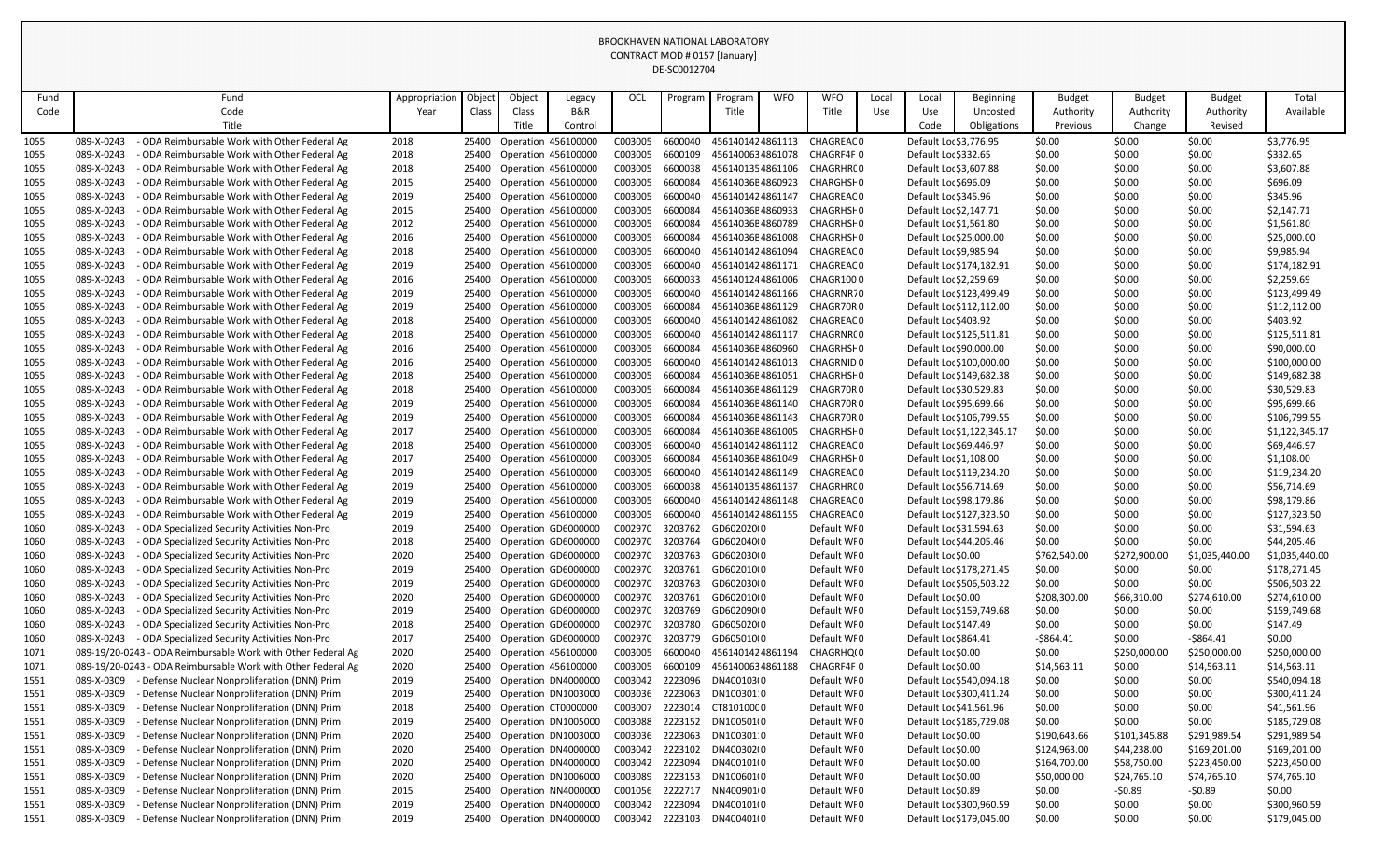|      |            |                                                              |               |       |        |                            |                 | DE-SCOUTZ/04 |                  |            |             |       |                          |                            |               |               |                |                |
|------|------------|--------------------------------------------------------------|---------------|-------|--------|----------------------------|-----------------|--------------|------------------|------------|-------------|-------|--------------------------|----------------------------|---------------|---------------|----------------|----------------|
| Fund |            | Fund                                                         | Appropriation | Objec | Object | Legacy                     | OCL             | Program      | Program          | <b>WFO</b> | <b>WFO</b>  | Local | Local                    | <b>Beginning</b>           | <b>Budget</b> | <b>Budget</b> | <b>Budget</b>  | Total          |
| Code |            | Code                                                         | Year          | Class | Class  | <b>B&amp;R</b>             |                 |              | Title            |            | Title       | Use   | Use                      | Uncosted                   | Authority     | Authority     | Authority      | Available      |
|      |            | Title                                                        |               |       | Title  | Control                    |                 |              |                  |            |             |       | Code                     | Obligations                | Previous      | Change        | Revised        |                |
| 1055 | 089-X-0243 | ODA Reimbursable Work with Other Federal Ag                  | 2018          | 25400 |        | <b>Operation 456100000</b> | C003005         | 6600040      | 4561401424861113 |            | CHAGREAC 0  |       | Default Loc \$3,776.95   |                            | \$0.00        | \$0.00        | \$0.00         | \$3,776.95     |
| 1055 | 089-X-0243 | ODA Reimbursable Work with Other Federal Ag                  | 2018          | 25400 |        | Operation 456100000        | C003005         | 6600109      | 4561400634861078 |            | CHAGRF4F0   |       | Default Loc \$332.65     |                            | \$0.00        | \$0.00        | \$0.00         | \$332.65       |
| 1055 | 089-X-0243 | ODA Reimbursable Work with Other Federal Ag                  | 2018          | 25400 |        | Operation 456100000        | C003005         | 6600038      | 4561401354861106 |            | CHAGRHR(0   |       | Default Loc \$3,607.88   |                            | \$0.00        | \$0.00        | \$0.00         | \$3,607.88     |
| 1055 | 089-X-0243 | ODA Reimbursable Work with Other Federal Ag                  | 2015          | 25400 |        | Operation 456100000        | C003005         | 6600084      | 45614036E4860923 |            | CHARGHSF 0  |       | Default Loc \$696.09     |                            | \$0.00        | \$0.00        | \$0.00         | \$696.09       |
| 1055 | 089-X-0243 | ODA Reimbursable Work with Other Federal Ag                  | 2019          | 25400 |        | Operation 456100000        | C003005         | 6600040      | 4561401424861147 |            | CHAGREAC 0  |       | Default Loc \$345.96     |                            | \$0.00        | \$0.00        | \$0.00         | \$345.96       |
| 1055 | 089-X-0243 | ODA Reimbursable Work with Other Federal Ag                  | 2015          | 25400 |        | Operation 456100000        | C003005         | 6600084      | 45614036E4860933 |            | CHAGRHSI 0  |       | Default Loc \$2,147.71   |                            | \$0.00        | \$0.00        | \$0.00         | \$2,147.71     |
| 1055 | 089-X-0243 | ODA Reimbursable Work with Other Federal Ag                  | 2012          | 25400 |        | Operation 456100000        | C003005         | 6600084      | 45614036E4860789 |            | CHAGRHSF0   |       | Default Loc \$1,561.80   |                            | \$0.00        | \$0.00        | \$0.00         | \$1,561.80     |
| 1055 | 089-X-0243 | ODA Reimbursable Work with Other Federal Ag                  | 2016          | 25400 |        | Operation 456100000        | C003005         | 6600084      | 45614036E4861008 |            | CHAGRHSF0   |       | Default Lor \$25,000.00  |                            | \$0.00        | \$0.00        | \$0.00         | \$25,000.00    |
| 1055 | 089-X-0243 | ODA Reimbursable Work with Other Federal Ag                  | 2018          | 25400 |        | Operation 456100000        | C003005         | 6600040      | 4561401424861094 |            | CHAGREAC 0  |       | Default Loc \$9,985.94   |                            | \$0.00        | \$0.00        | \$0.00         | \$9,985.94     |
| 1055 | 089-X-0243 | ODA Reimbursable Work with Other Federal Ag                  | 2019          | 25400 |        | Operation 456100000        | C003005         | 6600040      | 4561401424861171 |            | CHAGREAC 0  |       | Default Loc \$174,182.91 |                            | \$0.00        | \$0.00        | \$0.00         | \$174,182.91   |
| 1055 | 089-X-0243 | ODA Reimbursable Work with Other Federal Ag                  | 2016          | 25400 |        | Operation 456100000        | C003005         | 6600033      | 4561401244861006 |            | CHAGR1000   |       | Default Loc \$2,259.69   |                            | \$0.00        | \$0.00        | \$0.00         | \$2,259.69     |
| 1055 | 089-X-0243 | ODA Reimbursable Work with Other Federal Ag                  | 2019          | 25400 |        | Operation 456100000        | C003005         | 6600040      | 4561401424861166 |            | CHAGRNR70   |       | Default Loc \$123,499.49 |                            | \$0.00        | \$0.00        | \$0.00         | \$123,499.49   |
| 1055 | 089-X-0243 | ODA Reimbursable Work with Other Federal Ag                  | 2019          | 25400 |        | Operation 456100000        | C003005         | 6600084      | 45614036E4861129 |            | CHAGR70R0   |       | Default Loc \$112,112.00 |                            | \$0.00        | \$0.00        | \$0.00         | \$112,112.00   |
| 1055 | 089-X-0243 | ODA Reimbursable Work with Other Federal Ag                  | 2018          | 25400 |        | Operation 456100000        | C003005         | 6600040      | 4561401424861082 |            | CHAGREAC 0  |       | Default Loc \$403.92     |                            | \$0.00        | \$0.00        | \$0.00         | \$403.92       |
| 1055 | 089-X-0243 | ODA Reimbursable Work with Other Federal Ag                  | 2018          | 25400 |        | Operation 456100000        | C003005         | 6600040      | 4561401424861117 |            | CHAGRNR(0   |       | Default Loc \$125,511.81 |                            | \$0.00        | \$0.00        | \$0.00         | \$125,511.81   |
| 1055 | 089-X-0243 | ODA Reimbursable Work with Other Federal Ag                  | 2016          | 25400 |        | Operation 456100000        | C003005         | 6600084      | 45614036E4860960 |            | CHAGRHSI 0  |       | Default Lor \$90,000.00  |                            | \$0.00        | \$0.00        | \$0.00         | \$90,000.00    |
| 1055 | 089-X-0243 | ODA Reimbursable Work with Other Federal Ag                  | 2016          | 25400 |        | Operation 456100000        | C003005         | 6600040      | 4561401424861013 |            | CHAGRNID 0  |       | Default Lor \$100,000.00 |                            | \$0.00        | \$0.00        | \$0.00         | \$100,000.00   |
| 1055 | 089-X-0243 | ODA Reimbursable Work with Other Federal Ag                  | 2018          | 25400 |        | Operation 456100000        | C003005         | 6600084      | 45614036E4861051 |            | CHAGRHSI 0  |       | Default Loc \$149,682.38 |                            | \$0.00        | \$0.00        | \$0.00         | \$149,682.38   |
| 1055 | 089-X-0243 | ODA Reimbursable Work with Other Federal Ag                  | 2018          | 25400 |        | Operation 456100000        | C003005         | 6600084      | 45614036E4861129 |            | CHAGR70R0   |       | Default Loc \$30,529.83  |                            | \$0.00        | \$0.00        | \$0.00         | \$30,529.83    |
| 1055 | 089-X-0243 | ODA Reimbursable Work with Other Federal Ag                  | 2019          | 25400 |        | Operation 456100000        | C003005         | 6600084      | 45614036E4861140 |            | CHAGR70R0   |       | Default Loc \$95,699.66  |                            | \$0.00        | \$0.00        | \$0.00         | \$95,699.66    |
| 1055 | 089-X-0243 | ODA Reimbursable Work with Other Federal Ag                  | 2019          | 25400 |        | Operation 456100000        | C003005         | 6600084      | 45614036E4861143 |            | CHAGR70R0   |       | Default Loc \$106,799.55 |                            | \$0.00        | \$0.00        | \$0.00         | \$106,799.55   |
| 1055 | 089-X-0243 | ODA Reimbursable Work with Other Federal Ag                  | 2017          | 25400 |        | Operation 456100000        | C003005         | 6600084      | 45614036E4861005 |            | CHAGRHSI 0  |       |                          | Default Loc \$1,122,345.17 | \$0.00        | \$0.00        | \$0.00         | \$1,122,345.17 |
| 1055 | 089-X-0243 | ODA Reimbursable Work with Other Federal Ag                  | 2018          | 25400 |        | Operation 456100000        | C003005         | 6600040      | 4561401424861112 |            | CHAGREAC 0  |       | Default Loc \$69,446.97  |                            | \$0.00        | \$0.00        | \$0.00         | \$69,446.97    |
| 1055 | 089-X-0243 | ODA Reimbursable Work with Other Federal Ag                  | 2017          | 25400 |        | Operation 456100000        | C003005         | 6600084      | 45614036E4861049 |            | CHAGRHSF0   |       | Default Lor \$1,108.00   |                            | \$0.00        | \$0.00        | \$0.00         | \$1,108.00     |
| 1055 | 089-X-0243 | ODA Reimbursable Work with Other Federal Ag                  | 2019          | 25400 |        | Operation 456100000        | C003005         | 6600040      | 4561401424861149 |            | CHAGREAC 0  |       | Default Loc \$119,234.20 |                            | \$0.00        | \$0.00        | \$0.00         | \$119,234.20   |
| 1055 | 089-X-0243 | ODA Reimbursable Work with Other Federal Ag                  | 2019          | 25400 |        | Operation 456100000        | C003005         | 6600038      | 4561401354861137 |            | CHAGRHR(0   |       | Default Loc \$56,714.69  |                            | \$0.00        | \$0.00        | \$0.00         | \$56,714.69    |
| 1055 | 089-X-0243 | ODA Reimbursable Work with Other Federal Ag                  | 2019          | 25400 |        | Operation 456100000        | C003005         | 6600040      | 4561401424861148 |            | CHAGREAC 0  |       | Default Loc \$98,179.86  |                            | \$0.00        | \$0.00        | \$0.00         | \$98,179.86    |
| 1055 | 089-X-0243 | ODA Reimbursable Work with Other Federal Ag                  | 2019          | 25400 |        | Operation 456100000        | C003005         | 6600040      | 4561401424861155 |            | CHAGREAC 0  |       | Default Loc \$127,323.50 |                            | \$0.00        | \$0.00        | \$0.00         | \$127,323.50   |
| 1060 | 089-X-0243 | ODA Specialized Security Activities Non-Pro                  | 2019          | 25400 |        | Operation GD6000000        | C002970         | 3203762      | GD602020(0       |            | Default WFO |       | Default Loc \$31,594.63  |                            | \$0.00        | \$0.00        | \$0.00         | \$31,594.63    |
| 1060 | 089-X-0243 | ODA Specialized Security Activities Non-Pro                  | 2018          | 25400 |        | Operation GD6000000        | C002970         | 3203764      | GD602040(0       |            | Default WFO |       | Default Loc \$44,205.46  |                            | \$0.00        | \$0.00        | \$0.00         | \$44,205.46    |
| 1060 | 089-X-0243 | ODA Specialized Security Activities Non-Pro                  | 2020          | 25400 |        | Operation GD6000000        | C002970         | 3203763      | GD602030(0       |            | Default WFO |       | Default Lor \$0.00       |                            | \$762,540.00  | \$272,900.00  | \$1,035,440.00 | \$1,035,440.00 |
| 1060 | 089-X-0243 | ODA Specialized Security Activities Non-Pro                  | 2019          | 25400 |        | Operation GD6000000        | C002970         | 3203761      | GD602010(0       |            | Default WFO |       | Default Loc \$178,271.45 |                            | \$0.00        | \$0.00        | \$0.00         | \$178,271.45   |
| 1060 | 089-X-0243 | ODA Specialized Security Activities Non-Pro                  | 2019          | 25400 |        | Operation GD6000000        | C002970         | 3203763      | GD602030(0       |            | Default WFO |       | Default Loc \$506,503.22 |                            | \$0.00        | \$0.00        | \$0.00         | \$506,503.22   |
| 1060 | 089-X-0243 | ODA Specialized Security Activities Non-Pro                  | 2020          | 25400 |        | Operation GD6000000        | C002970         | 3203761      | GD602010(0       |            | Default WFO |       | Default Loc \$0.00       |                            | \$208,300.00  | \$66,310.00   | \$274,610.00   | \$274,610.00   |
| 1060 | 089-X-0243 | ODA Specialized Security Activities Non-Pro                  | 2019          | 25400 |        | Operation GD6000000        | C002970         | 3203769      | GD602090(0       |            | Default WFO |       | Default Loc \$159,749.68 |                            | \$0.00        | \$0.00        | \$0.00         | \$159,749.68   |
| 1060 | 089-X-0243 | ODA Specialized Security Activities Non-Pro                  | 2018          | 25400 |        | Operation GD6000000        | C002970         | 3203780      | GD605020(0       |            | Default WFO |       | Default Loc \$147.49     |                            | \$0.00        | \$0.00        | \$0.00         | \$147.49       |
| 1060 | 089-X-0243 | ODA Specialized Security Activities Non-Pro                  | 2017          | 25400 |        | Operation GD6000000        | C002970         | 3203779      | GD605010(0       |            | Default WF0 |       | Default Loc \$864.41     |                            | $-5864.41$    | \$0.00        | $-$ \$864.41   | \$0.00         |
| 1071 |            | 089-19/20-0243 - ODA Reimbursable Work with Other Federal Ag | 2020          | 25400 |        | Operation 456100000        | C003005         | 6600040      | 4561401424861194 |            | CHAGRHQ(0   |       | Default Lor \$0.00       |                            | \$0.00        | \$250,000.00  | \$250,000.00   | \$250,000.00   |
| 1071 |            | 089-19/20-0243 - ODA Reimbursable Work with Other Federal Ag | 2020          | 25400 |        | Operation 456100000        | C003005         | 6600109      | 4561400634861188 |            | CHAGRF4F0   |       | Default Lor \$0.00       |                            | \$14,563.11   | \$0.00        | \$14,563.11    | \$14,563.11    |
| 1551 | 089-X-0309 | Defense Nuclear Nonproliferation (DNN) Prim                  | 2019          | 25400 |        | Operation DN4000000        | C003042         | 2223096      | DN400103(0       |            | Default WFO |       | Default Loc \$540,094.18 |                            | \$0.00        | \$0.00        | \$0.00         | \$540,094.18   |
| 1551 | 089-X-0309 | Defense Nuclear Nonproliferation (DNN) Prim                  | 2019          | 25400 |        | Operation DN1003000        | C003036         | 2223063      | DN100301 0       |            | Default WFO |       | Default Loc \$300,411.24 |                            | \$0.00        | \$0.00        | \$0.00         | \$300,411.24   |
| 1551 | 089-X-0309 | Defense Nuclear Nonproliferation (DNN) Prim                  | 2018          | 25400 |        | Operation CT0000000        | C003007         | 2223014      | CT810100C0       |            | Default WFO |       | Default Loc \$41,561.96  |                            | \$0.00        | \$0.00        | \$0.00         | \$41,561.96    |
| 1551 | 089-X-0309 | Defense Nuclear Nonproliferation (DNN) Prim                  | 2019          | 25400 |        | Operation DN1005000        | C003088         | 2223152      | DN100501(0       |            | Default WFO |       | Default Loc \$185,729.08 |                            | \$0.00        | \$0.00        | \$0.00         | \$185,729.08   |
| 1551 | 089-X-0309 | Defense Nuclear Nonproliferation (DNN) Prim                  | 2020          | 25400 |        | Operation DN1003000        | C003036         | 2223063      | DN100301 0       |            | Default WFO |       | Default Lor \$0.00       |                            | \$190,643.66  | \$101,345.88  | \$291,989.54   | \$291,989.54   |
| 1551 | 089-X-0309 | Defense Nuclear Nonproliferation (DNN) Prim                  | 2020          | 25400 |        | Operation DN4000000        | C003042         | 2223102      | DN400302(0       |            | Default WFO |       | Default Lor \$0.00       |                            | \$124,963.00  | \$44,238.00   | \$169,201.00   | \$169,201.00   |
| 1551 | 089-X-0309 | Defense Nuclear Nonproliferation (DNN) Prim                  | 2020          | 25400 |        | Operation DN4000000        | C003042         | 2223094      | DN400101(0       |            | Default WFO |       | Default Lor \$0.00       |                            | \$164,700.00  | \$58,750.00   | \$223,450.00   | \$223,450.00   |
| 1551 | 089-X-0309 | Defense Nuclear Nonproliferation (DNN) Prim                  | 2020          | 25400 |        | Operation DN1006000        | C003089         | 2223153      | DN100601(0       |            | Default WFO |       | Default Lor \$0.00       |                            | \$50,000.00   | \$24,765.10   | \$74,765.10    | \$74,765.10    |
| 1551 | 089-X-0309 | Defense Nuclear Nonproliferation (DNN) Prim                  | 2015          | 25400 |        | Operation NN4000000        | C001056         | 2222717      | NN4009010        |            | Default WFO |       | Default Loc \$0.89       |                            | \$0.00        | $-50.89$      | $-50.89$       | \$0.00         |
| 1551 | 089-X-0309 | Defense Nuclear Nonproliferation (DNN) Prim                  | 2019          | 25400 |        | Operation DN4000000        | C003042 2223094 |              | DN400101(0       |            | Default WFO |       | Default Loc \$300,960.59 |                            | \$0.00        | \$0.00        | \$0.00         | \$300,960.59   |
| 1551 | 089-X-0309 | Defense Nuclear Nonproliferation (DNN) Prim                  | 2019          | 25400 |        | Operation DN4000000        | C003042         | 2223103      | DN400401(0       |            | Default WF0 |       | Default Loc \$179,045.00 |                            | \$0.00        | \$0.00        | \$0.00         | \$179,045.00   |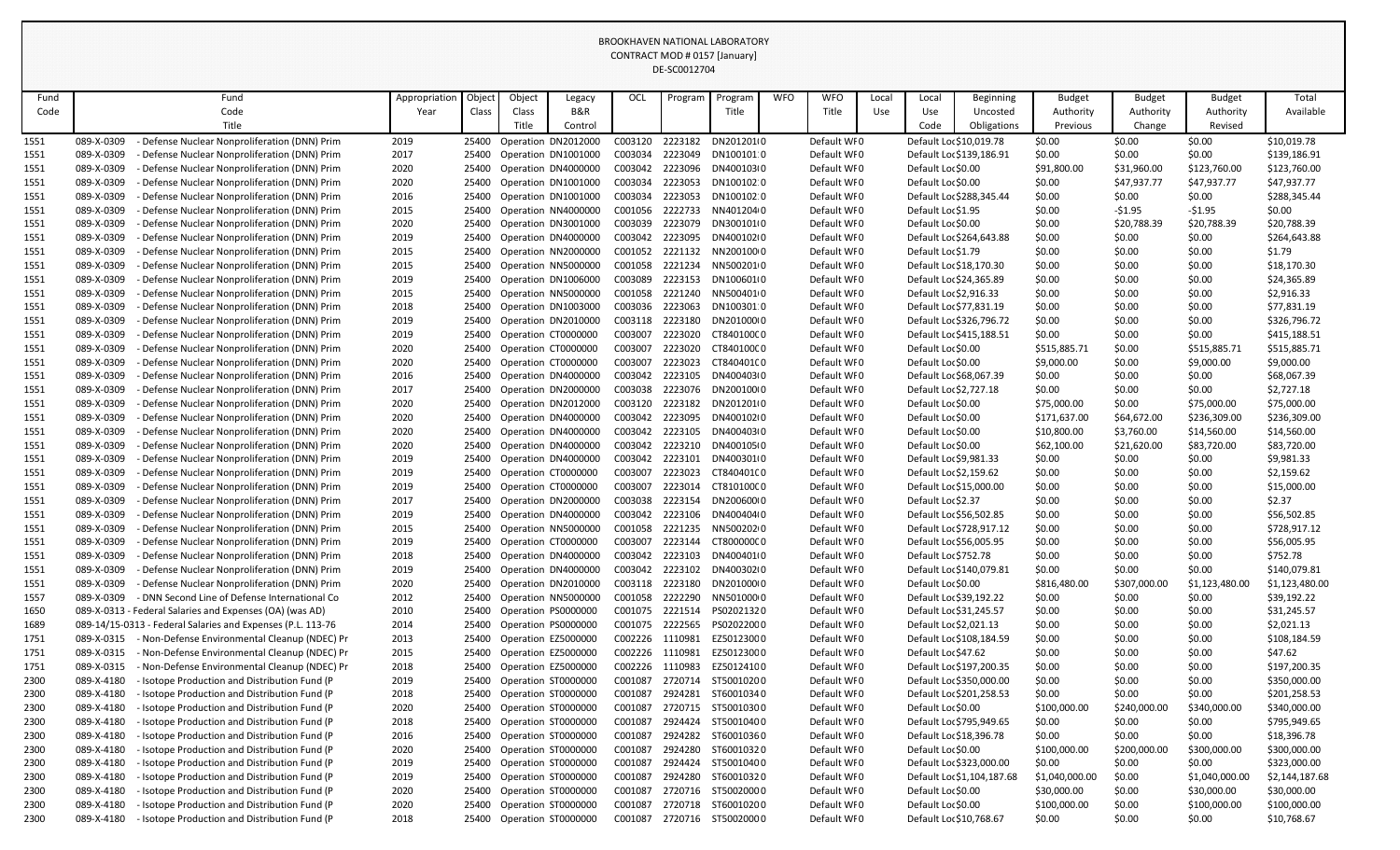|              |                          |                                                                                              |               |                |        |                                            |                    | DE-3COUTZ704       |                          |            |                            |       |                         |                            |                        |                        |                          |                               |
|--------------|--------------------------|----------------------------------------------------------------------------------------------|---------------|----------------|--------|--------------------------------------------|--------------------|--------------------|--------------------------|------------|----------------------------|-------|-------------------------|----------------------------|------------------------|------------------------|--------------------------|-------------------------------|
| Fund         |                          | Fund                                                                                         | Appropriation | Objec          | Object | Legacy                                     | OCL                | Program            | Progran                  | <b>WFO</b> | <b>WFO</b>                 | Local | Local                   | <b>Beginning</b>           | <b>Budget</b>          | <b>Budget</b>          | <b>Budget</b>            | Total                         |
| Code         |                          | Code                                                                                         | Year          | Class          | Class  | B&R                                        |                    |                    | Title                    |            | Title                      | Use   | Use                     | Uncosted                   | Authority              | Authority              | Authority                | Available                     |
|              |                          | Title                                                                                        |               |                | Title  | Control                                    |                    |                    |                          |            |                            |       | Code                    | Obligations                | Previous               | Change                 | Revised                  |                               |
| 1551         | 089-X-0309               | Defense Nuclear Nonproliferation (DNN) Prim                                                  | 2019          | 25400          |        | Operation DN2012000                        | C003120            | 2223182            | DN201201(0               |            | Default WF0                |       | Default Loc \$10,019.78 |                            | \$0.00                 | \$0.00                 | \$0.00                   | \$10,019.78                   |
| 1551         | 089-X-0309               | Defense Nuclear Nonproliferation (DNN) Prim                                                  | 2017          | 25400          |        | Operation DN1001000                        | C003034            | 2223049            | DN100101:0               |            | Default WFO                |       |                         | Default Loc \$139,186.91   | \$0.00                 | \$0.00                 | \$0.00                   | \$139,186.91                  |
| 1551         | 089-X-0309               | Defense Nuclear Nonproliferation (DNN) Prim                                                  | 2020          | 25400          |        | Operation DN4000000                        | C003042            | 2223096            | DN400103(0               |            | Default WFO                |       | Default Lor \$0.00      |                            | \$91,800.00            | \$31,960.00            | \$123,760.00             | \$123,760.00                  |
| 1551         | 089-X-0309               | Defense Nuclear Nonproliferation (DNN) Prim                                                  | 2020          | 25400          |        | Operation DN1001000                        | C003034            | 2223053            | DN100102.0               |            | Default WFO                |       | Default Lor \$0.00      |                            | \$0.00                 | \$47,937.77            | \$47,937.77              | \$47,937.77                   |
| 1551         | 089-X-0309               | Defense Nuclear Nonproliferation (DNN) Prim                                                  | 2016          | 25400          |        | Operation DN1001000                        | C003034            | 2223053            | DN100102.0               |            | Default WFO                |       |                         | Default Loc \$288,345.44   | \$0.00                 | \$0.00                 | \$0.00                   | \$288,345.44                  |
| 1551         | 089-X-0309               | Defense Nuclear Nonproliferation (DNN) Prim                                                  | 2015          | 25400          |        | Operation NN4000000                        | C001056            | 2222733            | NN4012040                |            | Default WFO                |       | Default Loc \$1.95      |                            | \$0.00                 | $-51.95$               | $-$ \$1.95               | \$0.00                        |
| 1551         | 089-X-0309               | Defense Nuclear Nonproliferation (DNN) Prim                                                  | 2020          | 25400          |        | Operation DN3001000                        | C003039            | 2223079            | DN300101(0               |            | Default WF0                |       | Default Lor \$0.00      |                            | \$0.00                 | \$20,788.39            | \$20,788.39              | \$20,788.39                   |
| 1551         | 089-X-0309               | Defense Nuclear Nonproliferation (DNN) Prim                                                  | 2019          | 25400          |        | Operation DN4000000                        | C003042            | 2223095            | DN400102(0               |            | Default WFO                |       |                         | Default Loc \$264,643.88   | \$0.00                 | \$0.00                 | \$0.00                   | \$264,643.88                  |
| 1551         | 089-X-0309               | Defense Nuclear Nonproliferation (DNN) Prim                                                  | 2015          | 25400          |        | Operation NN2000000                        | C001052            | 2221132            | NN20010000               |            | Default WFO                |       | Default Loc \$1.79      |                            | \$0.00                 | \$0.00                 | \$0.00                   | \$1.79                        |
| 1551         | 089-X-0309               | Defense Nuclear Nonproliferation (DNN) Prim                                                  | 2015          | 25400          |        | Operation NN5000000                        | C001058            | 2221234            | NN5002010                |            | Default WFO                |       |                         | Default Loc \$18,170.30    | \$0.00                 | \$0.00                 | \$0.00                   | \$18,170.30                   |
| 1551         | 089-X-0309               | Defense Nuclear Nonproliferation (DNN) Prim                                                  | 2019          | 25400          |        | Operation DN1006000                        | C003089            | 2223153            | DN100601(0               |            | Default WFO                |       | Default Loc \$24,365.89 |                            | \$0.00                 | \$0.00                 | \$0.00                   | \$24,365.89                   |
| 1551         | 089-X-0309               | Defense Nuclear Nonproliferation (DNN) Prim                                                  | 2015          | 25400          |        | Operation NN5000000                        | C001058            | 2221240            | NN5004010                |            | Default WFO                |       | Default Loc \$2,916.33  |                            | \$0.00                 | \$0.00                 | \$0.00                   | \$2,916.33                    |
| 1551         | 089-X-0309               | Defense Nuclear Nonproliferation (DNN) Prim                                                  | 2018          | 25400          |        | Operation DN1003000                        | C003036            | 2223063            | DN100301.0               |            | Default WFO                |       | Default Loc \$77,831.19 |                            | \$0.00                 | \$0.00                 | \$0.00                   | \$77,831.19                   |
| 1551         | 089-X-0309               | Defense Nuclear Nonproliferation (DNN) Prim                                                  | 2019          | 25400          |        | Operation DN2010000                        | C003118            | 2223180            | DN201000(0               |            | Default WFO                |       |                         | Default Loc \$326,796.72   | \$0.00                 | \$0.00                 | \$0.00                   | \$326,796.72                  |
| 1551         | 089-X-0309               | Defense Nuclear Nonproliferation (DNN) Prim                                                  | 2019          | 25400          |        | Operation CT0000000                        | C003007            | 2223020            | CT840100C0               |            | Default WF0                |       |                         | Default Loc \$415,188.51   | \$0.00                 | \$0.00                 | \$0.00                   | \$415,188.51                  |
| 1551         | 089-X-0309               | Defense Nuclear Nonproliferation (DNN) Prim                                                  | 2020          | 25400          |        | Operation CT0000000                        | C003007            | 2223020            | CT840100C0               |            | Default WFO                |       | Default Lor \$0.00      |                            | \$515,885.71           | \$0.00                 | \$515,885.71             | \$515,885.71                  |
| 1551         | 089-X-0309               | Defense Nuclear Nonproliferation (DNN) Prim                                                  | 2020          | 25400          |        | Operation CT0000000                        | C003007            | 2223023            | CT840401C0               |            | Default WFO                |       | Default Lor \$0.00      |                            | \$9,000.00             | \$0.00                 | \$9,000.00               | \$9,000.00                    |
| 1551         | 089-X-0309               | Defense Nuclear Nonproliferation (DNN) Prim                                                  | 2016          | 25400          |        | Operation DN4000000                        | C003042            | 2223105            | DN400403(0               |            | Default WFO                |       |                         | Default Loc \$68,067.39    | \$0.00                 | \$0.00                 | \$0.00                   | \$68,067.39                   |
| 1551         | 089-X-0309               | Defense Nuclear Nonproliferation (DNN) Prim                                                  | 2017          | 25400          |        | Operation DN2000000                        | C003038            | 2223076            | DN200100(0               |            | Default WF0                |       | Default Loc \$2,727.18  |                            | \$0.00                 | \$0.00                 | \$0.00                   | \$2,727.18                    |
| 1551         | 089-X-0309               | Defense Nuclear Nonproliferation (DNN) Prim                                                  | 2020          | 25400          |        | Operation DN2012000                        | C003120            | 2223182            | DN201201(0               |            | Default WFO                |       | Default Lor \$0.00      |                            | \$75,000.00            | \$0.00                 | \$75,000.00              | \$75,000.00                   |
| 1551         | 089-X-0309               | Defense Nuclear Nonproliferation (DNN) Prim                                                  | 2020          | 25400          |        | Operation DN4000000                        | C003042            | 2223095            | DN400102(0               |            | Default WFO                |       | Default Loc \$0.00      |                            | \$171,637.00           | \$64,672.00            | \$236,309.00             | \$236,309.00                  |
| 1551         | 089-X-0309               | Defense Nuclear Nonproliferation (DNN) Prim                                                  | 2020          | 25400          |        | Operation DN4000000                        | C003042            | 2223105            | DN400403(0               |            | Default WFO                |       | Default Lor \$0.00      |                            | \$10,800.00            | \$3,760.00             | \$14,560.00              | \$14,560.00                   |
| 1551         | 089-X-0309               | Defense Nuclear Nonproliferation (DNN) Prim                                                  | 2020          | 25400          |        | Operation DN4000000                        | C003042            | 2223210            | DN400105(0               |            | Default WF0                |       | Default Lor \$0.00      |                            | \$62,100.00            | \$21,620.00            | \$83,720.00              | \$83,720.00                   |
| 1551         | 089-X-0309               | Defense Nuclear Nonproliferation (DNN) Prim                                                  | 2019          | 25400          |        | Operation DN4000000                        | C003042            | 2223101            | DN400301(0               |            | Default WFO                |       | Default Loc \$9,981.33  |                            | \$0.00                 | \$0.00                 | \$0.00                   | \$9,981.33                    |
| 1551         | 089-X-0309               | Defense Nuclear Nonproliferation (DNN) Prim                                                  | 2019          | 25400          |        | Operation CT0000000                        | C003007            | 2223023            | CT840401C0               |            | Default WFO                |       | Default Loc \$2,159.62  |                            | \$0.00                 | \$0.00                 | \$0.00                   | \$2,159.62                    |
| 1551         | 089-X-0309               | Defense Nuclear Nonproliferation (DNN) Prim                                                  | 2019          | 25400          |        | Operation CT0000000                        | C003007            | 2223014            | CT810100C0               |            | Default WFO                |       | Default Loc \$15,000.00 |                            | \$0.00                 | \$0.00                 | \$0.00                   | \$15,000.00                   |
| 1551         | 089-X-0309               | Defense Nuclear Nonproliferation (DNN) Prim                                                  | 2017          | 25400          |        | Operation DN2000000                        | C003038            | 2223154            | DN20060010               |            | Default WF0                |       | Default Loc \$2.37      |                            | \$0.00                 | \$0.00                 | \$0.00                   | \$2.37                        |
| 1551         | 089-X-0309               | Defense Nuclear Nonproliferation (DNN) Prim                                                  | 2019          | 25400          |        | Operation DN4000000                        | C003042            | 2223106            | DN400404(0               |            | Default WFO                |       | Default Loc \$56,502.85 |                            | \$0.00                 | \$0.00                 | \$0.00                   | \$56,502.85                   |
| 1551         | 089-X-0309               | Defense Nuclear Nonproliferation (DNN) Prim                                                  | 2015          | 25400          |        | Operation NN5000000                        | C001058            | 2221235            | NN50020200               |            | Default WFO                |       |                         | Default Loc \$728,917.12   | \$0.00                 | \$0.00                 | \$0.00                   | \$728,917.12                  |
| 1551         | 089-X-0309               | Defense Nuclear Nonproliferation (DNN) Prim                                                  | 2019          | 25400          |        | Operation CT0000000                        | C003007            | 2223144            | CT800000C0               |            | Default WFO                |       |                         | Default Loc \$56,005.95    | \$0.00                 | \$0.00                 | \$0.00                   | \$56,005.95                   |
| 1551         | 089-X-0309               | Defense Nuclear Nonproliferation (DNN) Prim                                                  | 2018          | 25400          |        | Operation DN4000000                        | C003042            | 2223103            | DN400401(0               |            | Default WFO                |       | Default Loc \$752.78    |                            | \$0.00                 | \$0.00                 | \$0.00                   | \$752.78                      |
| 1551         | 089-X-0309               | Defense Nuclear Nonproliferation (DNN) Prim                                                  | 2019          | 25400          |        | Operation DN4000000                        | C003042            | 2223102            | DN400302(0               |            | Default WFO                |       |                         | Default Loc \$140,079.81   | \$0.00                 | \$0.00                 | \$0.00                   | \$140,079.81                  |
| 1551<br>1557 | 089-X-0309<br>089-X-0309 | Defense Nuclear Nonproliferation (DNN) Prim<br>- DNN Second Line of Defense International Co | 2020<br>2012  | 25400<br>25400 |        | Operation DN2010000<br>Operation NN5000000 | C003118<br>C001058 | 2223180<br>2222290 | DN201000(0<br>NN50100000 |            | Default WFO<br>Default WFO |       | Default Lor \$0.00      | Default Loc \$39,192.22    | \$816,480.00<br>\$0.00 | \$307,000.00<br>\$0.00 | \$1,123,480.00<br>\$0.00 | \$1,123,480.00<br>\$39,192.22 |
| 1650         |                          | 089-X-0313 - Federal Salaries and Expenses (OA) (was AD)                                     | 2010          | 25400          |        | Operation PS0000000                        | C001075            | 2221514            | PS02021320               |            | Default WFO                |       | Default Loc \$31,245.57 |                            | \$0.00                 | \$0.00                 | \$0.00                   | \$31,245.57                   |
| 1689         |                          | 089-14/15-0313 - Federal Salaries and Expenses (P.L. 113-76                                  | 2014          | 25400          |        | Operation PS0000000                        | C001075            | 2222565            | PS02022000               |            | Default WFO                |       | Default Loc \$2,021.13  |                            | \$0.00                 | \$0.00                 | \$0.00                   | \$2,021.13                    |
| 1751         | 089-X-0315               | Non-Defense Environmental Cleanup (NDEC) Pr                                                  | 2013          | 25400          |        | Operation EZ5000000                        | C002226            | 1110981            | EZ50123000               |            | Default WFO                |       |                         | Default Loc \$108,184.59   | \$0.00                 | \$0.00                 | \$0.00                   | \$108,184.59                  |
| 1751         | 089-X-0315               | Non-Defense Environmental Cleanup (NDEC) Pr                                                  | 2015          | 25400          |        | Operation EZ5000000                        | C002226            | 1110981            | EZ50123000               |            | Default WFO                |       | Default Loc \$47.62     |                            | \$0.00                 | \$0.00                 | \$0.00                   | \$47.62                       |
| 1751         | 089-X-0315               | Non-Defense Environmental Cleanup (NDEC) Pr                                                  | 2018          | 25400          |        | Operation EZ5000000                        | C002226            | 1110983            | EZ50124100               |            | Default WFO                |       |                         | Default Loc \$197,200.35   | \$0.00                 | \$0.00                 | \$0.00                   | \$197,200.35                  |
| 2300         | 089-X-4180               | - Isotope Production and Distribution Fund (P                                                | 2019          | 25400          |        | Operation ST0000000                        | C001087            | 2720714            | ST50010200               |            | Default WFO                |       |                         | Default Lor \$350,000.00   | \$0.00                 | \$0.00                 | \$0.00                   | \$350,000.00                  |
| 2300         | 089-X-4180               | Isotope Production and Distribution Fund (P                                                  | 2018          | 25400          |        | Operation ST0000000                        | C001087            | 2924281            | ST60010340               |            | Default WFO                |       |                         | Default Loc \$201,258.53   | \$0.00                 | \$0.00                 | \$0.00                   | \$201,258.53                  |
| 2300         | 089-X-4180               | Isotope Production and Distribution Fund (P                                                  | 2020          | 25400          |        | Operation ST0000000                        | C001087            | 2720715            | ST50010300               |            | Default WFO                |       | Default Lor \$0.00      |                            | \$100,000.00           | \$240,000.00           | \$340,000.00             | \$340,000.00                  |
| 2300         | 089-X-4180               | Isotope Production and Distribution Fund (P                                                  | 2018          | 25400          |        | Operation ST0000000                        | C001087            | 2924424            | ST50010400               |            | Default WFO                |       |                         | Default Loc \$795,949.65   | \$0.00                 | \$0.00                 | \$0.00                   | \$795,949.65                  |
| 2300         | 089-X-4180               | Isotope Production and Distribution Fund (P                                                  | 2016          | 25400          |        | Operation ST0000000                        | C001087            | 2924282            | ST60010360               |            | Default WFO                |       |                         | Default Loc \$18,396.78    | \$0.00                 | \$0.00                 | \$0.00                   | \$18,396.78                   |
| 2300         | 089-X-4180               | Isotope Production and Distribution Fund (P                                                  | 2020          | 25400          |        | Operation ST0000000                        | C001087            | 2924280            | ST60010320               |            | Default WFO                |       | Default Lor \$0.00      |                            | \$100,000.00           | \$200,000.00           | \$300,000.00             | \$300,000.00                  |
| 2300         | 089-X-4180               | Isotope Production and Distribution Fund (P                                                  | 2019          | 25400          |        | Operation ST0000000                        | C001087            | 2924424            | ST50010400               |            | Default WFO                |       |                         | Default Lor \$323,000.00   | \$0.00                 | \$0.00                 | \$0.00                   | \$323,000.00                  |
| 2300         | 089-X-4180               | Isotope Production and Distribution Fund (P                                                  | 2019          | 25400          |        | Operation ST0000000                        | C001087            | 2924280            | ST60010320               |            | Default WFO                |       |                         | Default Loc \$1,104,187.68 | \$1,040,000.00         | \$0.00                 | \$1,040,000.00           | \$2,144,187.68                |
| 2300         | 089-X-4180               | - Isotope Production and Distribution Fund (P                                                | 2020          | 25400          |        | Operation ST0000000                        | C001087            | 2720716            | ST50020000               |            | Default WF0                |       | Default Lor \$0.00      |                            | \$30,000.00            | \$0.00                 | \$30,000.00              | \$30,000.00                   |
| 2300         | 089-X-4180               | Isotope Production and Distribution Fund (P                                                  | 2020          | 25400          |        | Operation ST0000000                        | C001087            | 2720718            | ST60010200               |            | Default WFO                |       | Default Lor \$0.00      |                            | \$100,000.00           | \$0.00                 | \$100,000.00             | \$100,000.00                  |
| 2300         | 089-X-4180               | Isotope Production and Distribution Fund (P                                                  | 2018          | 25400          |        | Operation ST0000000                        | C001087            | 2720716            | ST50020000               |            | Default WI0                |       | Default Loc \$10,768.67 |                            | \$0.00                 | \$0.00                 | \$0.00                   | \$10,768.67                   |
|              |                          |                                                                                              |               |                |        |                                            |                    |                    |                          |            |                            |       |                         |                            |                        |                        |                          |                               |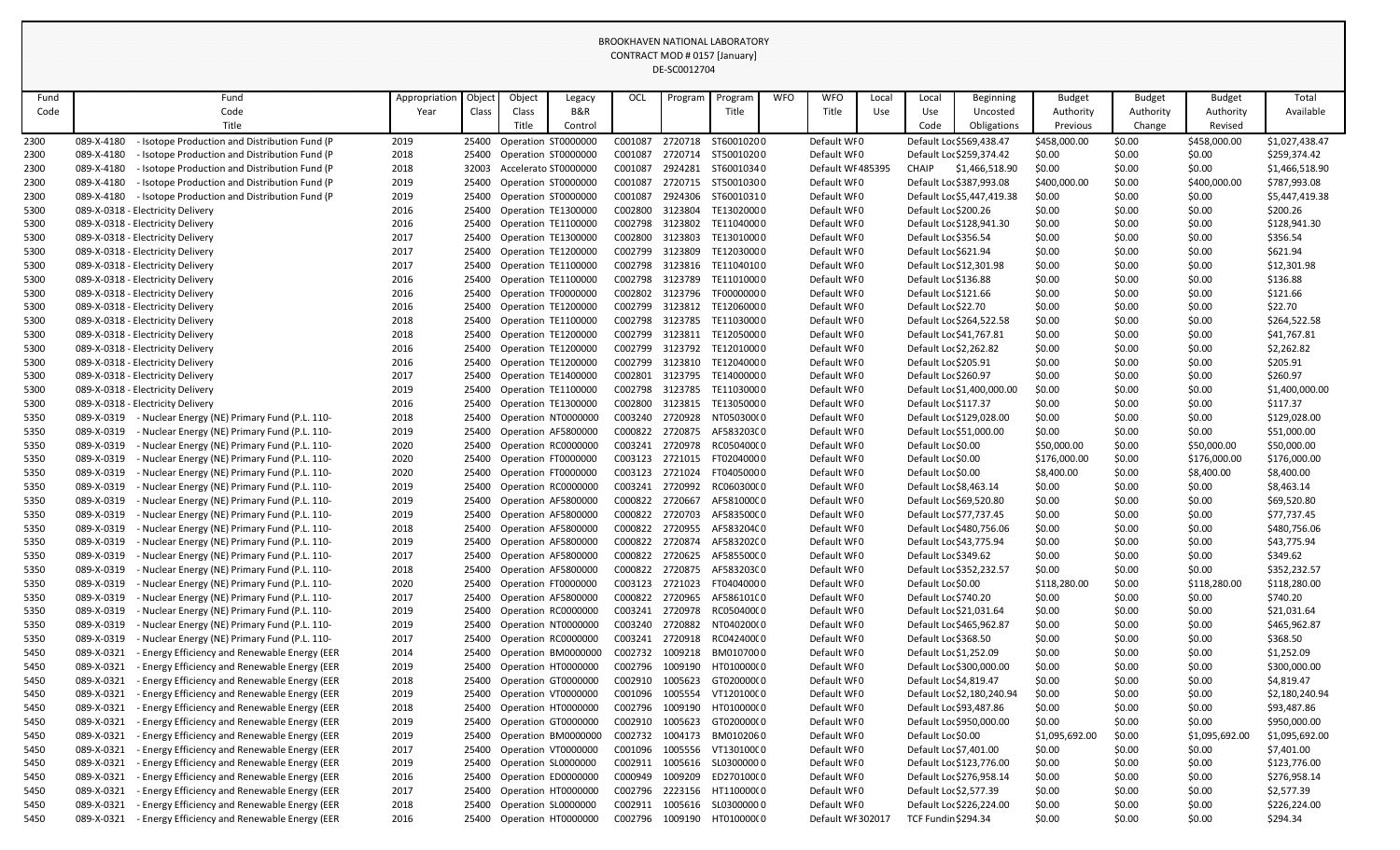|              |                                                                                                                                      |               |                |        |                                            |                    | DE-SCOUTZ704       |                          |            |                            |       |                            |                            |                  |                  |                  |                            |
|--------------|--------------------------------------------------------------------------------------------------------------------------------------|---------------|----------------|--------|--------------------------------------------|--------------------|--------------------|--------------------------|------------|----------------------------|-------|----------------------------|----------------------------|------------------|------------------|------------------|----------------------------|
| Fund         | Fund                                                                                                                                 | Appropriation | Object         | Object | Legacy                                     | <b>OCL</b>         | Program            | Program                  | <b>WFO</b> | <b>WFO</b>                 | Local | Local                      | <b>Beginning</b>           | <b>Budget</b>    | <b>Budget</b>    | <b>Budget</b>    | Total                      |
| Code         | Code                                                                                                                                 | Year          | Class          | Class  | B&R                                        |                    |                    | Title                    |            | Title                      | Use   | Use                        | Uncosted                   | Authority        | Authority        | Authority        | Available                  |
|              | Title                                                                                                                                |               |                | Title  | Control                                    |                    |                    |                          |            |                            |       | Code                       | Obligations                | Previous         | Change           | Revised          |                            |
| 2300         | - Isotope Production and Distribution Fund (P<br>089-X-4180                                                                          | 2019          | 25400          |        | Operation ST0000000                        | C001087            | 2720718            | ST60010200               |            | Default WF0                |       |                            | Default Loc \$569,438.47   | \$458,000.00     | \$0.00           | \$458,000.00     | \$1,027,438.47             |
| 2300         | 089-X-4180<br>- Isotope Production and Distribution Fund (P                                                                          | 2018          | 25400          |        | Operation ST0000000                        | C001087            | 2720714            | ST50010200               |            | Default WF0                |       |                            | Default Loc \$259,374.42   | \$0.00           | \$0.00           | \$0.00           | \$259,374.42               |
| 2300         | 089-X-4180<br>- Isotope Production and Distribution Fund (P                                                                          | 2018          | 32003          |        | Accelerato ST0000000                       | C001087            | 2924281            | ST60010340               |            | Default WF485395           |       | <b>CHAIP</b>               | \$1,466,518.90             | \$0.00           | \$0.00           | \$0.00           | \$1,466,518.90             |
| 2300         | 089-X-4180<br>- Isotope Production and Distribution Fund (P                                                                          | 2019          | 25400          |        | Operation ST0000000                        | C001087            | 2720715            | ST50010300               |            | Default WFO                |       |                            | Default Loc \$387,993.08   | \$400,000.00     | \$0.00           | \$400,000.00     | \$787,993.08               |
| 2300         | 089-X-4180<br>- Isotope Production and Distribution Fund (P                                                                          | 2019          | 25400          |        | Operation ST0000000                        | C001087            | 2924306            | ST60010310               |            | Default WF0                |       |                            | Default Loc \$5,447,419.38 | \$0.00           | \$0.00           | \$0.00           | \$5,447,419.38             |
| 5300         | 089-X-0318 - Electricity Delivery                                                                                                    | 2016          | 25400          |        | Operation TE1300000                        | C002800            | 3123804            | TE13020000               |            | Default WFO                |       | Default Loc \$200.26       |                            | \$0.00           | \$0.00           | \$0.00           | \$200.26                   |
| 5300         | 089-X-0318 - Electricity Delivery                                                                                                    | 2016          | 25400          |        | Operation TE1100000                        | C002798            | 3123802            | TE11040000               |            | Default WFO                |       |                            | Default Loc \$128,941.30   | \$0.00           | \$0.00           | \$0.00           | \$128,941.30               |
| 5300         | 089-X-0318 - Electricity Delivery                                                                                                    | 2017<br>2017  | 25400          |        | Operation TE1300000                        | C002800            | 3123803            | TE13010000               |            | Default WF0                |       | Default Loc \$356.54       |                            | \$0.00           | \$0.00           | \$0.00           | \$356.54                   |
| 5300<br>5300 | 089-X-0318 - Electricity Delivery<br>089-X-0318 - Electricity Delivery                                                               | 2017          | 25400<br>25400 |        | Operation TE1200000<br>Operation TE1100000 | C002799<br>C002798 | 3123809<br>3123816 | TE12030000<br>TE11040100 |            | Default WF0<br>Default WF0 |       | Default Loc \$621.94       | Default Loc \$12,301.98    | \$0.00<br>\$0.00 | \$0.00<br>\$0.00 | \$0.00<br>\$0.00 | \$621.94<br>\$12,301.98    |
| 5300         | 089-X-0318 - Electricity Delivery                                                                                                    | 2016          | 25400          |        | Operation TE1100000                        | C002798            | 3123789            | TE11010000               |            | Default WF0                |       | Default Loc \$136.88       |                            | \$0.00           | \$0.00           | \$0.00           | \$136.88                   |
| 5300         | 089-X-0318 - Electricity Delivery                                                                                                    | 2016          | 25400          |        | Operation TF0000000                        | C002802            | 3123796            | TF00000000               |            | Default WF0                |       | Default Loc \$121.66       |                            | \$0.00           | \$0.00           | \$0.00           | \$121.66                   |
| 5300         | 089-X-0318 - Electricity Delivery                                                                                                    | 2016          | 25400          |        | Operation TE1200000                        | C002799            | 3123812            | TE12060000               |            | Default WF0                |       | Default Loc \$22.70        |                            | \$0.00           | \$0.00           | \$0.00           | \$22.70                    |
| 5300         | 089-X-0318 - Electricity Delivery                                                                                                    | 2018          | 25400          |        | Operation TE1100000                        | C002798            | 3123785            | TE11030000               |            | Default WF0                |       |                            | Default Loc \$264,522.58   | \$0.00           | \$0.00           | \$0.00           | \$264,522.58               |
| 5300         | 089-X-0318 - Electricity Delivery                                                                                                    | 2018          | 25400          |        | Operation TE1200000                        | C002799            | 3123811            | TE12050000               |            | Default WF0                |       |                            | Default Loc \$41,767.81    | \$0.00           | \$0.00           | \$0.00           | \$41,767.81                |
| 5300         | 089-X-0318 - Electricity Delivery                                                                                                    | 2016          | 25400          |        | Operation TE1200000                        | C002799            | 3123792            | TE12010000               |            | Default WF0                |       | Default Loc \$2,262.82     |                            | \$0.00           | \$0.00           | \$0.00           | \$2,262.82                 |
| 5300         | 089-X-0318 - Electricity Delivery                                                                                                    | 2016          | 25400          |        | Operation TE1200000                        | C002799            | 3123810            | TE12040000               |            | Default WF0                |       | Default Loc \$205.91       |                            | \$0.00           | \$0.00           | \$0.00           | \$205.91                   |
| 5300         | 089-X-0318 - Electricity Delivery                                                                                                    | 2017          | 25400          |        | Operation TE1400000                        | C002801            | 3123795            | TE14000000               |            | Default WF0                |       | Default Lor \$260.97       |                            | \$0.00           | \$0.00           | \$0.00           | \$260.97                   |
| 5300         | 089-X-0318 - Electricity Delivery                                                                                                    | 2019          | 25400          |        | Operation TE1100000                        | C002798            | 3123785            | TE11030000               |            | Default WFO                |       |                            | Default Lor \$1,400,000.00 | \$0.00           | \$0.00           | \$0.00           | \$1,400,000.00             |
| 5300         | 089-X-0318 - Electricity Delivery                                                                                                    | 2016          | 25400          |        | Operation TE1300000                        | C002800            | 3123815            | TE13050000               |            | Default WF0                |       | Default Loc \$117.37       |                            | \$0.00           | \$0.00           | \$0.00           | \$117.37                   |
| 5350         | 089-X-0319<br>- Nuclear Energy (NE) Primary Fund (P.L. 110-                                                                          | 2018          | 25400          |        | Operation NT0000000                        | C003240            | 2720928            | NT050300(0               |            | Default WFO                |       |                            | Default Loc \$129,028.00   | \$0.00           | \$0.00           | \$0.00           | \$129,028.00               |
| 5350         | 089-X-0319<br>- Nuclear Energy (NE) Primary Fund (P.L. 110-                                                                          | 2019          | 25400          |        | Operation AF5800000                        | C000822            | 2720875            | AF583203C0               |            | Default WFO                |       |                            | Default Lor \$51,000.00    | \$0.00           | \$0.00           | \$0.00           | \$51,000.00                |
| 5350         | 089-X-0319<br>Nuclear Energy (NE) Primary Fund (P.L. 110-                                                                            | 2020          | 25400          |        | Operation RC0000000                        | C003241            | 2720978            | RC05040000               |            | Default WF0                |       | Default Loc \$0.00         |                            | \$50,000.00      | \$0.00           | \$50,000.00      | \$50,000.00                |
| 5350         | 089-X-0319<br>- Nuclear Energy (NE) Primary Fund (P.L. 110-                                                                          | 2020          | 25400          |        | Operation FT0000000                        | C003123            | 2721015            | FT02040000               |            | Default WFO                |       | Default Lor \$0.00         |                            | \$176,000.00     | \$0.00           | \$176,000.00     | \$176,000.00               |
| 5350         | 089-X-0319<br>Nuclear Energy (NE) Primary Fund (P.L. 110-                                                                            | 2020          | 25400          |        | Operation FT0000000                        | C003123            | 2721024            | FT04050000               |            | Default WF0                |       | Default Loc \$0.00         |                            | \$8,400.00       | \$0.00           | \$8,400.00       | \$8,400.00                 |
| 5350         | 089-X-0319<br>Nuclear Energy (NE) Primary Fund (P.L. 110-                                                                            | 2019          | 25400          |        | Operation RC0000000                        | C003241            | 2720992            | RC06030000               |            | Default WFO                |       | Default Loc \$8,463.14     |                            | \$0.00           | \$0.00           | \$0.00           | \$8,463.14                 |
| 5350         | 089-X-0319<br>- Nuclear Energy (NE) Primary Fund (P.L. 110-                                                                          | 2019          | 25400          |        | Operation AF5800000                        | C000822            | 2720667            | AF581000C0               |            | Default WFO                |       |                            | Default Loc \$69,520.80    | \$0.00           | \$0.00           | \$0.00           | \$69,520.80                |
| 5350         | 089-X-0319<br>Nuclear Energy (NE) Primary Fund (P.L. 110-                                                                            | 2019          | 25400          |        | Operation AF5800000                        | C000822            | 2720703            | AF583500C0               |            | Default WFO                |       |                            | Default Loc \$77,737.45    | \$0.00           | \$0.00           | \$0.00           | \$77,737.45                |
| 5350         | 089-X-0319<br>Nuclear Energy (NE) Primary Fund (P.L. 110-                                                                            | 2018          | 25400          |        | Operation AF5800000                        | C000822            | 2720955            | AF583204C0               |            | Default WF0                |       |                            | Default Loc \$480,756.06   | \$0.00           | \$0.00           | \$0.00           | \$480,756.06               |
| 5350         | 089-X-0319<br>Nuclear Energy (NE) Primary Fund (P.L. 110-                                                                            | 2019          | 25400          |        | Operation AF5800000                        | C000822            | 2720874            | AF583202C0               |            | Default WFO                |       |                            | Default Loc \$43,775.94    | \$0.00           | \$0.00           | \$0.00           | \$43,775.94                |
| 5350         | 089-X-0319<br>Nuclear Energy (NE) Primary Fund (P.L. 110-                                                                            | 2017          | 25400          |        | Operation AF5800000                        | C000822            | 2720625            | AF585500C0               |            | Default WF0                |       | Default Loc \$349.62       |                            | \$0.00           | \$0.00           | \$0.00           | \$349.62                   |
| 5350         | 089-X-0319<br>Nuclear Energy (NE) Primary Fund (P.L. 110-                                                                            | 2018          | 25400          |        | Operation AF5800000                        | C000822            | 2720875            | AF583203C0               |            | Default WF0                |       |                            | Default Loc \$352,232.57   | \$0.00           | \$0.00           | \$0.00           | \$352,232.57               |
| 5350         | 089-X-0319<br>Nuclear Energy (NE) Primary Fund (P.L. 110-                                                                            | 2020          | 25400          |        | Operation FT0000000                        |                    | C003123 2721023    | FT04040000               |            | Default WFO                |       | Default Lor \$0.00         |                            | \$118,280.00     | \$0.00           | \$118,280.00     | \$118,280.00               |
| 5350         | 089-X-0319<br>Nuclear Energy (NE) Primary Fund (P.L. 110-                                                                            | 2017          | 25400          |        | Operation AF5800000                        | C000822            | 2720965            | AF586101C0               |            | Default WF0                |       | Default Loc \$740.20       |                            | \$0.00           | \$0.00           | \$0.00           | \$740.20                   |
| 5350         | 089-X-0319<br>Nuclear Energy (NE) Primary Fund (P.L. 110-                                                                            | 2019          | 25400          |        | Operation RC0000000                        | C003241            | 2720978            | RC05040000               |            | Default WF0                |       |                            | Default Loc \$21,031.64    | \$0.00           | \$0.00           | \$0.00           | \$21,031.64                |
| 5350         | 089-X-0319<br>Nuclear Energy (NE) Primary Fund (P.L. 110-                                                                            | 2019          | 25400          |        | Operation NT0000000                        | C003240            | 2720882            | NT040200(0               |            | Default WF0                |       |                            | Default Loc \$465,962.87   | \$0.00           | \$0.00           | \$0.00           | \$465,962.87               |
| 5350         | 089-X-0319<br>Nuclear Energy (NE) Primary Fund (P.L. 110-                                                                            | 2017          | 25400          |        | Operation RC0000000                        | C003241            | 2720918<br>1009218 | RC04240000<br>BM0107000  |            | Default WF0<br>Default WFO |       | Default Lor \$368.50       |                            | \$0.00           | \$0.00           | \$0.00           | \$368.50                   |
| 5450<br>5450 | <b>Energy Efficiency and Renewable Energy (EER</b><br>089-X-0321<br>089-X-0321<br><b>Energy Efficiency and Renewable Energy (EER</b> | 2014<br>2019  | 25400<br>25400 |        | Operation BM0000000<br>Operation HT0000000 | C002732<br>C002796 | 1009190            | HT010000(0               |            | Default WF0                |       | Default Loc \$1,252.09     | Default Lor \$300,000.00   | \$0.00<br>\$0.00 | \$0.00<br>\$0.00 | \$0.00<br>\$0.00 | \$1,252.09<br>\$300,000.00 |
| 5450         | 089-X-0321<br><b>Energy Efficiency and Renewable Energy (EER</b>                                                                     | 2018          | 25400          |        | Operation GT0000000                        | C002910            | 1005623            | GT020000(0               |            | Default WF0                |       | Default Loc \$4,819.47     |                            | \$0.00           | \$0.00           | \$0.00           | \$4,819.47                 |
| 5450         | 089-X-0321<br><b>Energy Efficiency and Renewable Energy (EER</b>                                                                     | 2019          | 25400          |        | Operation VT0000000                        | C001096            | 1005554            | VT12010000               |            | Default WFO                |       |                            | Default Loc \$2,180,240.94 | \$0.00           | \$0.00           | \$0.00           | \$2,180,240.94             |
| 5450         | 089-X-0321<br>Energy Efficiency and Renewable Energy (EER                                                                            | 2018          | 25400          |        | Operation HT0000000                        | C002796            | 1009190            | HT010000(0               |            | Default WF0                |       |                            | Default Loc \$93,487.86    | \$0.00           | \$0.00           | \$0.00           | \$93,487.86                |
| 5450         | 089-X-0321<br><b>Energy Efficiency and Renewable Energy (EER</b>                                                                     | 2019          | 25400          |        | Operation GT0000000                        | C002910            | 1005623            | GT020000(0               |            | Default WF0                |       |                            | Default Lor \$950,000.00   | \$0.00           | \$0.00           | \$0.00           | \$950,000.00               |
| 5450         | Energy Efficiency and Renewable Energy (EER<br>089-X-0321                                                                            | 2019          | 25400          |        | Operation BM0000000                        | C002732            | 1004173            | BM0102060                |            | Default WF0                |       | Default Loc \$0.00         |                            | \$1,095,692.00   | \$0.00           | \$1,095,692.00   | \$1,095,692.00             |
| 5450         | 089-X-0321<br><b>Energy Efficiency and Renewable Energy (EER</b>                                                                     | 2017          | 25400          |        | Operation VT0000000                        | C001096            | 1005556            | VT130100C0               |            | Default WF0                |       | Default Loc \$7,401.00     |                            | \$0.00           | \$0.00           | \$0.00           | \$7,401.00                 |
| 5450         | 089-X-0321<br><b>Energy Efficiency and Renewable Energy (EER</b>                                                                     | 2019          | 25400          |        | Operation SL0000000                        | C002911            | 1005616            | SL03000000               |            | Default WFO                |       |                            | Default Loc \$123,776.00   | \$0.00           | \$0.00           | \$0.00           | \$123,776.00               |
| 5450         | 089-X-0321<br><b>Energy Efficiency and Renewable Energy (EER</b>                                                                     | 2016          | 25400          |        | Operation ED0000000                        | C000949            | 1009209            | ED270100(0               |            | Default WF0                |       |                            | Default Loc \$276,958.14   | \$0.00           | \$0.00           | \$0.00           | \$276,958.14               |
| 5450         | - Energy Efficiency and Renewable Energy (EER<br>089-X-0321                                                                          | 2017          | 25400          |        | Operation HT0000000                        | C002796            | 2223156            | HT110000(0               |            | Default WF0                |       | Default Loc \$2,577.39     |                            | \$0.00           | \$0.00           | \$0.00           | \$2,577.39                 |
| 5450         | 089-X-0321<br><b>Energy Efficiency and Renewable Energy (EER</b>                                                                     | 2018          | 25400          |        | Operation SL0000000                        | C002911            | 1005616            | SL03000000               |            | Default WFO                |       |                            | Default Loc \$226,224.00   | \$0.00           | \$0.00           | \$0.00           | \$226,224.00               |
| 5450         | <b>Energy Efficiency and Renewable Energy (EER</b><br>089-X-0321                                                                     | 2016          | 25400          |        | Operation HT0000000                        | C002796            | 1009190            | HT010000(0               |            | Default WF 302017          |       | <b>TCF Fundin \$294.34</b> |                            | \$0.00           | \$0.00           | \$0.00           | \$294.34                   |
|              |                                                                                                                                      |               |                |        |                                            |                    |                    |                          |            |                            |       |                            |                            |                  |                  |                  |                            |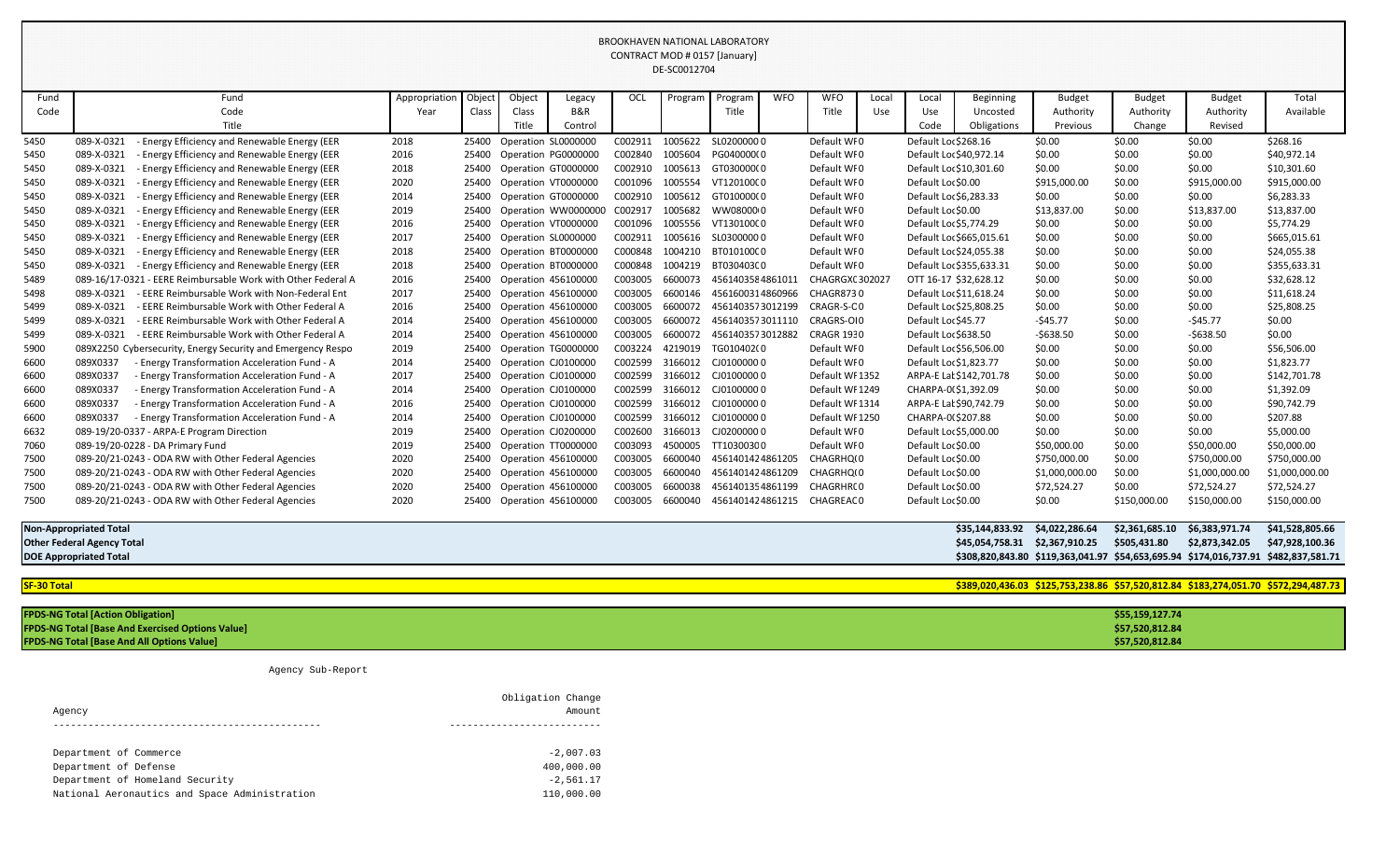| Fund                                                                                                                 | Fund                                                             | Appropriation | Objec- | Object | Legacy              | OCL     | Program | Program          | <b>WFO</b> | <b>WFO</b>        | Local | Local                          | <b>Beginning</b>               | <b>Budget</b>  | <b>Budget</b>   | <b>Budget</b>   | Total           |
|----------------------------------------------------------------------------------------------------------------------|------------------------------------------------------------------|---------------|--------|--------|---------------------|---------|---------|------------------|------------|-------------------|-------|--------------------------------|--------------------------------|----------------|-----------------|-----------------|-----------------|
| Code                                                                                                                 | Code                                                             | Year          | Class  | Class  | B&R                 |         |         | Title            |            | Title             | Use   | Use                            | Uncosted                       | Authority      | Authority       | Authority       | Available       |
|                                                                                                                      | Title                                                            |               |        | Title  | Control             |         |         |                  |            |                   |       | Code                           | Obligations                    | Previous       | Change          | Revised         |                 |
| 5450                                                                                                                 | <b>Energy Efficiency and Renewable Energy (EER</b><br>089-X-0321 | 2018          | 25400  |        | Operation SL0000000 | C002911 | 1005622 | SL02000000       |            | Default WF0       |       | Default Loc \$268.16           |                                | \$0.00         | \$0.00          | \$0.00          | \$268.16        |
| 5450                                                                                                                 | 089-X-0321<br>Energy Efficiency and Renewable Energy (EER        | 2016          | 25400  |        | Operation PG0000000 | C002840 | 1005604 | PG040000(0       |            | Default WFO       |       |                                | Default Loc \$40,972.14        | \$0.00         | \$0.00          | \$0.00          | \$40,972.14     |
| 5450                                                                                                                 | 089-X-0321<br>Energy Efficiency and Renewable Energy (EER        | 2018          | 25400  |        | Operation GT0000000 | C002910 | 1005613 | GT03000000       |            | Default WF0       |       |                                | Default Loc \$10,301.60        | \$0.00         | \$0.00          | \$0.00          | \$10,301.60     |
| 5450                                                                                                                 | 089-X-0321<br>Energy Efficiency and Renewable Energy (EER        | 2020          | 25400  |        | Operation VT0000000 | C001096 | 1005554 | VT12010000       |            | Default WFO       |       | Default Loc \$0.00             |                                | \$915,000.00   | \$0.00          | \$915,000.00    | \$915,000.00    |
| 5450                                                                                                                 | 089-X-0321<br>Energy Efficiency and Renewable Energy (EER        | 2014          | 25400  |        | Operation GT0000000 | C002910 | 1005612 | GT010000(0       |            | Default WF0       |       |                                | Default Loc \$6,283.33         | \$0.00         | \$0.00          | \$0.00          | \$6,283.33      |
| 5450                                                                                                                 | 089-X-0321<br>Energy Efficiency and Renewable Energy (EER        | 2019          | 25400  |        | Operation WW0000000 | C002917 | 1005682 | WW0800000        |            | Default WFO       |       | Default Loc \$0.00             |                                | \$13,837.00    | \$0.00          | \$13,837.00     | \$13,837.00     |
| 5450                                                                                                                 | 089-X-0321<br>Energy Efficiency and Renewable Energy (EER        | 2016          | 25400  |        | Operation VT0000000 | C001096 | 1005556 | VT13010000       |            | Default WFO       |       |                                | Default Loc \$5,774.29         | \$0.00         | \$0.00          | \$0.00          | \$5,774.29      |
| 5450                                                                                                                 | Energy Efficiency and Renewable Energy (EER<br>089-X-0321        | 2017          | 25400  |        | Operation SL0000000 | C002911 | 1005616 | SL03000000       |            | Default WFO       |       |                                | Default Loc \$665,015.61       | \$0.00         | \$0.00          | \$0.00          | \$665,015.61    |
| 5450                                                                                                                 | Energy Efficiency and Renewable Energy (EER<br>089-X-0321        | 2018          | 25400  |        | Operation BT0000000 | C000848 | 1004210 | BT010100C0       |            | Default WF0       |       |                                | Default Loc \$24,055.38        | \$0.00         | \$0.00          | \$0.00          | \$24,055.38     |
| 5450                                                                                                                 | 089-X-0321<br>Energy Efficiency and Renewable Energy (EER        | 2018          | 25400  |        | Operation BT0000000 | C000848 | 1004219 | BT030403C0       |            | Default WF0       |       |                                | Default Loc \$355,633.31       | \$0.00         | \$0.00          | \$0.00          | \$355,633.31    |
| 5489                                                                                                                 | 089-16/17-0321<br>- EERE Reimbursable Work with Other Federal A  | 2016          | 25400  |        | Operation 456100000 | C003005 | 6600073 | 4561403584861011 |            | CHAGRGXC 302027   |       |                                | OTT 16-17 \$32,628.12          | \$0.00         | \$0.00          | \$0.00          | \$32,628.12     |
| 5498                                                                                                                 | 089-X-0321<br><b>EERE Reimbursable Work with Non-Federal Ent</b> | 2017          | 25400  |        | Operation 456100000 | C003005 | 6600146 | 4561600314860966 |            | <b>CHAGR8730</b>  |       |                                | Default Loc \$11,618.24        | \$0.00         | \$0.00          | \$0.00          | \$11,618.24     |
| 5499                                                                                                                 | 089-X-0321<br>- EERE Reimbursable Work with Other Federal A      | 2016          | 25400  |        | Operation 456100000 | C003005 | 6600072 | 4561403573012199 |            | CRAGR-S-CO        |       |                                | Default Loc \$25,808.25        | \$0.00         | \$0.00          | \$0.00          | \$25,808.25     |
| 5499                                                                                                                 | 089-X-0321<br>- EERE Reimbursable Work with Other Federal A      | 2014          | 25400  |        | Operation 456100000 | C003005 | 6600072 | 4561403573011110 |            | CRAGRS-OI0        |       | Default Loc \$45.77            |                                | -\$45.77       | \$0.00          | $-545.77$       | \$0.00          |
| 5499                                                                                                                 | 089-X-0321<br>- EERE Reimbursable Work with Other Federal A      | 2014          | 25400  |        | Operation 456100000 | C003005 | 6600072 | 4561403573012882 |            | <b>CRAGR 1930</b> |       | Default Loc \$638.50           |                                | $-5638.50$     | \$0.00          | $-5638.50$      | \$0.00          |
| 5900                                                                                                                 | 089X2250 Cybersecurity, Energy Security and Emergency Respo      | 2019          | 25400  |        | Operation TG0000000 | C003224 | 4219019 | TG010402(0       |            | Default WFO       |       |                                | Default Loc \$56,506.00        | \$0.00         | \$0.00          | \$0.00          | \$56,506.00     |
| 6600                                                                                                                 | 089X0337<br>- Energy Transformation Acceleration Fund - A        | 2014          | 25400  |        | Operation CJ0100000 | C002599 | 3166012 | CJ01000000       |            | Default WF0       |       |                                | Default Loc \$1,823.77         | \$0.00         | \$0.00          | \$0.00          | \$1,823.77      |
| 6600                                                                                                                 | 089X0337<br>- Energy Transformation Acceleration Fund - A        | 2017          | 25400  |        | Operation CJ0100000 | C002599 | 3166012 | CJ01000000       |            | Default WF1352    |       |                                | ARPA-E Lat \$142,701.78        | \$0.00         | \$0.00          | \$0.00          | \$142,701.78    |
| 6600                                                                                                                 | 089X0337<br>- Energy Transformation Acceleration Fund - A        | 2014          | 25400  |        | Operation CJ0100000 | C002599 | 3166012 | CJ01000000       |            | Default WF1249    |       |                                | CHARPA-0(\$1,392.09            | \$0.00         | \$0.00          | \$0.00          | \$1,392.09      |
| 6600                                                                                                                 | 089X0337<br>- Energy Transformation Acceleration Fund - A        | 2016          | 25400  |        | Operation CJ0100000 | C002599 | 3166012 | CJ01000000       |            | Default WF1314    |       |                                | ARPA-E Lal \$90,742.79         | \$0.00         | \$0.00          | \$0.00          | \$90,742.79     |
| 6600                                                                                                                 | 089X0337<br>- Energy Transformation Acceleration Fund - A        | 2014          | 25400  |        | Operation CJ0100000 | C002599 | 3166012 | CJ01000000       |            | Default WF1250    |       | CHARPA-0(\$207.88              |                                | \$0.00         | \$0.00          | \$0.00          | \$207.88        |
| 6632                                                                                                                 | 089-19/20-0337 - ARPA-E Program Direction                        | 2019          | 25400  |        | Operation CJ0200000 | C002600 | 3166013 | CJ02000000       |            | Default WF0       |       |                                | Default Lo: \$5,000.00         | \$0.00         | \$0.00          | \$0.00          | \$5,000.00      |
| 7060                                                                                                                 | 089-19/20-0228 - DA Primary Fund                                 | 2019          | 25400  |        | Operation TT0000000 | C003093 | 4500005 | TT10300300       |            | Default WFO       |       | Default Lor \$0.00             |                                | \$50,000.00    | \$0.00          | \$50,000.00     | \$50,000.00     |
| 7500                                                                                                                 | 089-20/21-0243 - ODA RW with Other Federal Agencies              | 2020          | 25400  |        | Operation 456100000 | C003005 | 6600040 | 4561401424861205 |            | CHAGRHQ(0         |       | Default Lor \$0.00             |                                | \$750,000.00   | \$0.00          | \$750,000.00    | \$750,000.00    |
| 7500                                                                                                                 | 089-20/21-0243 - ODA RW with Other Federal Agencies              | 2020          | 25400  |        | Operation 456100000 | C003005 | 6600040 | 4561401424861209 |            | CHAGRHQ(0         |       | Default Loc \$0.00             |                                | \$1,000,000.00 | \$0.00          | \$1,000,000.00  | \$1,000,000.00  |
| 7500                                                                                                                 | 089-20/21-0243 - ODA RW with Other Federal Agencies              | 2020          | 25400  |        | Operation 456100000 | C003005 | 6600038 | 4561401354861199 |            | CHAGRHR(0         |       | Default Loc \$0.00             |                                | \$72,524.27    | \$0.00          | \$72,524.27     | \$72,524.27     |
| 7500                                                                                                                 | 089-20/21-0243 - ODA RW with Other Federal Agencies              | 2020          | 25400  |        | Operation 456100000 | C003005 | 6600040 | 4561401424861215 |            | CHAGREAC 0        |       | Default Loc \$0.00             |                                | \$0.00         | \$150,000.00    | \$150,000.00    | \$150,000.00    |
|                                                                                                                      | <b>Non-Appropriated Total</b>                                    |               |        |        |                     |         |         |                  |            |                   |       |                                | \$35,144,833.92 \$4,022,286.64 |                | \$2,361,685.10  | \$6,383,971.74  | \$41,528,805.66 |
| <b>Other Federal Agency Total</b>                                                                                    |                                                                  |               |        |        |                     |         |         |                  |            |                   |       | \$45,054,758.31 \$2,367,910.25 |                                | \$505,431.80   | \$2,873,342.05  | \$47,928,100.36 |                 |
| \$308,820,843.80 \$119,363,041.97 \$54,653,695.94 \$174,016,737.91 \$482,837,581.71<br><b>DOE Appropriated Total</b> |                                                                  |               |        |        |                     |         |         |                  |            |                   |       |                                |                                |                |                 |                 |                 |
|                                                                                                                      |                                                                  |               |        |        |                     |         |         |                  |            |                   |       |                                |                                |                |                 |                 |                 |
| SF-30 Total<br>\$389,020,436.03 \$125,753,238.86 \$57,520,812.84 \$183,274,051.70 \$572,294,487.73                   |                                                                  |               |        |        |                     |         |         |                  |            |                   |       |                                |                                |                |                 |                 |                 |
|                                                                                                                      |                                                                  |               |        |        |                     |         |         |                  |            |                   |       |                                |                                |                |                 |                 |                 |
|                                                                                                                      | <b>FPDS-NG Total [Action Obligation]</b>                         |               |        |        |                     |         |         |                  |            |                   |       |                                |                                |                | \$55,159,127.74 |                 |                 |
| <b>FPDS-NG Total [Base And Exercised Options Value]</b><br>\$57,520,812.84                                           |                                                                  |               |        |        |                     |         |         |                  |            |                   |       |                                |                                |                |                 |                 |                 |

**FPDS-NG Total [Base And All Options Value] \$57,520,812.84**

Agency Sub-Report

|                                               | Obligation Change |
|-----------------------------------------------|-------------------|
| Agency                                        | Amount            |
|                                               |                   |
| Department of Commerce                        | $-2,007.03$       |
| Department of Defense                         | 400,000.00        |
| Department of Homeland Security               | $-2,561.17$       |
| National Aeronautics and Space Administration | 110,000.00        |